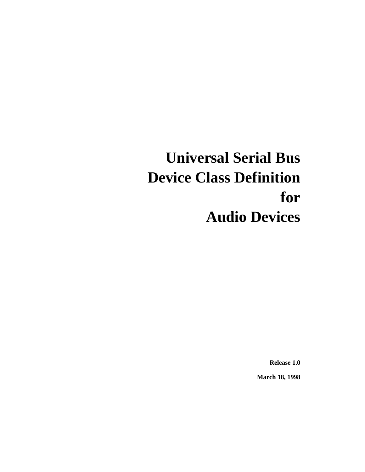# **Universal Serial Bus Device Class Definition for Audio Devices**

**Release 1.0**

**March 18, 1998**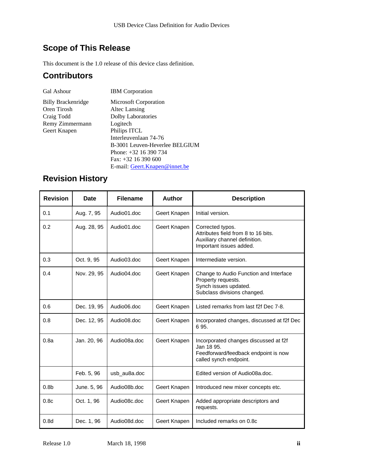# **Scope of This Release**

This document is the 1.0 release of this device class definition.

### **Contributors**

| Gal Ashour                | <b>IBM</b> Corporation         |
|---------------------------|--------------------------------|
| <b>Billy Brackenridge</b> | <b>Microsoft Corporation</b>   |
| Oren Tirosh               | Altec Lansing                  |
| Craig Todd                | Dolby Laboratories             |
| Remy Zimmermann           | Logitech                       |
| Geert Knapen              | Philips ITCL                   |
|                           | Interleuvenlaan 74-76          |
|                           | B-3001 Leuven-Heverlee BELGIUM |
|                           | Phone: $+32$ 16 390 734        |
|                           | Fax: $+32$ 16 390 600          |

E-mail: Geert.Knapen@innet.be

# **Revision History**

| <b>Revision</b>  | <b>Date</b> | <b>Filename</b> | <b>Author</b> | <b>Description</b>                                                                                                    |
|------------------|-------------|-----------------|---------------|-----------------------------------------------------------------------------------------------------------------------|
| 0.1              | Aug. 7, 95  | Audio01.doc     | Geert Knapen  | Initial version.                                                                                                      |
| 0.2              | Aug. 28, 95 | Audio01.doc     | Geert Knapen  | Corrected typos.<br>Attributes field from 8 to 16 bits.<br>Auxiliary channel definition.<br>Important issues added.   |
| 0.3              | Oct. 9, 95  | Audio03.doc     | Geert Knapen  | Intermediate version.                                                                                                 |
| 0.4              | Nov. 29, 95 | Audio04.doc     | Geert Knapen  | Change to Audio Function and Interface<br>Property requests.<br>Synch issues updated.<br>Subclass divisions changed.  |
| 0.6              | Dec. 19, 95 | Audio06.doc     | Geert Knapen  | Listed remarks from last f2f Dec 7-8.                                                                                 |
| 0.8              | Dec. 12, 95 | Audio08.doc     | Geert Knapen  | Incorporated changes, discussed at f2f Dec<br>695.                                                                    |
| 0.8a             | Jan. 20, 96 | Audio08a.doc    | Geert Knapen  | Incorporated changes discussed at f2f<br>Jan 18 95.<br>Feedforward/feedback endpoint is now<br>called synch endpoint. |
|                  | Feb. 5, 96  | usb_au8a.doc    |               | Edited version of Audio08a.doc.                                                                                       |
| 0.8 <sub>b</sub> | June. 5, 96 | Audio08b.doc    | Geert Knapen  | Introduced new mixer concepts etc.                                                                                    |
| 0.8c             | Oct. 1, 96  | Audio08c.doc    | Geert Knapen  | Added appropriate descriptors and<br>requests.                                                                        |
| 0.8d             | Dec. 1, 96  | Audio08d.doc    | Geert Knapen  | Included remarks on 0.8c                                                                                              |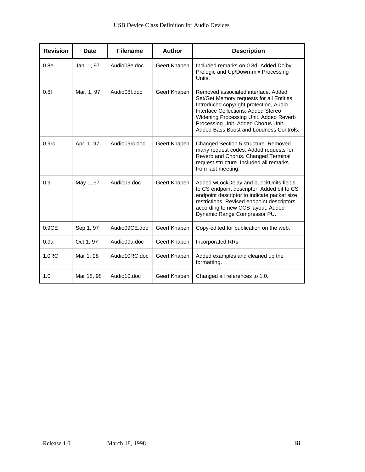| <b>Revision</b>   | <b>Date</b> | <b>Filename</b> | <b>Author</b> | <b>Description</b>                                                                                                                                                                                                                                                                            |
|-------------------|-------------|-----------------|---------------|-----------------------------------------------------------------------------------------------------------------------------------------------------------------------------------------------------------------------------------------------------------------------------------------------|
| 0.8e              | Jan. 1, 97  | Audio08e.doc    | Geert Knapen  | Included remarks on 0.8d. Added Dolby<br>Prologic and Up/Down-mix Processing<br>Units.                                                                                                                                                                                                        |
| 0.8f              | Mar. 1, 97  | Audio08f.doc    | Geert Knapen  | Removed associated interface. Added<br>Set/Get Memory requests for all Entities.<br>Introduced copyright protection, Audio<br>Interface Collections, Added Stereo<br>Widening Processing Unit. Added Reverb<br>Processing Unit. Added Chorus Unit.<br>Added Bass Boost and Loudness Controls. |
| 0.9 <sub>rc</sub> | Apr. 1, 97  | Audio09rc.doc   | Geert Knapen  | Changed Section 5 structure. Removed<br>many request codes. Added requests for<br>Reverb and Chorus. Changed Terminal<br>request structure. Included all remarks<br>from last meeting.                                                                                                        |
| 0.9               | May 1, 97   | Audio09.doc     | Geert Knapen  | Added wLockDelay and bLockUnits fields<br>to CS endpoint descriptor. Added bit to CS<br>endpoint descriptor to indicate packet size<br>restrictions. Revised endpoint descriptors<br>according to new CCS layout. Added<br>Dynamic Range Compressor PU.                                       |
| 0.9CE             | Sep 1, 97   | Audio09CE.doc   | Geert Knapen  | Copy-edited for publication on the web.                                                                                                                                                                                                                                                       |
| 0.9a              | Oct 1, 97   | Audio09a.doc    | Geert Knapen  | <b>Incorporated RRs</b>                                                                                                                                                                                                                                                                       |
| 1.0 <sub>RC</sub> | Mar 1, 98   | Audio10RC.doc   | Geert Knapen  | Added examples and cleaned up the<br>formatting.                                                                                                                                                                                                                                              |
| 1.0               | Mar 18, 98  | Audio10.doc     | Geert Knapen  | Changed all references to 1.0.                                                                                                                                                                                                                                                                |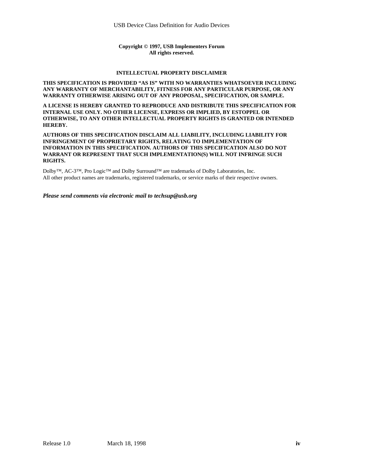#### **Copyright © 1997, USB Implementers Forum All rights reserved.**

#### **INTELLECTUAL PROPERTY DISCLAIMER**

#### **THIS SPECIFICATION IS PROVIDED "AS IS" WITH NO WARRANTIES WHATSOEVER INCLUDING ANY WARRANTY OF MERCHANTABILITY, FITNESS FOR ANY PARTICULAR PURPOSE, OR ANY WARRANTY OTHERWISE ARISING OUT OF ANY PROPOSAL, SPECIFICATION, OR SAMPLE.**

**A LICENSE IS HEREBY GRANTED TO REPRODUCE AND DISTRIBUTE THIS SPECIFICATION FOR INTERNAL USE ONLY. NO OTHER LICENSE, EXPRESS OR IMPLIED, BY ESTOPPEL OR OTHERWISE, TO ANY OTHER INTELLECTUAL PROPERTY RIGHTS IS GRANTED OR INTENDED HEREBY.**

#### **AUTHORS OF THIS SPECIFICATION DISCLAIM ALL LIABILITY, INCLUDING LIABILITY FOR INFRINGEMENT OF PROPRIETARY RIGHTS, RELATING TO IMPLEMENTATION OF INFORMATION IN THIS SPECIFICATION. AUTHORS OF THIS SPECIFICATION ALSO DO NOT WARRANT OR REPRESENT THAT SUCH IMPLEMENTATION(S) WILL NOT INFRINGE SUCH RIGHTS.**

Dolby™, AC-3™, Pro Logic™ and Dolby Surround™ are trademarks of Dolby Laboratories, Inc. All other product names are trademarks, registered trademarks, or service marks of their respective owners.

#### *Please send comments via electronic mail to techsup@usb.org*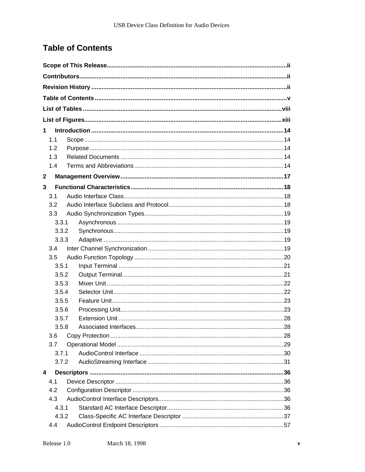# **Table of Contents**

| 1.           |                       |      |
|--------------|-----------------------|------|
| 1.1          |                       |      |
| 1.2          |                       |      |
| 1.3          |                       |      |
| 1.4          |                       |      |
| $\mathbf{2}$ |                       |      |
| 3            |                       |      |
| 3.1          |                       |      |
| 3.2          |                       |      |
| 3.3          |                       |      |
| 3.3.1        |                       |      |
| 3.3.2        |                       |      |
| 3.3.3        |                       |      |
| 3.4          |                       |      |
| 3.5          |                       |      |
| 3.5.1        |                       |      |
| 3.5.2        |                       |      |
| 3.5.3        |                       |      |
| 3.5.4        |                       |      |
| 3.5.5        |                       |      |
| 3.5.6        |                       |      |
| 3.5.7        |                       |      |
| 3.5.8        | Associated Interfaces | . 28 |
| 3.6<br>3.7   |                       |      |
| 3.7.1        |                       |      |
| 3.7.2        |                       |      |
| 4            |                       |      |
| 4.1          |                       |      |
| 4.2          |                       |      |
| 4.3          |                       |      |
| 4.3.1        |                       |      |
| 4.3.2        |                       |      |
| 4.4          |                       |      |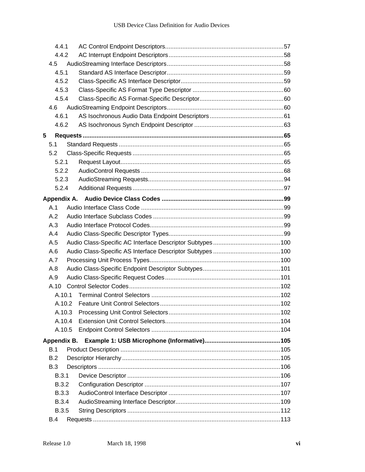| 4.4.1        |  |  |
|--------------|--|--|
| 4.4.2        |  |  |
| 4.5          |  |  |
| 4.5.1        |  |  |
| 4.5.2        |  |  |
| 4.5.3        |  |  |
| 4.5.4        |  |  |
| 4.6          |  |  |
| 4.6.1        |  |  |
| 4.6.2        |  |  |
| 5            |  |  |
| 5.1          |  |  |
| 5.2          |  |  |
| 5.2.1        |  |  |
| 5.2.2        |  |  |
| 5.2.3        |  |  |
| 5.2.4        |  |  |
|              |  |  |
| A.1          |  |  |
| A.2          |  |  |
| A.3          |  |  |
| A.4          |  |  |
| A.5          |  |  |
| A.6          |  |  |
| A.7          |  |  |
| A.8          |  |  |
| A.9          |  |  |
| A.10         |  |  |
| A.10.1       |  |  |
| A.10.2       |  |  |
| A.10.3       |  |  |
| A.10.4       |  |  |
| A.10.5       |  |  |
| Appendix B.  |  |  |
| B.1          |  |  |
| B.2          |  |  |
| <b>B.3</b>   |  |  |
| <b>B.3.1</b> |  |  |
| <b>B.3.2</b> |  |  |
| <b>B.3.3</b> |  |  |
| <b>B.3.4</b> |  |  |
| <b>B.3.5</b> |  |  |
| <b>B.4</b>   |  |  |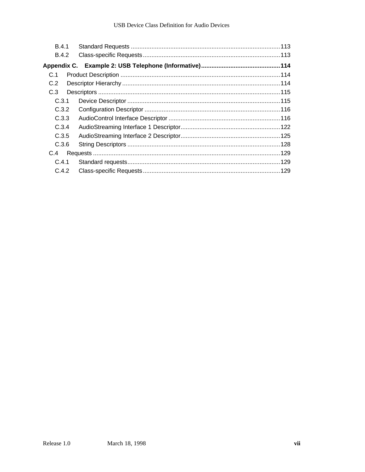| <b>B.4.1</b> |  |
|--------------|--|
| B.4.2        |  |
|              |  |
| C.1          |  |
| C.2          |  |
| C.3          |  |
| C.3.1        |  |
| C.3.2        |  |
| C.3.3        |  |
| C.3.4        |  |
| C.3.5        |  |
| C.3.6        |  |
| C.4          |  |
| C.4.1        |  |
| C.4.2        |  |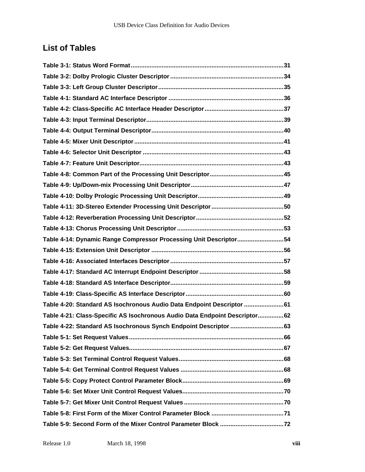# **List of Tables**

| Table 4-14: Dynamic Range Compressor Processing Unit Descriptor54          |
|----------------------------------------------------------------------------|
|                                                                            |
|                                                                            |
|                                                                            |
|                                                                            |
|                                                                            |
| Table 4-20: Standard AS Isochronous Audio Data Endpoint Descriptor 61      |
| Table 4-21: Class-Specific AS Isochronous Audio Data Endpoint Descriptor62 |
| Table 4-22: Standard AS Isochronous Synch Endpoint Descriptor 63           |
|                                                                            |
|                                                                            |
|                                                                            |
|                                                                            |
|                                                                            |
|                                                                            |
|                                                                            |
|                                                                            |
|                                                                            |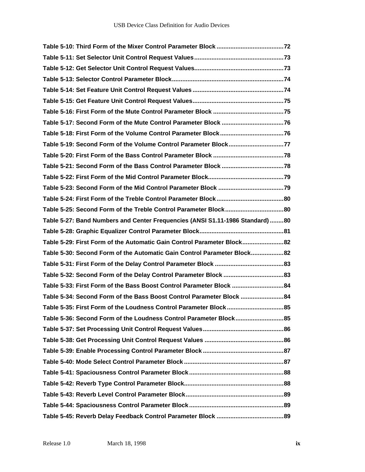| Table 5-19: Second Form of the Volume Control Parameter Block77               |  |
|-------------------------------------------------------------------------------|--|
|                                                                               |  |
|                                                                               |  |
|                                                                               |  |
|                                                                               |  |
|                                                                               |  |
| Table 5-25: Second Form of the Treble Control Parameter Block80               |  |
| Table 5-27: Band Numbers and Center Frequencies (ANSI S1.11-1986 Standard) 80 |  |
|                                                                               |  |
| Table 5-29: First Form of the Automatic Gain Control Parameter Block82        |  |
| Table 5-30: Second Form of the Automatic Gain Control Parameter Block82       |  |
|                                                                               |  |
|                                                                               |  |
| Table 5-33: First Form of the Bass Boost Control Parameter Block 84           |  |
| Table 5-34: Second Form of the Bass Boost Control Parameter Block 84          |  |
| Table 5-35: First Form of the Loudness Control Parameter Block85              |  |
|                                                                               |  |
|                                                                               |  |
|                                                                               |  |
|                                                                               |  |
|                                                                               |  |
|                                                                               |  |
|                                                                               |  |
|                                                                               |  |
|                                                                               |  |
|                                                                               |  |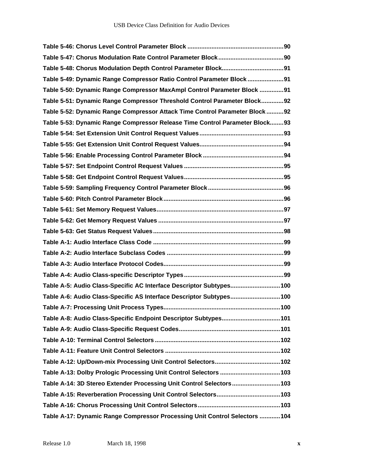| Table 5-49: Dynamic Range Compressor Ratio Control Parameter Block91        |
|-----------------------------------------------------------------------------|
| Table 5-50: Dynamic Range Compressor MaxAmpl Control Parameter Block 91     |
| Table 5-51: Dynamic Range Compressor Threshold Control Parameter Block92    |
| Table 5-52: Dynamic Range Compressor Attack Time Control Parameter Block92  |
| Table 5-53: Dynamic Range Compressor Release Time Control Parameter Block93 |
|                                                                             |
|                                                                             |
|                                                                             |
|                                                                             |
|                                                                             |
|                                                                             |
|                                                                             |
|                                                                             |
|                                                                             |
|                                                                             |
|                                                                             |
|                                                                             |
|                                                                             |
|                                                                             |
| Table A-5: Audio Class-Specific AC Interface Descriptor Subtypes 100        |
| Table A-6: Audio Class-Specific AS Interface Descriptor Subtypes 100        |
|                                                                             |
| Table A-8: Audio Class-Specific Endpoint Descriptor Subtypes 101            |
|                                                                             |
|                                                                             |
|                                                                             |
|                                                                             |
|                                                                             |
| Table A-14: 3D Stereo Extender Processing Unit Control Selectors103         |
|                                                                             |
|                                                                             |
| Table A-17: Dynamic Range Compressor Processing Unit Control Selectors  104 |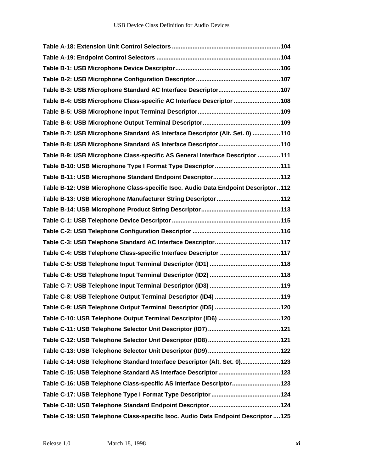| Table B-4: USB Microphone Class-specific AC Interface Descriptor 108               |
|------------------------------------------------------------------------------------|
|                                                                                    |
|                                                                                    |
| Table B-7: USB Microphone Standard AS Interface Descriptor (Alt. Set. 0) 110       |
|                                                                                    |
| Table B-9: USB Microphone Class-specific AS General Interface Descriptor  111      |
|                                                                                    |
|                                                                                    |
| Table B-12: USB Microphone Class-specific Isoc. Audio Data Endpoint Descriptor112  |
|                                                                                    |
|                                                                                    |
|                                                                                    |
|                                                                                    |
|                                                                                    |
| Table C-4: USB Telephone Class-specific Interface Descriptor 117                   |
|                                                                                    |
|                                                                                    |
|                                                                                    |
|                                                                                    |
|                                                                                    |
|                                                                                    |
|                                                                                    |
|                                                                                    |
|                                                                                    |
| Table C-14: USB Telephone Standard Interface Descriptor (Alt. Set. 0)123           |
|                                                                                    |
| Table C-16: USB Telephone Class-specific AS Interface Descriptor 123               |
|                                                                                    |
|                                                                                    |
| Table C-19: USB Telephone Class-specific Isoc. Audio Data Endpoint Descriptor  125 |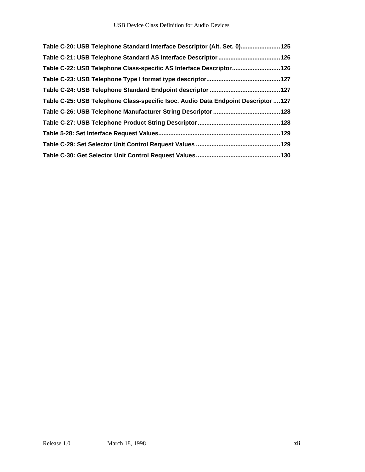| Table C-20: USB Telephone Standard Interface Descriptor (Alt. Set. 0)125           |
|------------------------------------------------------------------------------------|
|                                                                                    |
| Table C-22: USB Telephone Class-specific AS Interface Descriptor 126               |
|                                                                                    |
|                                                                                    |
| Table C-25: USB Telephone Class-specific Isoc. Audio Data Endpoint Descriptor  127 |
|                                                                                    |
|                                                                                    |
|                                                                                    |
|                                                                                    |
|                                                                                    |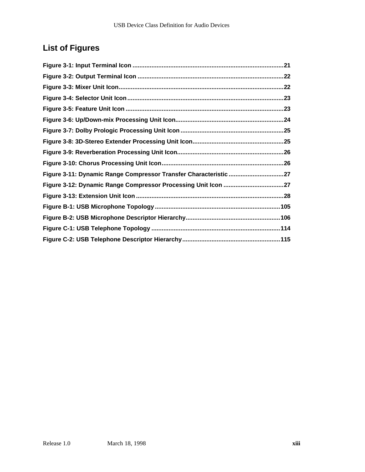# **List of Figures**

| Figure 3-11: Dynamic Range Compressor Transfer Characteristic 27 |
|------------------------------------------------------------------|
| Figure 3-12: Dynamic Range Compressor Processing Unit Icon 27    |
|                                                                  |
|                                                                  |
|                                                                  |
|                                                                  |
|                                                                  |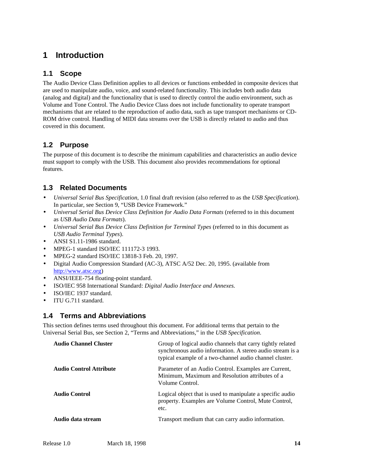### **1 Introduction**

#### **1.1 Scope**

The Audio Device Class Definition applies to all devices or functions embedded in composite devices that are used to manipulate audio, voice, and sound-related functionality. This includes both audio data (analog and digital) and the functionality that is used to directly control the audio environment, such as Volume and Tone Control. The Audio Device Class does not include functionality to operate transport mechanisms that are related to the reproduction of audio data, such as tape transport mechanisms or CD-ROM drive control. Handling of MIDI data streams over the USB is directly related to audio and thus covered in this document.

#### **1.2 Purpose**

The purpose of this document is to describe the minimum capabilities and characteristics an audio device must support to comply with the USB. This document also provides recommendations for optional features.

#### **1.3 Related Documents**

- *Universal Serial Bus Specification*, 1.0 final draft revision (also referred to as the *USB Specification*). In particular, see Section 9, "USB Device Framework."
- *Universal Serial Bus Device Class Definition for Audio Data Formats* (referred to in this document as *USB Audio Data Formats*).
- *Universal Serial Bus Device Class Definition for Terminal Types* (referred to in this document as *USB Audio Terminal Types*).
- ANSI S1.11-1986 standard.
- MPEG-1 standard ISO/IEC 111172-3 1993.
- MPEG-2 standard ISO/IEC 13818-3 Feb. 20, 1997.
- Digital Audio Compression Standard (AC-3), ATSC A/52 Dec. 20, 1995. (available from http://www.atsc.org)
- ANSI/IEEE-754 floating-point standard.
- ISO/IEC 958 International Standard: *Digital Audio Interface and Annexes.*
- ISO/IEC 1937 standard.
- ITU G.711 standard.

#### **1.4 Terms and Abbreviations**

This section defines terms used throughout this document. For additional terms that pertain to the Universal Serial Bus, see Section 2, "Terms and Abbreviations," in the *USB Specification*.

| <b>Audio Channel Cluster</b>   | Group of logical audio channels that carry tightly related<br>synchronous audio information. A stereo audio stream is a<br>typical example of a two-channel audio channel cluster. |
|--------------------------------|------------------------------------------------------------------------------------------------------------------------------------------------------------------------------------|
| <b>Audio Control Attribute</b> | Parameter of an Audio Control. Examples are Current,<br>Minimum, Maximum and Resolution attributes of a<br>Volume Control.                                                         |
| <b>Audio Control</b>           | Logical object that is used to manipulate a specific audio<br>property. Examples are Volume Control, Mute Control,<br>etc.                                                         |
| Audio data stream              | Transport medium that can carry audio information.                                                                                                                                 |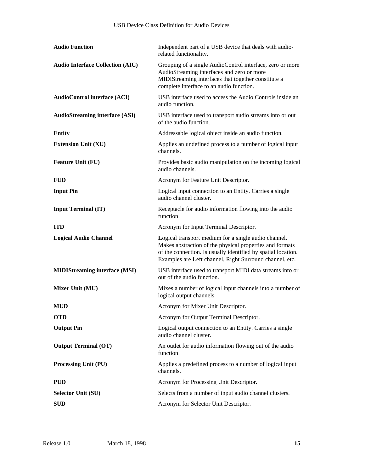| <b>Audio Function</b>                   | Independent part of a USB device that deals with audio-<br>related functionality.                                                                                                                                                            |
|-----------------------------------------|----------------------------------------------------------------------------------------------------------------------------------------------------------------------------------------------------------------------------------------------|
| <b>Audio Interface Collection (AIC)</b> | Grouping of a single AudioControl interface, zero or more<br>AudioStreaming interfaces and zero or more<br>MIDIStreaming interfaces that together constitute a<br>complete interface to an audio function.                                   |
| <b>AudioControl interface (ACI)</b>     | USB interface used to access the Audio Controls inside an<br>audio function.                                                                                                                                                                 |
| <b>AudioStreaming interface (ASI)</b>   | USB interface used to transport audio streams into or out<br>of the audio function.                                                                                                                                                          |
| <b>Entity</b>                           | Addressable logical object inside an audio function.                                                                                                                                                                                         |
| <b>Extension Unit (XU)</b>              | Applies an undefined process to a number of logical input<br>channels.                                                                                                                                                                       |
| <b>Feature Unit (FU)</b>                | Provides basic audio manipulation on the incoming logical<br>audio channels.                                                                                                                                                                 |
| <b>FUD</b>                              | Acronym for Feature Unit Descriptor.                                                                                                                                                                                                         |
| <b>Input Pin</b>                        | Logical input connection to an Entity. Carries a single<br>audio channel cluster.                                                                                                                                                            |
| <b>Input Terminal (IT)</b>              | Receptacle for audio information flowing into the audio<br>function.                                                                                                                                                                         |
| <b>ITD</b>                              | Acronym for Input Terminal Descriptor.                                                                                                                                                                                                       |
| <b>Logical Audio Channel</b>            | Logical transport medium for a single audio channel.<br>Makes abstraction of the physical properties and formats<br>of the connection. Is usually identified by spatial location.<br>Examples are Left channel, Right Surround channel, etc. |
| <b>MIDIStreaming interface (MSI)</b>    | USB interface used to transport MIDI data streams into or<br>out of the audio function.                                                                                                                                                      |
| Mixer Unit (MU)                         | Mixes a number of logical input channels into a number of<br>logical output channels.                                                                                                                                                        |
| <b>MUD</b>                              | Acronym for Mixer Unit Descriptor.                                                                                                                                                                                                           |
| <b>OTD</b>                              | Acronym for Output Terminal Descriptor.                                                                                                                                                                                                      |
| <b>Output Pin</b>                       | Logical output connection to an Entity. Carries a single<br>audio channel cluster.                                                                                                                                                           |
| <b>Output Terminal (OT)</b>             | An outlet for audio information flowing out of the audio<br>function.                                                                                                                                                                        |
| Processing Unit (PU)                    | Applies a predefined process to a number of logical input<br>channels.                                                                                                                                                                       |
| <b>PUD</b>                              | Acronym for Processing Unit Descriptor.                                                                                                                                                                                                      |
| <b>Selector Unit (SU)</b>               | Selects from a number of input audio channel clusters.                                                                                                                                                                                       |
| <b>SUD</b>                              | Acronym for Selector Unit Descriptor.                                                                                                                                                                                                        |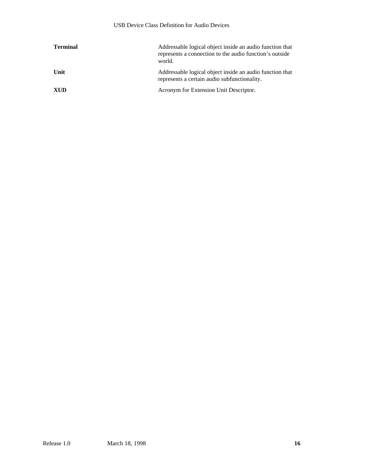| <b>Terminal</b> | Addressable logical object inside an audio function that<br>represents a connection to the audio function's outside<br>world. |
|-----------------|-------------------------------------------------------------------------------------------------------------------------------|
| Unit            | Addressable logical object inside an audio function that<br>represents a certain audio subfunctionality.                      |
| <b>XUD</b>      | Acronym for Extension Unit Descriptor.                                                                                        |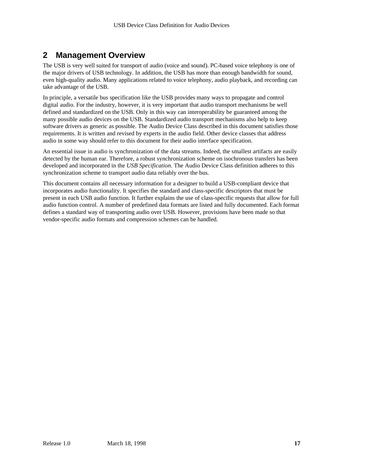### **2 Management Overview**

The USB is very well suited for transport of audio (voice and sound). PC-based voice telephony is one of the major drivers of USB technology. In addition, the USB has more than enough bandwidth for sound, even high-quality audio. Many applications related to voice telephony, audio playback, and recording can take advantage of the USB.

In principle, a versatile bus specification like the USB provides many ways to propagate and control digital audio. For the industry, however, it is very important that audio transport mechanisms be well defined and standardized on the USB. Only in this way can interoperability be guaranteed among the many possible audio devices on the USB. Standardized audio transport mechanisms also help to keep software drivers as generic as possible. The Audio Device Class described in this document satisfies those requirements. It is written and revised by experts in the audio field. Other device classes that address audio in some way should refer to this document for their audio interface specification.

An essential issue in audio is synchronization of the data streams. Indeed, the smallest artifacts are easily detected by the human ear. Therefore, a robust synchronization scheme on isochronous transfers has been developed and incorporated in the *USB Specification*. The Audio Device Class definition adheres to this synchronization scheme to transport audio data reliably over the bus.

This document contains all necessary information for a designer to build a USB-compliant device that incorporates audio functionality. It specifies the standard and class-specific descriptors that must be present in each USB audio function. It further explains the use of class-specific requests that allow for full audio function control. A number of predefined data formats are listed and fully documented. Each format defines a standard way of transporting audio over USB. However, provisions have been made so that vendor-specific audio formats and compression schemes can be handled.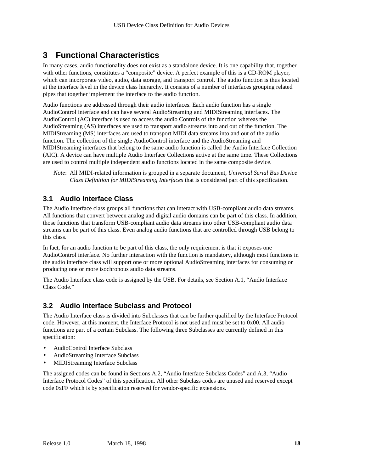# **3 Functional Characteristics**

In many cases, audio functionality does not exist as a standalone device. It is one capability that, together with other functions, constitutes a "composite" device. A perfect example of this is a CD-ROM player, which can incorporate video, audio, data storage, and transport control. The audio function is thus located at the interface level in the device class hierarchy. It consists of a number of interfaces grouping related pipes that together implement the interface to the audio function.

Audio functions are addressed through their audio interfaces. Each audio function has a single AudioControl interface and can have several AudioStreaming and MIDIStreaming interfaces. The AudioControl (AC) interface is used to access the audio Controls of the function whereas the AudioStreaming (AS) interfaces are used to transport audio streams into and out of the function. The MIDIStreaming (MS) interfaces are used to transport MIDI data streams into and out of the audio function. The collection of the single AudioControl interface and the AudioStreaming and MIDIStreaming interfaces that belong to the same audio function is called the Audio Interface Collection (AIC). A device can have multiple Audio Interface Collections active at the same time. These Collections are used to control multiple independent audio functions located in the same composite device.

*Note*: All MIDI-related information is grouped in a separate document*, Universal Serial Bus Device Class Definition for MIDIStreaming Interfaces* that is considered part of this specification.

#### **3.1 Audio Interface Class**

The Audio Interface class groups all functions that can interact with USB-compliant audio data streams. All functions that convert between analog and digital audio domains can be part of this class. In addition, those functions that transform USB-compliant audio data streams into other USB-compliant audio data streams can be part of this class. Even analog audio functions that are controlled through USB belong to this class.

In fact, for an audio function to be part of this class, the only requirement is that it exposes one AudioControl interface. No further interaction with the function is mandatory, although most functions in the audio interface class will support one or more optional AudioStreaming interfaces for consuming or producing one or more isochronous audio data streams.

The Audio Interface class code is assigned by the USB. For details, see Section A.1, "Audio Interface Class Code."

#### **3.2 Audio Interface Subclass and Protocol**

The Audio Interface class is divided into Subclasses that can be further qualified by the Interface Protocol code. However, at this moment, the Interface Protocol is not used and must be set to 0x00. All audio functions are part of a certain Subclass. The following three Subclasses are currently defined in this specification:

- AudioControl Interface Subclass
- AudioStreaming Interface Subclass
- MIDIStreaming Interface Subclass

The assigned codes can be found in Sections A.2, "Audio Interface Subclass Codes" and A.3, "Audio Interface Protocol Codes" of this specification. All other Subclass codes are unused and reserved except code 0xFF which is by specification reserved for vendor-specific extensions.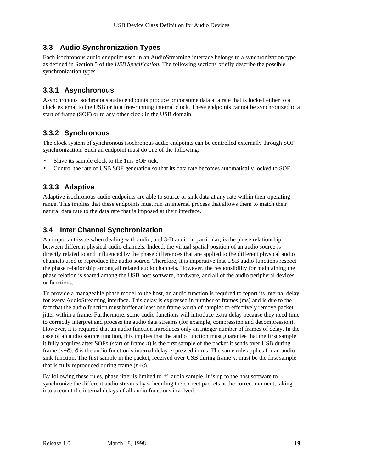#### **3.3 Audio Synchronization Types**

Each isochronous audio endpoint used in an AudioStreaming interface belongs to a synchronization type as defined in Section 5 of the *USB Specification*. The following sections briefly describe the possible synchronization types.

#### **3.3.1 Asynchronous**

Asynchronous isochronous audio endpoints produce or consume data at a rate that is locked either to a clock external to the USB or to a free-running internal clock. These endpoints cannot be synchronized to a start of frame (SOF) or to any other clock in the USB domain.

#### **3.3.2 Synchronous**

The clock system of synchronous isochronous audio endpoints can be controlled externally through SOF synchronization. Such an endpoint must do one of the following:

- Slave its sample clock to the 1ms SOF tick.
- Control the rate of USB SOF generation so that its data rate becomes automatically locked to SOF.

#### **3.3.3 Adaptive**

Adaptive isochronous audio endpoints are able to source or sink data at any rate within their operating range. This implies that these endpoints must run an internal process that allows them to match their natural data rate to the data rate that is imposed at their interface.

#### **3.4 Inter Channel Synchronization**

An important issue when dealing with audio, and 3-D audio in particular, is the phase relationship between different physical audio channels. Indeed, the virtual spatial position of an audio source is directly related to and influenced by the phase differences that are applied to the different physical audio channels used to reproduce the audio source. Therefore, it is imperative that USB audio functions respect the phase relationship among all related audio channels. However, the responsibility for maintaining the phase relation is shared among the USB host software, hardware, and all of the audio peripheral devices or functions.

To provide a manageable phase model to the host, an audio function is required to report its internal delay for every AudioStreaming interface. This delay is expressed in number of frames (ms) and is due to the fact that the audio function must buffer at least one frame worth of samples to effectively remove packet jitter within a frame. Furthermore, some audio functions will introduce extra delay because they need time to correctly interpret and process the audio data streams (for example, compression and decompression). However, it is required that an audio function introduces only an integer number of frames of delay. In the case of an audio source function, this implies that the audio function must guarantee that the first sample it fully acquires after SOF*n* (start of frame *n*) is the first sample of the packet it sends over USB during frame (*n*+δ). δ is the audio function's internal delay expressed in ms. The same rule applies for an audio sink function. The first sample in the packet, received over USB during frame *n*, must be the first sample that is fully reproduced during frame  $(n+\delta)$ .

By following these rules, phase jitter is limited to  $\pm 1$  audio sample. It is up to the host software to synchronize the different audio streams by scheduling the correct packets at the correct moment, taking into account the internal delays of all audio functions involved.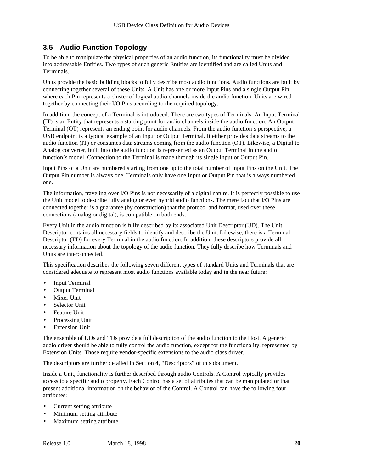#### **3.5 Audio Function Topology**

To be able to manipulate the physical properties of an audio function, its functionality must be divided into addressable Entities. Two types of such generic Entities are identified and are called Units and Terminals.

Units provide the basic building blocks to fully describe most audio functions. Audio functions are built by connecting together several of these Units. A Unit has one or more Input Pins and a single Output Pin, where each Pin represents a cluster of logical audio channels inside the audio function. Units are wired together by connecting their I/O Pins according to the required topology.

In addition, the concept of a Terminal is introduced. There are two types of Terminals. An Input Terminal (IT) is an Entity that represents a starting point for audio channels inside the audio function. An Output Terminal (OT) represents an ending point for audio channels. From the audio function's perspective, a USB endpoint is a typical example of an Input or Output Terminal. It either provides data streams to the audio function (IT) or consumes data streams coming from the audio function (OT). Likewise, a Digital to Analog converter, built into the audio function is represented as an Output Terminal in the audio function's model. Connection to the Terminal is made through its single Input or Output Pin.

Input Pins of a Unit are numbered starting from one up to the total number of Input Pins on the Unit. The Output Pin number is always one. Terminals only have one Input or Output Pin that is always numbered one.

The information, traveling over I/O Pins is not necessarily of a digital nature. It is perfectly possible to use the Unit model to describe fully analog or even hybrid audio functions. The mere fact that I/O Pins are connected together is a guarantee (by construction) that the protocol and format, used over these connections (analog or digital), is compatible on both ends.

Every Unit in the audio function is fully described by its associated Unit Descriptor (UD). The Unit Descriptor contains all necessary fields to identify and describe the Unit. Likewise, there is a Terminal Descriptor (TD) for every Terminal in the audio function. In addition, these descriptors provide all necessary information about the topology of the audio function. They fully describe how Terminals and Units are interconnected.

This specification describes the following seven different types of standard Units and Terminals that are considered adequate to represent most audio functions available today and in the near future:

- Input Terminal
- **Output Terminal**
- **Mixer Unit**
- Selector Unit
- Feature Unit
- Processing Unit
- **Extension Unit**

The ensemble of UDs and TDs provide a full description of the audio function to the Host. A generic audio driver should be able to fully control the audio function, except for the functionality, represented by Extension Units. Those require vendor-specific extensions to the audio class driver.

The descriptors are further detailed in Section 4, "Descriptors" of this document.

Inside a Unit, functionality is further described through audio Controls. A Control typically provides access to a specific audio property. Each Control has a set of attributes that can be manipulated or that present additional information on the behavior of the Control. A Control can have the following four attributes:

- Current setting attribute
- Minimum setting attribute
- Maximum setting attribute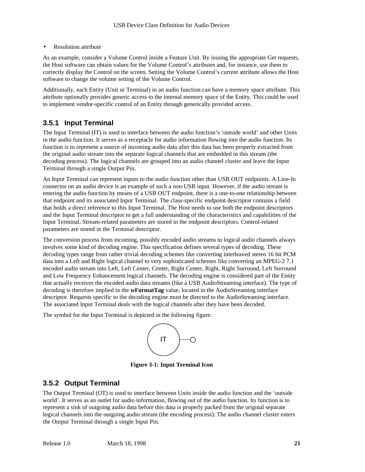• Resolution attribute

As an example, consider a Volume Control inside a Feature Unit. By issuing the appropriate Get requests, the Host software can obtain values for the Volume Control's attributes and, for instance, use them to correctly display the Control on the screen. Setting the Volume Control's current attribute allows the Host software to change the volume setting of the Volume Control.

Additionally, each Entity (Unit or Terminal) in an audio function can have a memory space attribute. This attribute optionally provides generic access to the internal memory space of the Entity. This could be used to implement vendor-specific control of an Entity through generically provided access.

#### **3.5.1 Input Terminal**

The Input Terminal (IT) is used to interface between the audio function's 'outside world' and other Units in the audio function. It serves as a receptacle for audio information flowing into the audio function. Its function is to represent a source of incoming audio data after this data has been properly extracted from the original audio stream into the separate logical channels that are embedded in this stream (the decoding process). The logical channels are grouped into an audio channel cluster and leave the Input Terminal through a single Output Pin.

An Input Terminal can represent inputs to the audio function other than USB OUT endpoints. A Line-In connector on an audio device is an example of such a non-USB input. However, if the audio stream is entering the audio function by means of a USB OUT endpoint, there is a one-to-one relationship between that endpoint and its associated Input Terminal. The class-specific endpoint descriptor contains a field that holds a direct reference to this Input Terminal. The Host needs to use both the endpoint descriptors and the Input Terminal descriptor to get a full understanding of the characteristics and capabilities of the Input Terminal. Stream-related parameters are stored in the endpoint descriptors. Control-related parameters are stored in the Terminal descriptor.

The conversion process from incoming, possibly encoded audio streams to logical audio channels always involves some kind of decoding engine. This specification defines several types of decoding. These decoding types range from rather trivial decoding schemes like converting interleaved stereo 16 bit PCM data into a Left and Right logical channel to very sophisticated schemes like converting an MPEG-2 7.1 encoded audio stream into Left, Left Center, Center, Right Center, Right, Right Surround, Left Surround and Low Frequency Enhancement logical channels. The decoding engine is considered part of the Entity that actually receives the encoded audio data streams (like a USB AudioStreaming interface). The type of decoding is therefore implied in the **wFormatTag** value, located in the AudioStreaming interface descriptor. Requests specific to the decoding engine must be directed to the AudioStreaming interface. The associated Input Terminal deals with the logical channels after they have been decoded.

The symbol for the Input Terminal is depicted in the following figure:



**Figure 3-1: Input Terminal Icon**

#### **3.5.2 Output Terminal**

The Output Terminal (OT) is used to interface between Units inside the audio function and the 'outside world'. It serves as an outlet for audio information, flowing out of the audio function. Its function is to represent a sink of outgoing audio data before this data is properly packed from the original separate logical channels into the outgoing audio stream (the encoding process). The audio channel cluster enters the Output Terminal through a single Input Pin.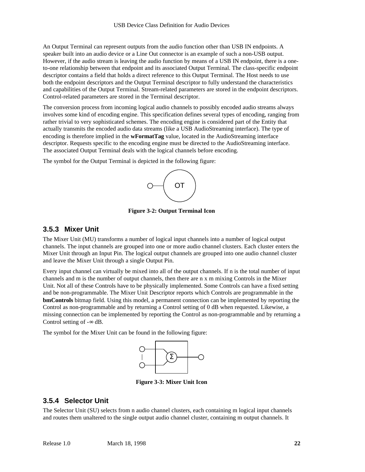An Output Terminal can represent outputs from the audio function other than USB IN endpoints. A speaker built into an audio device or a Line Out connector is an example of such a non-USB output. However, if the audio stream is leaving the audio function by means of a USB IN endpoint, there is a oneto-one relationship between that endpoint and its associated Output Terminal. The class-specific endpoint descriptor contains a field that holds a direct reference to this Output Terminal. The Host needs to use both the endpoint descriptors and the Output Terminal descriptor to fully understand the characteristics and capabilities of the Output Terminal. Stream-related parameters are stored in the endpoint descriptors. Control-related parameters are stored in the Terminal descriptor.

The conversion process from incoming logical audio channels to possibly encoded audio streams always involves some kind of encoding engine. This specification defines several types of encoding, ranging from rather trivial to very sophisticated schemes. The encoding engine is considered part of the Entity that actually transmits the encoded audio data streams (like a USB AudioStreaming interface). The type of encoding is therefore implied in the **wFormatTag** value, located in the AudioStreaming interface descriptor. Requests specific to the encoding engine must be directed to the AudioStreaming interface. The associated Output Terminal deals with the logical channels before encoding.

The symbol for the Output Terminal is depicted in the following figure:



**Figure 3-2: Output Terminal Icon**

#### **3.5.3 Mixer Unit**

The Mixer Unit (MU) transforms a number of logical input channels into a number of logical output channels. The input channels are grouped into one or more audio channel clusters. Each cluster enters the Mixer Unit through an Input Pin. The logical output channels are grouped into one audio channel cluster and leave the Mixer Unit through a single Output Pin.

Every input channel can virtually be mixed into all of the output channels. If n is the total number of input channels and m is the number of output channels, then there are n x m mixing Controls in the Mixer Unit. Not all of these Controls have to be physically implemented. Some Controls can have a fixed setting and be non-programmable. The Mixer Unit Descriptor reports which Controls are programmable in the **bmControls** bitmap field. Using this model, a permanent connection can be implemented by reporting the Control as non-programmable and by returning a Control setting of 0 dB when requested. Likewise, a missing connection can be implemented by reporting the Control as non-programmable and by returning a Control setting of  $-\infty$  dB.

The symbol for the Mixer Unit can be found in the following figure:



**Figure 3-3: Mixer Unit Icon**

#### **3.5.4 Selector Unit**

The Selector Unit (SU) selects from n audio channel clusters, each containing m logical input channels and routes them unaltered to the single output audio channel cluster, containing m output channels. It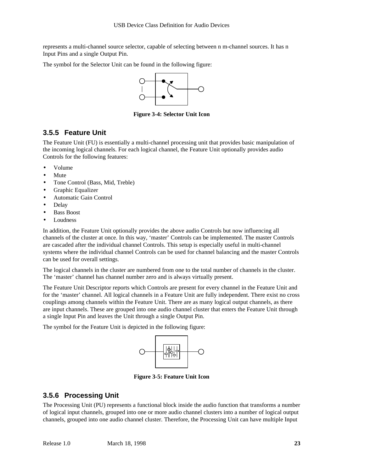represents a multi-channel source selector, capable of selecting between n m-channel sources. It has n Input Pins and a single Output Pin.

The symbol for the Selector Unit can be found in the following figure:



**Figure 3-4: Selector Unit Icon**

#### **3.5.5 Feature Unit**

The Feature Unit (FU) is essentially a multi-channel processing unit that provides basic manipulation of the incoming logical channels. For each logical channel, the Feature Unit optionally provides audio Controls for the following features:

- Volume
- Mute
- Tone Control (Bass, Mid, Treble)
- Graphic Equalizer
- Automatic Gain Control
- Delay
- **Bass Boost**
- **Loudness**

In addition, the Feature Unit optionally provides the above audio Controls but now influencing all channels of the cluster at once. In this way, 'master' Controls can be implemented. The master Controls are cascaded after the individual channel Controls. This setup is especially useful in multi-channel systems where the individual channel Controls can be used for channel balancing and the master Controls can be used for overall settings.

The logical channels in the cluster are numbered from one to the total number of channels in the cluster. The 'master' channel has channel number zero and is always virtually present.

The Feature Unit Descriptor reports which Controls are present for every channel in the Feature Unit and for the 'master' channel. All logical channels in a Feature Unit are fully independent. There exist no cross couplings among channels within the Feature Unit. There are as many logical output channels, as there are input channels. These are grouped into one audio channel cluster that enters the Feature Unit through a single Input Pin and leaves the Unit through a single Output Pin.

The symbol for the Feature Unit is depicted in the following figure:



**Figure 3-5: Feature Unit Icon**

#### **3.5.6 Processing Unit**

The Processing Unit (PU) represents a functional block inside the audio function that transforms a number of logical input channels, grouped into one or more audio channel clusters into a number of logical output channels, grouped into one audio channel cluster. Therefore, the Processing Unit can have multiple Input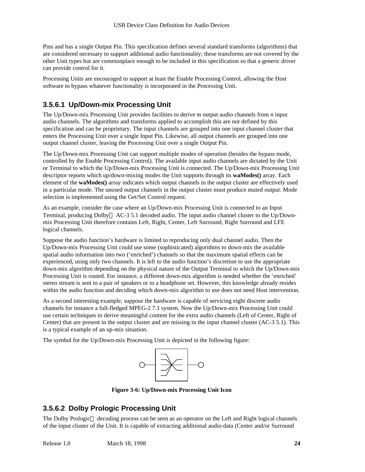Pins and has a single Output Pin. This specification defines several standard transforms (algorithms) that are considered necessary to support additional audio functionality; these transforms are not covered by the other Unit types but are commonplace enough to be included in this specification so that a generic driver can provide control for it.

Processing Units are encouraged to support at least the Enable Processing Control, allowing the Host software to bypass whatever functionality is incorporated in the Processing Unit.

### **3.5.6.1 Up/Down-mix Processing Unit**

The Up/Down-mix Processing Unit provides facilities to derive *m* output audio channels from *n* input audio channels. The algorithms and transforms applied to accomplish this are not defined by this specification and can be proprietary. The input channels are grouped into one input channel cluster that enters the Processing Unit over a single Input Pin. Likewise, all output channels are grouped into one output channel cluster, leaving the Processing Unit over a single Output Pin.

The Up/Down-mix Processing Unit can support multiple modes of operation (besides the bypass mode, controlled by the Enable Processing Control). The available input audio channels are dictated by the Unit or Terminal to which the Up/Down-mix Processing Unit is connected. The Up/Down-mix Processing Unit descriptor reports which up/down-mixing modes the Unit supports through its **waModes()** array. Each element of the **waModes()** array indicates which output channels in the output cluster are effectively used in a particular mode. The unused output channels in the output cluster must produce muted output. Mode selection is implemented using the Get/Set Control request.

As an example, consider the case where an Up/Down-mix Processing Unit is connected to an Input Terminal, producing Dolby<sup>TM</sup> AC-3 5.1 decoded audio. The input audio channel cluster to the Up/Downmix Processing Unit therefore contains Left, Right, Center, Left Surround, Right Surround and LFE logical channels.

Suppose the audio function's hardware is limited to reproducing only dual channel audio. Then the Up/Down-mix Processing Unit could use some (sophisticated) algorithms to down-mix the available spatial audio information into two ('enriched') channels so that the maximum spatial effects can be experienced, using only two channels. It is left to the audio function's discretion to use the appropriate down-mix algorithm depending on the physical nature of the Output Terminal to which the Up/Down-mix Processing Unit is routed. For instance, a different down-mix algorithm is needed whether the 'enriched' stereo stream is sent to a pair of speakers or to a headphone set. However, this knowledge already resides within the audio function and deciding which down-mix algorithm to use does not need Host intervention.

As a second interesting example, suppose the hardware is capable of servicing eight discrete audio channels for instance a full-fledged MPEG-2 7.1 system. Now the Up/Down-mix Processing Unit could use certain techniques to derive meaningful content for the extra audio channels (Left of Center, Right of Center) that are present in the output cluster and are missing in the input channel cluster (AC-3 5.1). This is a typical example of an up-mix situation.

The symbol for the Up/Down-mix Processing Unit is depicted in the following figure:



**Figure 3-6: Up/Down-mix Processing Unit Icon**

### **3.5.6.2 Dolby Prologic Processing Unit**

The Dolby Prologic<sup> $M$ </sup> decoding process can be seen as an operator on the Left and Right logical channels of the input cluster of the Unit. It is capable of extracting additional audio data (Center and/or Surround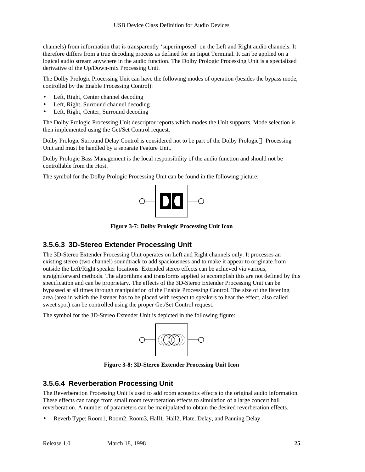channels) from information that is transparently 'superimposed' on the Left and Right audio channels. It therefore differs from a true decoding process as defined for an Input Terminal. It can be applied on a logical audio stream anywhere in the audio function. The Dolby Prologic Processing Unit is a specialized derivative of the Up/Down-mix Processing Unit.

The Dolby Prologic Processing Unit can have the following modes of operation (besides the bypass mode, controlled by the Enable Processing Control):

- Left, Right, Center channel decoding
- Left, Right, Surround channel decoding
- Left, Right, Center, Surround decoding

The Dolby Prologic Processing Unit descriptor reports which modes the Unit supports. Mode selection is then implemented using the Get/Set Control request.

Dolby Prologic Surround Delay Control is considered not to be part of the Dolby Prologic™ Processing Unit and must be handled by a separate Feature Unit.

Dolby Prologic Bass Management is the local responsibility of the audio function and should not be controllable from the Host.

The symbol for the Dolby Prologic Processing Unit can be found in the following picture:



**Figure 3-7: Dolby Prologic Processing Unit Icon**

#### **3.5.6.3 3D-Stereo Extender Processing Unit**

The 3D-Stereo Extender Processing Unit operates on Left and Right channels only. It processes an existing stereo (two channel) soundtrack to add spaciousness and to make it appear to originate from outside the Left/Right speaker locations. Extended stereo effects can be achieved via various, straightforward methods. The algorithms and transforms applied to accomplish this are not defined by this specification and can be proprietary. The effects of the 3D-Stereo Extender Processing Unit can be bypassed at all times through manipulation of the Enable Processing Control. The size of the listening area (area in which the listener has to be placed with respect to speakers to hear the effect, also called sweet spot) can be controlled using the proper Get/Set Control request.

The symbol for the 3D-Stereo Extender Unit is depicted in the following figure:



**Figure 3-8: 3D-Stereo Extender Processing Unit Icon**

#### **3.5.6.4 Reverberation Processing Unit**

The Reverberation Processing Unit is used to add room acoustics effects to the original audio information. These effects can range from small room reverberation effects to simulation of a large concert hall reverberation. A number of parameters can be manipulated to obtain the desired reverberation effects.

• Reverb Type: Room1, Room2, Room3, Hall1, Hall2, Plate, Delay, and Panning Delay.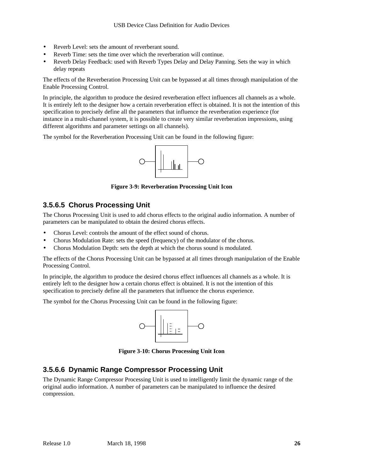- Reverb Level: sets the amount of reverberant sound.
- Reverb Time: sets the time over which the reverberation will continue.
- Reverb Delay Feedback: used with Reverb Types Delay and Delay Panning. Sets the way in which delay repeats

The effects of the Reverberation Processing Unit can be bypassed at all times through manipulation of the Enable Processing Control.

In principle, the algorithm to produce the desired reverberation effect influences all channels as a whole. It is entirely left to the designer how a certain reverberation effect is obtained. It is not the intention of this specification to precisely define all the parameters that influence the reverberation experience (for instance in a multi-channel system, it is possible to create very similar reverberation impressions, using different algorithms and parameter settings on all channels).

The symbol for the Reverberation Processing Unit can be found in the following figure:



**Figure 3-9: Reverberation Processing Unit Icon**

#### **3.5.6.5 Chorus Processing Unit**

The Chorus Processing Unit is used to add chorus effects to the original audio information. A number of parameters can be manipulated to obtain the desired chorus effects.

- Chorus Level: controls the amount of the effect sound of chorus.
- Chorus Modulation Rate: sets the speed (frequency) of the modulator of the chorus.
- Chorus Modulation Depth: sets the depth at which the chorus sound is modulated.

The effects of the Chorus Processing Unit can be bypassed at all times through manipulation of the Enable Processing Control.

In principle, the algorithm to produce the desired chorus effect influences all channels as a whole. It is entirely left to the designer how a certain chorus effect is obtained. It is not the intention of this specification to precisely define all the parameters that influence the chorus experience.

The symbol for the Chorus Processing Unit can be found in the following figure:



**Figure 3-10: Chorus Processing Unit Icon**

#### **3.5.6.6 Dynamic Range Compressor Processing Unit**

The Dynamic Range Compressor Processing Unit is used to intelligently limit the dynamic range of the original audio information. A number of parameters can be manipulated to influence the desired compression.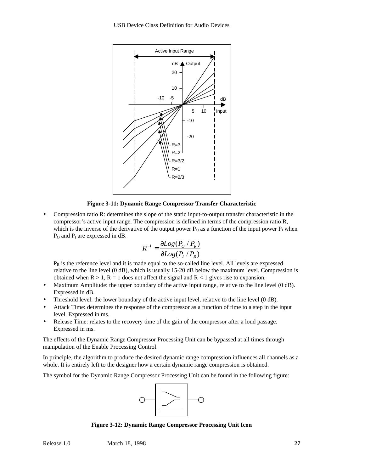

**Figure 3-11: Dynamic Range Compressor Transfer Characteristic**

• Compression ratio R: determines the slope of the static input-to-output transfer characteristic in the compressor's active input range. The compression is defined in terms of the compression ratio R, which is the inverse of the derivative of the output power  $P_0$  as a function of the input power  $P_1$  when  $P_0$  and  $P_I$  are expressed in dB.

$$
R^{-1} = \frac{\partial Log(P_0 / P_R)}{\partial Log(P_1 / P_R)}
$$

 $P_R$  is the reference level and it is made equal to the so-called line level. All levels are expressed relative to the line level (0 dB), which is usually 15-20 dB below the maximum level. Compression is obtained when  $R > 1$ ,  $R = 1$  does not affect the signal and  $R < 1$  gives rise to expansion.

- Maximum Amplitude: the upper boundary of the active input range, relative to the line level (0 dB). Expressed in dB.
- Threshold level: the lower boundary of the active input level, relative to the line level (0 dB).
- Attack Time: determines the response of the compressor as a function of time to a step in the input level. Expressed in ms.
- Release Time: relates to the recovery time of the gain of the compressor after a loud passage. Expressed in ms.

The effects of the Dynamic Range Compressor Processing Unit can be bypassed at all times through manipulation of the Enable Processing Control.

In principle, the algorithm to produce the desired dynamic range compression influences all channels as a whole. It is entirely left to the designer how a certain dynamic range compression is obtained.

The symbol for the Dynamic Range Compressor Processing Unit can be found in the following figure:



**Figure 3-12: Dynamic Range Compressor Processing Unit Icon**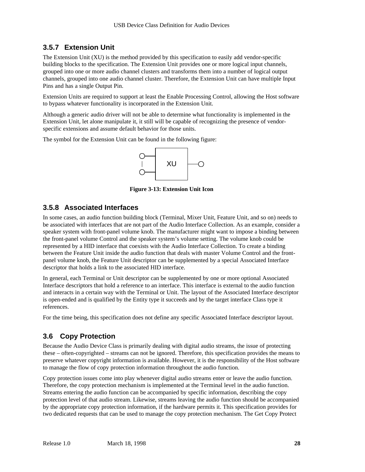#### **3.5.7 Extension Unit**

The Extension Unit (XU) is the method provided by this specification to easily add vendor-specific building blocks to the specification. The Extension Unit provides one or more logical input channels, grouped into one or more audio channel clusters and transforms them into a number of logical output channels, grouped into one audio channel cluster. Therefore, the Extension Unit can have multiple Input Pins and has a single Output Pin.

Extension Units are required to support at least the Enable Processing Control, allowing the Host software to bypass whatever functionality is incorporated in the Extension Unit.

Although a generic audio driver will not be able to determine what functionality is implemented in the Extension Unit, let alone manipulate it, it still will be capable of recognizing the presence of vendorspecific extensions and assume default behavior for those units.

The symbol for the Extension Unit can be found in the following figure:



**Figure 3-13: Extension Unit Icon**

#### **3.5.8 Associated Interfaces**

In some cases, an audio function building block (Terminal, Mixer Unit, Feature Unit, and so on) needs to be associated with interfaces that are not part of the Audio Interface Collection. As an example, consider a speaker system with front-panel volume knob. The manufacturer might want to impose a binding between the front-panel volume Control and the speaker system's volume setting. The volume knob could be represented by a HID interface that coexists with the Audio Interface Collection. To create a binding between the Feature Unit inside the audio function that deals with master Volume Control and the frontpanel volume knob, the Feature Unit descriptor can be supplemented by a special Associated Interface descriptor that holds a link to the associated HID interface.

In general, each Terminal or Unit descriptor can be supplemented by one or more optional Associated Interface descriptors that hold a reference to an interface. This interface is external to the audio function and interacts in a certain way with the Terminal or Unit. The layout of the Associated Interface descriptor is open-ended and is qualified by the Entity type it succeeds and by the target interface Class type it references.

For the time being, this specification does not define any specific Associated Interface descriptor layout.

#### **3.6 Copy Protection**

Because the Audio Device Class is primarily dealing with digital audio streams, the issue of protecting these – often-copyrighted – streams can not be ignored. Therefore, this specification provides the means to preserve whatever copyright information is available. However, it is the responsibility of the Host software to manage the flow of copy protection information throughout the audio function.

Copy protection issues come into play whenever digital audio streams enter or leave the audio function. Therefore, the copy protection mechanism is implemented at the Terminal level in the audio function. Streams entering the audio function can be accompanied by specific information, describing the copy protection level of that audio stream. Likewise, streams leaving the audio function should be accompanied by the appropriate copy protection information, if the hardware permits it. This specification provides for two dedicated requests that can be used to manage the copy protection mechanism. The Get Copy Protect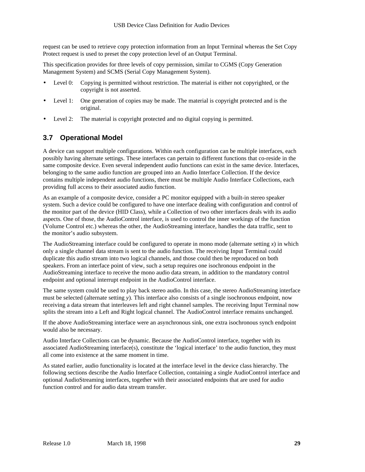request can be used to retrieve copy protection information from an Input Terminal whereas the Set Copy Protect request is used to preset the copy protection level of an Output Terminal.

This specification provides for three levels of copy permission, similar to CGMS (Copy Generation Management System) and SCMS (Serial Copy Management System).

- Level 0: Copying is permitted without restriction. The material is either not copyrighted, or the copyright is not asserted.
- Level 1: One generation of copies may be made. The material is copyright protected and is the original.
- Level 2: The material is copyright protected and no digital copying is permitted.

#### **3.7 Operational Model**

A device can support multiple configurations. Within each configuration can be multiple interfaces, each possibly having alternate settings. These interfaces can pertain to different functions that co-reside in the same composite device. Even several independent audio functions can exist in the same device. Interfaces, belonging to the same audio function are grouped into an Audio Interface Collection. If the device contains multiple independent audio functions, there must be multiple Audio Interface Collections, each providing full access to their associated audio function.

As an example of a composite device, consider a PC monitor equipped with a built-in stereo speaker system. Such a device could be configured to have one interface dealing with configuration and control of the monitor part of the device (HID Class), while a Collection of two other interfaces deals with its audio aspects. One of those, the AudioControl interface, is used to control the inner workings of the function (Volume Control etc.) whereas the other, the AudioStreaming interface, handles the data traffic, sent to the monitor's audio subsystem.

The AudioStreaming interface could be configured to operate in mono mode (alternate setting *x*) in which only a single channel data stream is sent to the audio function. The receiving Input Terminal could duplicate this audio stream into two logical channels, and those could then be reproduced on both speakers. From an interface point of view, such a setup requires one isochronous endpoint in the AudioStreaming interface to receive the mono audio data stream, in addition to the mandatory control endpoint and optional interrupt endpoint in the AudioControl interface.

The same system could be used to play back stereo audio. In this case, the stereo AudioStreaming interface must be selected (alternate setting *y*). This interface also consists of a single isochronous endpoint, now receiving a data stream that interleaves left and right channel samples. The receiving Input Terminal now splits the stream into a Left and Right logical channel. The AudioControl interface remains unchanged.

If the above AudioStreaming interface were an asynchronous sink, one extra isochronous synch endpoint would also be necessary.

Audio Interface Collections can be dynamic. Because the AudioControl interface, together with its associated AudioStreaming interface(s), constitute the 'logical interface' to the audio function, they must all come into existence at the same moment in time.

As stated earlier, audio functionality is located at the interface level in the device class hierarchy. The following sections describe the Audio Interface Collection, containing a single AudioControl interface and optional AudioStreaming interfaces, together with their associated endpoints that are used for audio function control and for audio data stream transfer.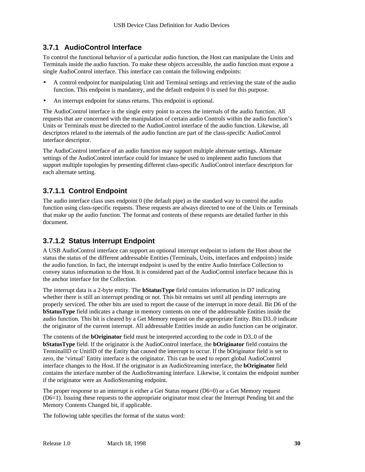#### **3.7.1 AudioControl Interface**

To control the functional behavior of a particular audio function, the Host can manipulate the Units and Terminals inside the audio function. To make these objects accessible, the audio function must expose a single AudioControl interface. This interface can contain the following endpoints:

- A control endpoint for manipulating Unit and Terminal settings and retrieving the state of the audio function. This endpoint is mandatory, and the default endpoint 0 is used for this purpose.
- An interrupt endpoint for status returns. This endpoint is optional.

The AudioControl interface is the single entry point to access the internals of the audio function. All requests that are concerned with the manipulation of certain audio Controls within the audio function's Units or Terminals must be directed to the AudioControl interface of the audio function. Likewise, all descriptors related to the internals of the audio function are part of the class-specific AudioControl interface descriptor.

The AudioControl interface of an audio function may support multiple alternate settings. Alternate settings of the AudioControl interface could for instance be used to implement audio functions that support multiple topologies by presenting different class-specific AudioControl interface descriptors for each alternate setting.

#### **3.7.1.1 Control Endpoint**

The audio interface class uses endpoint 0 (the default pipe) as the standard way to control the audio function using class-specific requests. These requests are always directed to one of the Units or Terminals that make up the audio function. The format and contents of these requests are detailed further in this document.

#### **3.7.1.2 Status Interrupt Endpoint**

A USB AudioControl interface can support an optional interrupt endpoint to inform the Host about the status the status of the different addressable Entities (Terminals, Units, interfaces and endpoints) inside the audio function. In fact, the interrupt endpoint is used by the entire Audio Interface Collection to convey status information to the Host. It is considered part of the AudioControl interface because this is the anchor interface for the Collection.

The interrupt data is a 2-byte entity. The **bStatusType** field contains information in D7 indicating whether there is still an interrupt pending or not. This bit remains set until all pending interrupts are properly serviced. The other bits are used to report the cause of the interrupt in more detail. Bit D6 of the **bStatusType** field indicates a change in memory contents on one of the addressable Entities inside the audio function. This bit is cleared by a Get Memory request on the appropriate Entity. Bits D3..0 indicate the originator of the current interrupt. All addressable Entities inside an audio function can be originator.

The contents of the **bOriginator** field must be interpreted according to the code in D3..0 of the **bStatusType** field. If the originator is the AudioControl interface, the **bOriginator** field contains the TerminalID or UnitID of the Entity that caused the interrupt to occur. If the bOriginator field is set to zero, the 'virtual' Entity interface is the originator. This can be used to report global AudioControl interface changes to the Host. If the originator is an AudioStreaming interface, the **bOriginator** field contains the interface number of the AudioStreaming interface. Likewise, it contains the endpoint number if the originator were an AudioStreaming endpoint.

The proper response to an interrupt is either a Get Status request (D6=0) or a Get Memory request (D6=1). Issuing these requests to the appropriate originator must clear the Interrupt Pending bit and the Memory Contents Changed bit, if applicable.

The following table specifies the format of the status word: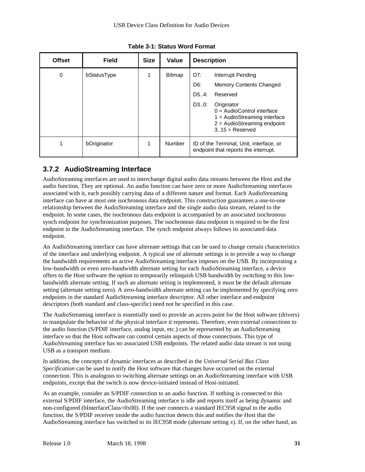| <b>Offset</b> | <b>Field</b> | <b>Size</b> | Value         | <b>Description</b>                                                                                                                                                                                                                   |
|---------------|--------------|-------------|---------------|--------------------------------------------------------------------------------------------------------------------------------------------------------------------------------------------------------------------------------------|
| 0             | bStatusType  |             | <b>Bitmap</b> | D7:<br>Interrupt Pending<br>D6:<br><b>Memory Contents Changed</b><br>D5.4:<br>Reserved<br>D30:<br>Originator<br>$0 =$ AudioControl interface<br>$1 =$ AudioStreaming interface<br>$2 =$ AudioStreaming endpoint<br>$3.15$ = Reserved |
|               | bOriginator  | 1           | Number        | ID of the Terminal, Unit, interface, or<br>endpoint that reports the interrupt.                                                                                                                                                      |

**Table 3-1: Status Word Format**

#### **3.7.2 AudioStreaming Interface**

AudioStreaming interfaces are used to interchange digital audio data streams between the Host and the audio function. They are optional. An audio function can have zero or more AudioStreaming interfaces associated with it, each possibly carrying data of a different nature and format. Each AudioStreaming interface can have at most one isochronous data endpoint. This construction guarantees a one-to-one relationship between the AudioStreaming interface and the single audio data stream, related to the endpoint. In some cases, the isochronous data endpoint is accompanied by an associated isochronous synch endpoint for synchronization purposes. The isochronous data endpoint is required to be the first endpoint in the AudioStreaming interface. The synch endpoint always follows its associated data endpoint.

An AudioStreaming interface can have alternate settings that can be used to change certain characteristics of the interface and underlying endpoint. A typical use of alternate settings is to provide a way to change the bandwidth requirements an active AudioStreaming interface imposes on the USB. By incorporating a low-bandwidth or even zero-bandwidth alternate setting for each AudioStreaming interface, a device offers to the Host software the option to temporarily relinquish USB bandwidth by switching to this lowbandwidth alternate setting. If such an alternate setting is implemented, it must be the default alternate setting (alternate setting zero). A zero-bandwidth alternate setting can be implemented by specifying zero endpoints in the standard AudioStreaming interface descriptor. All other interface and endpoint descriptors (both standard and class-specific) need not be specified in this case.

The AudioStreaming interface is essentially used to provide an access point for the Host software (drivers) to manipulate the behavior of the physical interface it represents. Therefore, even external connections to the audio function (S/PDIF interface, analog input, etc.) can be represented by an AudioStreaming interface so that the Host software can control certain aspects of those connections. This type of AudioStreaming interface has no associated USB endpoints. The related audio data stream is not using USB as a transport medium.

In addition, the concepts of dynamic interfaces as described in the *Universal Serial Bus Class Specification* can be used to notify the Host software that changes have occurred on the external connection. This is analogous to switching alternate settings on an AudioStreaming interface with USB endpoints, except that the switch is now device-initiated instead of Host-initiated.

As an example, consider an S/PDIF connection to an audio function. If nothing is connected to this external S/PDIF interface, the AudioStreaming interface is idle and reports itself as being dynamic and non-configured (bInterfaceClass=0x00). If the user connects a standard IEC958 signal to the audio function, the S/PDIF receiver inside the audio function detects this and notifies the Host that the AudioStreaming interface has switched to its IEC958 mode (alternate setting *x*). If, on the other hand, an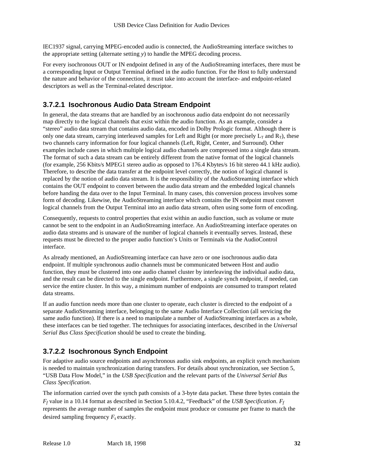IEC1937 signal, carrying MPEG-encoded audio is connected, the AudioStreaming interface switches to the appropriate setting (alternate setting *y*) to handle the MPEG decoding process.

For every isochronous OUT or IN endpoint defined in any of the AudioStreaming interfaces, there must be a corresponding Input or Output Terminal defined in the audio function. For the Host to fully understand the nature and behavior of the connection, it must take into account the interface- and endpoint-related descriptors as well as the Terminal-related descriptor.

#### **3.7.2.1 Isochronous Audio Data Stream Endpoint**

In general, the data streams that are handled by an isochronous audio data endpoint do not necessarily map directly to the logical channels that exist within the audio function. As an example, consider a "stereo" audio data stream that contains audio data, encoded in Dolby Prologic format. Although there is only one data stream, carrying interleaved samples for Left and Right (or more precisely  $L_T$  and  $R_T$ ), these two channels carry information for four logical channels (Left, Right, Center, and Surround). Other examples include cases in which multiple logical audio channels are compressed into a single data stream. The format of such a data stream can be entirely different from the native format of the logical channels (for example, 256 Kbits/s MPEG1 stereo audio as opposed to 176.4 Kbytes/s 16 bit stereo 44.1 kHz audio). Therefore, to describe the data transfer at the endpoint level correctly, the notion of logical channel is replaced by the notion of audio data stream. It is the responsibility of the AudioStreaming interface which contains the OUT endpoint to convert between the audio data stream and the embedded logical channels before handing the data over to the Input Terminal. In many cases, this conversion process involves some form of decoding. Likewise, the AudioStreaming interface which contains the IN endpoint must convert logical channels from the Output Terminal into an audio data stream, often using some form of encoding.

Consequently, requests to control properties that exist within an audio function, such as volume or mute cannot be sent to the endpoint in an AudioStreaming interface. An AudioStreaming interface operates on audio data streams and is unaware of the number of logical channels it eventually serves. Instead, these requests must be directed to the proper audio function's Units or Terminals via the AudioControl interface.

As already mentioned, an AudioStreaming interface can have zero or one isochronous audio data endpoint. If multiple synchronous audio channels must be communicated between Host and audio function, they must be clustered into one audio channel cluster by interleaving the individual audio data, and the result can be directed to the single endpoint. Furthermore, a single synch endpoint, if needed, can service the entire cluster. In this way, a minimum number of endpoints are consumed to transport related data streams.

If an audio function needs more than one cluster to operate, each cluster is directed to the endpoint of a separate AudioStreaming interface, belonging to the same Audio Interface Collection (all servicing the same audio function). If there is a need to manipulate a number of AudioStreaming interfaces as a whole, these interfaces can be tied together. The techniques for associating interfaces, described in the *Universal Serial Bus Class Specification* should be used to create the binding.

### **3.7.2.2 Isochronous Synch Endpoint**

For adaptive audio source endpoints and asynchronous audio sink endpoints, an explicit synch mechanism is needed to maintain synchronization during transfers. For details about synchronization, see Section 5, "USB Data Flow Model," in the *USB Specification* and the relevant parts of the *Universal Serial Bus Class Specification*.

The information carried over the synch path consists of a 3-byte data packet. These three bytes contain the *Ff* value in a 10.14 format as described in Section 5.10.4.2, "Feedback" of the *USB Specification*. *F<sup>f</sup>* represents the average number of samples the endpoint must produce or consume per frame to match the desired sampling frequency *F<sup>s</sup>* exactly.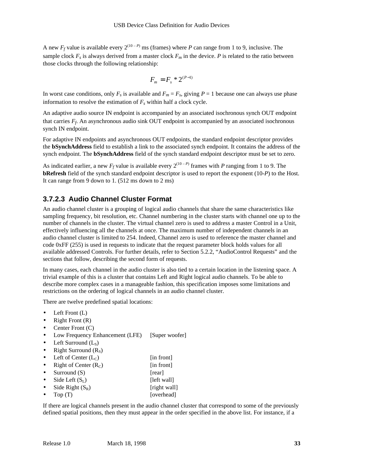A new  $F_f$  value is available every  $2^{(10 - P)}$  ms (frames) where P can range from 1 to 9, inclusive. The sample clock  $F_s$  is always derived from a master clock  $F_m$  in the device. P is related to the ratio between those clocks through the following relationship:

$$
F_m = F_s * 2^{(P-1)}
$$

In worst case conditions, only  $F_s$  is available and  $F_m = F_s$ , giving  $P = 1$  because one can always use phase information to resolve the estimation of  $F_s$  within half a clock cycle.

An adaptive audio source IN endpoint is accompanied by an associated isochronous synch OUT endpoint that carries *F<sup>f</sup>* . An asynchronous audio sink OUT endpoint is accompanied by an associated isochronous synch IN endpoint.

For adaptive IN endpoints and asynchronous OUT endpoints, the standard endpoint descriptor provides the **bSynchAddress** field to establish a link to the associated synch endpoint. It contains the address of the synch endpoint. The **bSynchAddress** field of the synch standard endpoint descriptor must be set to zero.

As indicated earlier, a new  $F_f$  value is available every  $2^{(10 - P)}$  frames with P ranging from 1 to 9. The **bRefresh** field of the synch standard endpoint descriptor is used to report the exponent (10-*P*) to the Host. It can range from 9 down to 1. (512 ms down to 2 ms)

#### **3.7.2.3 Audio Channel Cluster Format**

An audio channel cluster is a grouping of logical audio channels that share the same characteristics like sampling frequency, bit resolution, etc. Channel numbering in the cluster starts with channel one up to the number of channels in the cluster. The virtual channel zero is used to address a master Control in a Unit, effectively influencing all the channels at once. The maximum number of independent channels in an audio channel cluster is limited to 254. Indeed, Channel zero is used to reference the master channel and code 0xFF (255) is used in requests to indicate that the request parameter block holds values for all available addressed Controls. For further details, refer to Section 5.2.2, "AudioControl Requests" and the sections that follow, describing the second form of requests.

In many cases, each channel in the audio cluster is also tied to a certain location in the listening space. A trivial example of this is a cluster that contains Left and Right logical audio channels. To be able to describe more complex cases in a manageable fashion, this specification imposes some limitations and restrictions on the ordering of logical channels in an audio channel cluster.

There are twelve predefined spatial locations:

- Left Front (L)
- Right Front (R)
- Center Front (C)
- Low Frequency Enhancement (LFE) [Super woofer]
- Left Surround  $(L_s)$
- Right Surround  $(R<sub>S</sub>)$
- Left of Center  $(L_C)$  [in front]
- **Right of Center**  $(R_C)$  [in front]
- Surround (S) [rear]
- $\text{Side Left}(\mathbf{S}_L)$  [left wall]
- Side Right  $(S_R)$  [right wall]
- Top (T) [overhead]

If there are logical channels present in the audio channel cluster that correspond to some of the previously defined spatial positions, then they must appear in the order specified in the above list. For instance, if a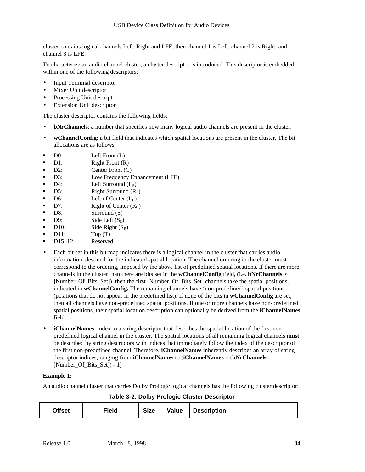cluster contains logical channels Left, Right and LFE, then channel 1 is Left, channel 2 is Right, and channel 3 is LFE.

To characterize an audio channel cluster, a cluster descriptor is introduced. This descriptor is embedded within one of the following descriptors:

- Input Terminal descriptor
- Mixer Unit descriptor
- Processing Unit descriptor
- Extension Unit descriptor

The cluster descriptor contains the following fields:

- **bNrChannels**: a number that specifies how many logical audio channels are present in the cluster.
- **wChannelConfig**: a bit field that indicates which spatial locations are present in the cluster. The bit allocations are as follows:
- $\blacksquare$  D0: Left Front (L)
- $\blacksquare$  D1: Right Front (R)
- D2: Center Front (C)
- **B** D3: Low Frequency Enhancement (LFE)
- $D4$ : Left Surround  $(L<sub>S</sub>)$
- $\blacksquare$  D5: Right Surround  $(R<sub>S</sub>)$
- D6: Left of Center  $(L_C)$
- $\blacksquare$  D7: Right of Center  $(R_C)$
- D8: Surround (S)
- **D**9: Side Left  $(S_L)$
- $\blacksquare$  D10: Side Right  $(S_R)$
- $\blacksquare$  D11:  $\text{Top (T)}$
- D15..12: Reserved
- Each bit set in this bit map indicates there is a logical channel in the cluster that carries audio information, destined for the indicated spatial location. The channel ordering in the cluster must correspond to the ordering, imposed by the above list of predefined spatial locations. If there are more channels in the cluster than there are bits set in the **wChannelConfig** field, (i.e. **bNrChannels > [**Number\_Of\_Bits\_Set]), then the first [Number\_Of\_Bits\_Set] channels take the spatial positions, indicated in **wChannelConfig.** The remaining channels have 'non-predefined' spatial positions (positions that do not appear in the predefined list). If none of the bits in **wChannelConfig** are set, then all channels have non-predefined spatial positions. If one or more channels have non-predefined spatial positions, their spatial location description can optionally be derived from the **iChannelNames** field.
- **iChannelNames**: index to a string descriptor that describes the spatial location of the first nonpredefined logical channel in the cluster. The spatial locations of all remaining logical channels **must** be described by string descriptors with indices that immediately follow the index of the descriptor of the first non-predefined channel. Therefore, **iChannelNames** inherently describes an array of string descriptor indices, ranging from **iChannelNames** to (**iChannelNames** + (**bNrChannels**- [Number Of Bits Set]) - 1)

#### **Example 1:**

An audio channel cluster that carries Dolby Prologic logical channels has the following cluster descriptor: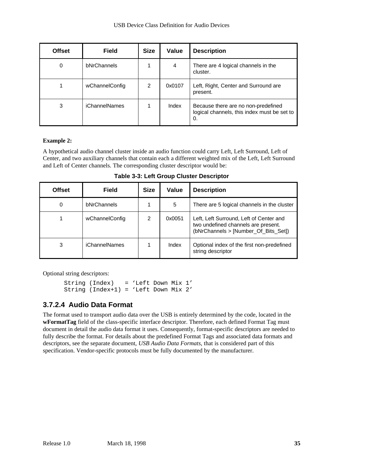| <b>Offset</b> | <b>Field</b>         | <b>Size</b>   | Value  | <b>Description</b>                                                                       |
|---------------|----------------------|---------------|--------|------------------------------------------------------------------------------------------|
| 0             | bNrChannels          |               | 4      | There are 4 logical channels in the<br>cluster.                                          |
|               | wChannelConfig       | $\mathcal{P}$ | 0x0107 | Left, Right, Center and Surround are<br>present.                                         |
| 3             | <b>iChannelNames</b> |               | Index  | Because there are no non-predefined<br>logical channels, this index must be set to<br>0. |

#### **Example 2:**

A hypothetical audio channel cluster inside an audio function could carry Left, Left Surround, Left of Center, and two auxiliary channels that contain each a different weighted mix of the Left, Left Surround and Left of Center channels. The corresponding cluster descriptor would be:

| <b>Offset</b> | <b>Field</b>         | <b>Size</b>    | Value  | <b>Description</b>                                                                                                     |
|---------------|----------------------|----------------|--------|------------------------------------------------------------------------------------------------------------------------|
| 0             | bNrChannels          |                | 5      | There are 5 logical channels in the cluster                                                                            |
|               | wChannelConfig       | $\mathfrak{p}$ | 0x0051 | Left, Left Surround, Left of Center and<br>two undefined channels are present.<br>(bNrChannels > [Number Of Bits Set]) |
| 3             | <i>iChannelNames</i> |                | Index  | Optional index of the first non-predefined<br>string descriptor                                                        |

**Table 3-3: Left Group Cluster Descriptor**

Optional string descriptors:

```
String (Index) = 'Left Down Mix 1'
String (Index+1) = 'Left Down Mix 2'
```
#### **3.7.2.4 Audio Data Format**

The format used to transport audio data over the USB is entirely determined by the code, located in the **wFormatTag** field of the class-specific interface descriptor. Therefore, each defined Format Tag must document in detail the audio data format it uses. Consequently, format-specific descriptors are needed to fully describe the format. For details about the predefined Format Tags and associated data formats and descriptors, see the separate document, *USB Audio Data Formats*, that is considered part of this specification. Vendor-specific protocols must be fully documented by the manufacturer.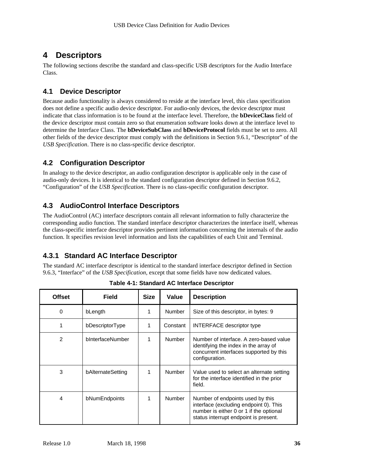# **4 Descriptors**

The following sections describe the standard and class-specific USB descriptors for the Audio Interface Class.

### **4.1 Device Descriptor**

Because audio functionality is always considered to reside at the interface level, this class specification does not define a specific audio device descriptor. For audio-only devices, the device descriptor must indicate that class information is to be found at the interface level. Therefore, the **bDeviceClass** field of the device descriptor must contain zero so that enumeration software looks down at the interface level to determine the Interface Class. The **bDeviceSubClass** and **bDeviceProtocol** fields must be set to zero. All other fields of the device descriptor must comply with the definitions in Section 9.6.1, "Descriptor" of the *USB Specification*. There is no class-specific device descriptor.

### **4.2 Configuration Descriptor**

In analogy to the device descriptor, an audio configuration descriptor is applicable only in the case of audio-only devices. It is identical to the standard configuration descriptor defined in Section 9.6.2, "Configuration" of the *USB Specification*. There is no class-specific configuration descriptor.

### **4.3 AudioControl Interface Descriptors**

The AudioControl (AC) interface descriptors contain all relevant information to fully characterize the corresponding audio function. The standard interface descriptor characterizes the interface itself, whereas the class-specific interface descriptor provides pertinent information concerning the internals of the audio function. It specifies revision level information and lists the capabilities of each Unit and Terminal.

### **4.3.1 Standard AC Interface Descriptor**

The standard AC interface descriptor is identical to the standard interface descriptor defined in Section 9.6.3, "Interface" of the *USB Specification*, except that some fields have now dedicated values.

| <b>Offset</b>  | Field             | <b>Size</b> | Value         | <b>Description</b>                                                                                                                                             |
|----------------|-------------------|-------------|---------------|----------------------------------------------------------------------------------------------------------------------------------------------------------------|
| 0              | bLength           |             | <b>Number</b> | Size of this descriptor, in bytes: 9                                                                                                                           |
| 1              | bDescriptorType   |             | Constant      | <b>INTERFACE descriptor type</b>                                                                                                                               |
| $\overline{2}$ | bInterfaceNumber  |             | Number        | Number of interface. A zero-based value<br>identifying the index in the array of<br>concurrent interfaces supported by this<br>configuration.                  |
| 3              | bAlternateSetting |             | Number        | Value used to select an alternate setting<br>for the interface identified in the prior<br>field.                                                               |
| 4              | bNumEndpoints     |             | <b>Number</b> | Number of endpoints used by this<br>interface (excluding endpoint 0). This<br>number is either 0 or 1 if the optional<br>status interrupt endpoint is present. |

**Table 4-1: Standard AC Interface Descriptor**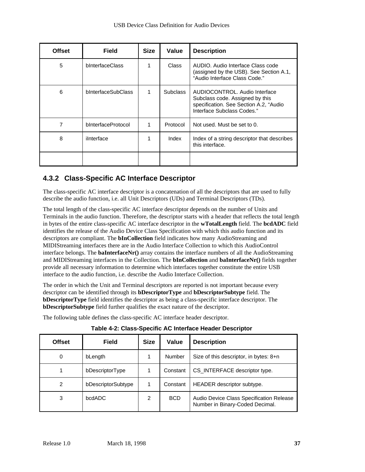| <b>Offset</b> | <b>Field</b>           | <b>Size</b> | Value           | <b>Description</b>                                                                                                                       |
|---------------|------------------------|-------------|-----------------|------------------------------------------------------------------------------------------------------------------------------------------|
| 5             | <b>bInterfaceClass</b> |             | Class           | AUDIO. Audio Interface Class code<br>(assigned by the USB). See Section A.1,<br>"Audio Interface Class Code."                            |
| 6             | bInterfaceSubClass     | 1           | <b>Subclass</b> | AUDIOCONTROL, Audio Interface<br>Subclass code. Assigned by this<br>specification. See Section A.2, "Audio<br>Interface Subclass Codes." |
| 7             | bInterfaceProtocol     | 1           | Protocol        | Not used. Must be set to 0.                                                                                                              |
| 8             | ilnterface             | 1           | Index           | Index of a string descriptor that describes<br>this interface.                                                                           |
|               |                        |             |                 |                                                                                                                                          |

### **4.3.2 Class-Specific AC Interface Descriptor**

The class-specific AC interface descriptor is a concatenation of all the descriptors that are used to fully describe the audio function, i.e. all Unit Descriptors (UDs) and Terminal Descriptors (TDs).

The total length of the class-specific AC interface descriptor depends on the number of Units and Terminals in the audio function. Therefore, the descriptor starts with a header that reflects the total length in bytes of the entire class-specific AC interface descriptor in the **wTotalLength** field. The **bcdADC** field identifies the release of the Audio Device Class Specification with which this audio function and its descriptors are compliant. The **bInCollection** field indicates how many AudioStreaming and MIDIStreaming interfaces there are in the Audio Interface Collection to which this AudioControl interface belongs. The **baInterfaceNr**() array contains the interface numbers of all the AudioStreaming and MIDIStreaming interfaces in the Collection. The **bInCollection** and **baInterfaceNr()** fields together provide all necessary information to determine which interfaces together constitute the entire USB interface to the audio function, i.e. describe the Audio Interface Collection.

The order in which the Unit and Terminal descriptors are reported is not important because every descriptor can be identified through its **bDescriptorType** and **bDescriptorSubtype** field. The **bDescriptorType** field identifies the descriptor as being a class-specific interface descriptor. The **bDescriptorSubtype** field further qualifies the exact nature of the descriptor.

The following table defines the class-specific AC interface header descriptor.

| <b>Offset</b>  | <b>Field</b>       | <b>Size</b> | Value      | <b>Description</b>                                                          |  |
|----------------|--------------------|-------------|------------|-----------------------------------------------------------------------------|--|
| 0              | bLength            |             | Number     | Size of this descriptor, in bytes: 8+n                                      |  |
|                | bDescriptorType    |             | Constant   | CS INTERFACE descriptor type.                                               |  |
| $\overline{2}$ | bDescriptorSubtype |             | Constant   | HEADER descriptor subtype.                                                  |  |
| 3              | bcdADC             | 2           | <b>BCD</b> | Audio Device Class Specification Release<br>Number in Binary-Coded Decimal. |  |

**Table 4-2: Class-Specific AC Interface Header Descriptor**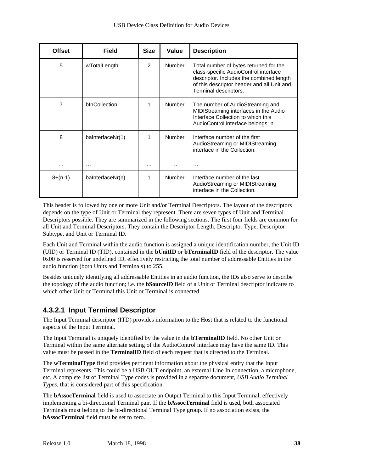| <b>Offset</b> | Field            | <b>Size</b> | Value         | <b>Description</b>                                                                                                                                                                                 |
|---------------|------------------|-------------|---------------|----------------------------------------------------------------------------------------------------------------------------------------------------------------------------------------------------|
| 5             | wTotalLength     | 2           | <b>Number</b> | Total number of bytes returned for the<br>class-specific AudioControl interface<br>descriptor. Includes the combined length<br>of this descriptor header and all Unit and<br>Terminal descriptors. |
| 7             | bInCollection    | 1           | Number        | The number of AudioStreaming and<br>MIDIStreaming interfaces in the Audio<br>Interface Collection to which this<br>AudioControl interface belongs: n                                               |
| 8             | baInterfaceNr(1) | 1           | Number        | Interface number of the first<br>AudioStreaming or MIDIStreaming<br>interface in the Collection.                                                                                                   |
| .             | $\cdots$         | .           | .             | $\cdots$                                                                                                                                                                                           |
| $8+(n-1)$     | baInterfaceNr(n) | 1           | <b>Number</b> | Interface number of the last<br>AudioStreaming or MIDIStreaming<br>interface in the Collection.                                                                                                    |

This header is followed by one or more Unit and/or Terminal Descriptors. The layout of the descriptors depends on the type of Unit or Terminal they represent. There are seven types of Unit and Terminal Descriptors possible. They are summarized in the following sections. The first four fields are common for all Unit and Terminal Descriptors. They contain the Descriptor Length, Descriptor Type, Descriptor Subtype, and Unit or Terminal ID.

Each Unit and Terminal within the audio function is assigned a unique identification number, the Unit ID (UID) or Terminal ID (TID), contained in the **bUnitID** or **bTerminalID** field of the descriptor. The value 0x00 is reserved for undefined ID, effectively restricting the total number of addressable Entities in the audio function (both Units and Terminals) to 255.

Besides uniquely identifying all addressable Entities in an audio function, the IDs also serve to describe the topology of the audio function; i.e. the **bSourceID** field of a Unit or Terminal descriptor indicates to which other Unit or Terminal this Unit or Terminal is connected.

### **4.3.2.1 Input Terminal Descriptor**

The Input Terminal descriptor (ITD) provides information to the Host that is related to the functional aspects of the Input Terminal.

The Input Terminal is uniquely identified by the value in the **bTerminalID** field. No other Unit or Terminal within the same alternate setting of the AudioControl interface may have the same ID. This value must be passed in the **TerminalID** field of each request that is directed to the Terminal.

The **wTerminalType** field provides pertinent information about the physical entity that the Input Terminal represents. This could be a USB OUT endpoint, an external Line In connection, a microphone, etc. A complete list of Terminal Type codes is provided in a separate document, *USB Audio Terminal Types*, that is considered part of this specification.

The **bAssocTerminal** field is used to associate an Output Terminal to this Input Terminal, effectively implementing a bi-directional Terminal pair. If the **bAssocTerminal** field is used, both associated Terminals must belong to the bi-directional Terminal Type group. If no association exists, the **bAssocTerminal** field must be set to zero.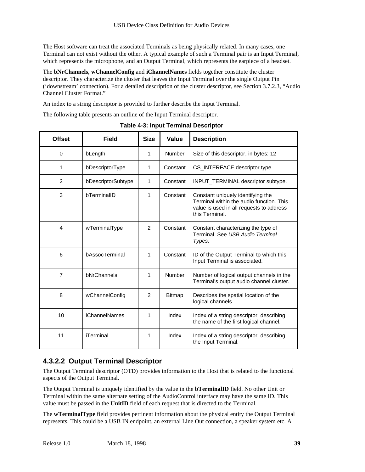The Host software can treat the associated Terminals as being physically related. In many cases, one Terminal can not exist without the other. A typical example of such a Terminal pair is an Input Terminal, which represents the microphone, and an Output Terminal, which represents the earpiece of a headset.

The **bNrChannels**, **wChannelConfig** and **iChannelNames** fields together constitute the cluster descriptor. They characterize the cluster that leaves the Input Terminal over the single Output Pin ('downstream' connection). For a detailed description of the cluster descriptor, see Section 3.7.2.3, "Audio Channel Cluster Format."

An index to a string descriptor is provided to further describe the Input Terminal.

The following table presents an outline of the Input Terminal descriptor.

| <b>Offset</b>  | <b>Field</b>         | <b>Size</b>   | Value         | <b>Description</b>                                                                                                                          |
|----------------|----------------------|---------------|---------------|---------------------------------------------------------------------------------------------------------------------------------------------|
| $\Omega$       | bLength              | 1             | Number        | Size of this descriptor, in bytes: 12                                                                                                       |
| 1              | bDescriptorType      | 1             | Constant      | CS_INTERFACE descriptor type.                                                                                                               |
| 2              | bDescriptorSubtype   | 1             | Constant      | INPUT_TERMINAL descriptor subtype.                                                                                                          |
| 3              | bTerminalID          | 1             | Constant      | Constant uniquely identifying the<br>Terminal within the audio function. This<br>value is used in all requests to address<br>this Terminal. |
| $\overline{4}$ | wTerminalType        | $\mathcal{P}$ | Constant      | Constant characterizing the type of<br>Terminal, See USB Audio Terminal<br>Types.                                                           |
| 6              | bAssocTerminal       | 1             | Constant      | ID of the Output Terminal to which this<br>Input Terminal is associated.                                                                    |
| $\overline{7}$ | bNrChannels          | 1             | Number        | Number of logical output channels in the<br>Terminal's output audio channel cluster.                                                        |
| 8              | wChannelConfig       | $\mathcal{P}$ | <b>Bitmap</b> | Describes the spatial location of the<br>logical channels.                                                                                  |
| 10             | <b>iChannelNames</b> | 1             | Index         | Index of a string descriptor, describing<br>the name of the first logical channel.                                                          |
| 11             | <b>iTerminal</b>     | 1             | Index         | Index of a string descriptor, describing<br>the Input Terminal.                                                                             |

**Table 4-3: Input Terminal Descriptor**

### **4.3.2.2 Output Terminal Descriptor**

The Output Terminal descriptor (OTD) provides information to the Host that is related to the functional aspects of the Output Terminal.

The Output Terminal is uniquely identified by the value in the **bTerminalID** field. No other Unit or Terminal within the same alternate setting of the AudioControl interface may have the same ID. This value must be passed in the **UnitID** field of each request that is directed to the Terminal.

The **wTerminalType** field provides pertinent information about the physical entity the Output Terminal represents. This could be a USB IN endpoint, an external Line Out connection, a speaker system etc. A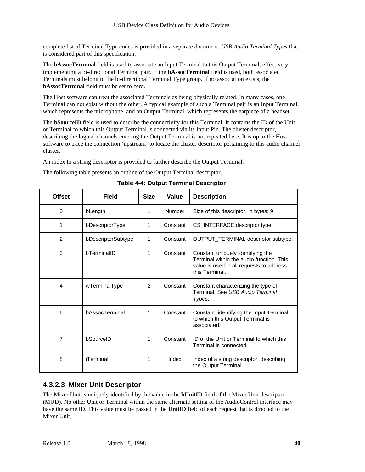complete list of Terminal Type codes is provided in a separate document, *USB Audio Terminal Types* that is considered part of this specification.

The **bAssocTerminal** field is used to associate an Input Terminal to this Output Terminal, effectively implementing a bi-directional Terminal pair. If the **bAssocTerminal** field is used, both associated Terminals must belong to the bi-directional Terminal Type group. If no association exists, the **bAssocTerminal** field must be set to zero.

The Host software can treat the associated Terminals as being physically related. In many cases, one Terminal can not exist without the other. A typical example of such a Terminal pair is an Input Terminal, which represents the microphone, and an Output Terminal, which represents the earpiece of a headset.

The **bSourceID** field is used to describe the connectivity for this Terminal. It contains the ID of the Unit or Terminal to which this Output Terminal is connected via its Input Pin. The cluster descriptor, describing the logical channels entering the Output Terminal is not repeated here. It is up to the Host software to trace the connection 'upstream' to locate the cluster descriptor pertaining to this audio channel cluster.

An index to a string descriptor is provided to further describe the Output Terminal.

The following table presents an outline of the Output Terminal descriptor.

| <b>Offset</b>  | <b>Field</b>       | <b>Size</b>   | Value    | <b>Description</b>                                                                                                                          |
|----------------|--------------------|---------------|----------|---------------------------------------------------------------------------------------------------------------------------------------------|
| 0              | bLength            | 1             | Number   | Size of this descriptor, in bytes: 9                                                                                                        |
| 1              | bDescriptorType    | 1             | Constant | CS_INTERFACE descriptor type.                                                                                                               |
| $\overline{2}$ | bDescriptorSubtype | 1             | Constant | OUTPUT_TERMINAL descriptor subtype.                                                                                                         |
| 3              | bTerminalID        | 1             | Constant | Constant uniquely identifying the<br>Terminal within the audio function. This<br>value is used in all requests to address<br>this Terminal. |
| 4              | wTerminalType      | $\mathcal{P}$ | Constant | Constant characterizing the type of<br>Terminal, See USB Audio Terminal<br>Types.                                                           |
| 6              | bAssocTerminal     | 1             | Constant | Constant, identifying the Input Terminal<br>to which this Output Terminal is<br>associated.                                                 |
| 7              | bSourceID          | 1             | Constant | ID of the Unit or Terminal to which this<br>Terminal is connected.                                                                          |
| 8              | iTerminal          | 1             | Index    | Index of a string descriptor, describing<br>the Output Terminal.                                                                            |

**Table 4-4: Output Terminal Descriptor**

#### **4.3.2.3 Mixer Unit Descriptor**

The Mixer Unit is uniquely identified by the value in the **bUnitID** field of the Mixer Unit descriptor (MUD). No other Unit or Terminal within the same alternate setting of the AudioControl interface may have the same ID. This value must be passed in the **UnitID** field of each request that is directed to the Mixer Unit.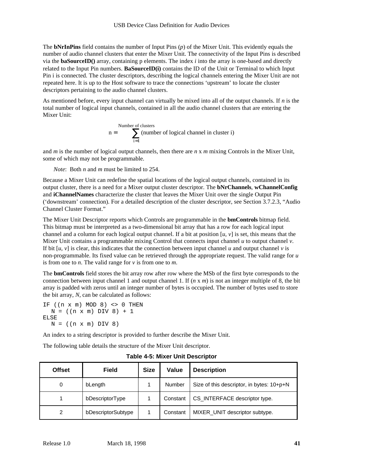The **bNrInPins** field contains the number of Input Pins (*p*) of the Mixer Unit. This evidently equals the number of audio channel clusters that enter the Mixer Unit. The connectivity of the Input Pins is described via the **baSourceID()** array, containing p elements. The index *i* into the array is one-based and directly related to the Input Pin numbers. **BaSourceID(i)** contains the ID of the Unit or Terminal to which Input Pin i is connected. The cluster descriptors, describing the logical channels entering the Mixer Unit are not repeated here. It is up to the Host software to trace the connections 'upstream' to locate the cluster descriptors pertaining to the audio channel clusters.

As mentioned before, every input channel can virtually be mixed into all of the output channels. If *n* is the total number of logical input channels, contained in all the audio channel clusters that are entering the Mixer Unit:

Number of clusters  

$$
n = \sum_{i=1}^{Number of logical channel in cluster i}
$$

and *m* is the number of logical output channels, then there are *n* x *m* mixing Controls in the Mixer Unit, some of which may not be programmable.

*Note*: Both *n* and *m* must be limited to 254.

Because a Mixer Unit can redefine the spatial locations of the logical output channels, contained in its output cluster, there is a need for a Mixer output cluster descriptor. The **bNrChannels**, **wChannelConfig** and **iChannelNames** characterize the cluster that leaves the Mixer Unit over the single Output Pin ('downstream' connection). For a detailed description of the cluster descriptor, see Section 3.7.2.3, "Audio Channel Cluster Format."

The Mixer Unit Descriptor reports which Controls are programmable in the **bmControls** bitmap field. This bitmap must be interpreted as a two-dimensional bit array that has a row for each logical input channel and a column for each logical output channel. If a bit at position  $[u, v]$  is set, this means that the Mixer Unit contains a programmable mixing Control that connects input channel *u* to output channel *v*. If bit  $[u, v]$  is clear, this indicates that the connection between input channel *u* and output channel *v* is non-programmable. Its fixed value can be retrieved through the appropriate request. The valid range for *u* is from one to *n*. The valid range for *v* is from one to *m*.

The **bmControls** field stores the bit array row after row where the MSb of the first byte corresponds to the connection between input channel 1 and output channel 1. If (*n* x *m*) is not an integer multiple of 8, the bit array is padded with zeros until an integer number of bytes is occupied. The number of bytes used to store the bit array, *N*, can be calculated as follows:

IF  $((n \times m)$  MOD 8) <> 0 THEN  $N = ((n \times m) DIV 8) + 1$ ELSE  $N = ((n \times m) DIV 8)$ 

An index to a string descriptor is provided to further describe the Mixer Unit.

The following table details the structure of the Mixer Unit descriptor.

| <b>Offset</b> | <b>Field</b>       | <b>Size</b> | Value    | <b>Description</b>                        |
|---------------|--------------------|-------------|----------|-------------------------------------------|
| 0             | bLength            |             | Number   | Size of this descriptor, in bytes: 10+p+N |
|               | bDescriptorType    |             | Constant | CS_INTERFACE descriptor type.             |
| 2             | bDescriptorSubtype |             | Constant | MIXER_UNIT descriptor subtype.            |

**Table 4-5: Mixer Unit Descriptor**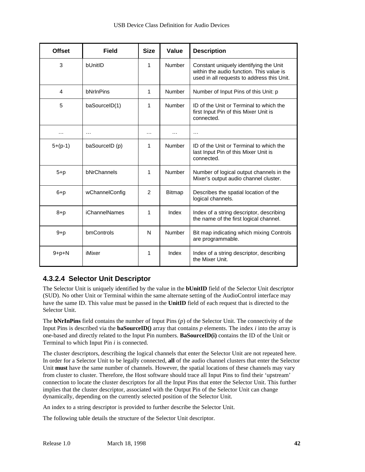| <b>Offset</b> | <b>Field</b>         | <b>Size</b>    | Value         | <b>Description</b>                                                                                                               |
|---------------|----------------------|----------------|---------------|----------------------------------------------------------------------------------------------------------------------------------|
| 3             | bUnitID              | 1              | <b>Number</b> | Constant uniquely identifying the Unit<br>within the audio function. This value is<br>used in all requests to address this Unit. |
| 4             | bNrInPins            | 1              | <b>Number</b> | Number of Input Pins of this Unit: p                                                                                             |
| 5             | baSourceID(1)        | 1              | Number        | ID of the Unit or Terminal to which the<br>first Input Pin of this Mixer Unit is<br>connected.                                   |
| .             | $\cdots$             | .              | .             | $\cdots$                                                                                                                         |
| $5+(p-1)$     | baSourceID (p)       | 1              | <b>Number</b> | ID of the Unit or Terminal to which the<br>last Input Pin of this Mixer Unit is<br>connected.                                    |
| $5+p$         | bNrChannels          | 1              | Number        | Number of logical output channels in the<br>Mixer's output audio channel cluster.                                                |
| $6+p$         | wChannelConfig       | $\overline{2}$ | <b>Bitmap</b> | Describes the spatial location of the<br>logical channels.                                                                       |
| $8+p$         | <b>iChannelNames</b> | 1              | Index         | Index of a string descriptor, describing<br>the name of the first logical channel.                                               |
| $9+p$         | bmControls           | N              | Number        | Bit map indicating which mixing Controls<br>are programmable.                                                                    |
| $9+p+N$       | iMixer               | 1              | Index         | Index of a string descriptor, describing<br>the Mixer Unit.                                                                      |

## **4.3.2.4 Selector Unit Descriptor**

The Selector Unit is uniquely identified by the value in the **bUnitID** field of the Selector Unit descriptor (SUD). No other Unit or Terminal within the same alternate setting of the AudioControl interface may have the same ID. This value must be passed in the **UnitID** field of each request that is directed to the Selector Unit.

The **bNrInPins** field contains the number of Input Pins (*p*) of the Selector Unit. The connectivity of the Input Pins is described via the **baSourceID()** array that contains *p* elements. The index *i* into the array is one-based and directly related to the Input Pin numbers. **BaSourceID(i)** contains the ID of the Unit or Terminal to which Input Pin *i* is connected.

The cluster descriptors, describing the logical channels that enter the Selector Unit are not repeated here. In order for a Selector Unit to be legally connected, **all** of the audio channel clusters that enter the Selector Unit **must** have the same number of channels. However, the spatial locations of these channels may vary from cluster to cluster. Therefore, the Host software should trace all Input Pins to find their 'upstream' connection to locate the cluster descriptors for all the Input Pins that enter the Selector Unit. This further implies that the cluster descriptor, associated with the Output Pin of the Selector Unit can change dynamically, depending on the currently selected position of the Selector Unit.

An index to a string descriptor is provided to further describe the Selector Unit.

The following table details the structure of the Selector Unit descriptor.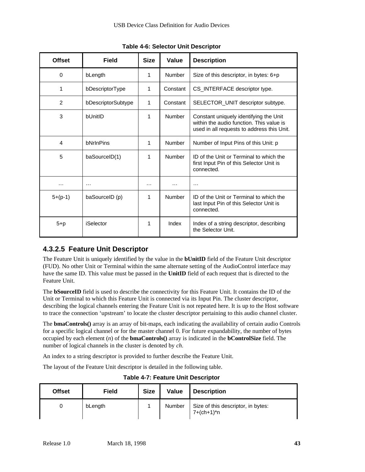| <b>Offset</b>  | Field              | <b>Size</b> | Value         | <b>Description</b>                                                                                                               |
|----------------|--------------------|-------------|---------------|----------------------------------------------------------------------------------------------------------------------------------|
| $\Omega$       | bLength            | 1           | Number        | Size of this descriptor, in bytes: $6+p$                                                                                         |
| 1              | bDescriptorType    | 1           | Constant      | CS_INTERFACE descriptor type.                                                                                                    |
| $\overline{2}$ | bDescriptorSubtype | 1           | Constant      | SELECTOR_UNIT descriptor subtype.                                                                                                |
| 3              | <b>bUnitID</b>     | 1           | <b>Number</b> | Constant uniquely identifying the Unit<br>within the audio function. This value is<br>used in all requests to address this Unit. |
| 4              | bNrInPins          | 1           | Number        | Number of Input Pins of this Unit: p                                                                                             |
| 5              | baSourceID(1)      | 1           | Number        | ID of the Unit or Terminal to which the<br>first Input Pin of this Selector Unit is<br>connected.                                |
| .              | $\cdots$           | .           | .             | .                                                                                                                                |
| $5+(p-1)$      | baSourceID (p)     | 1           | <b>Number</b> | ID of the Unit or Terminal to which the<br>last Input Pin of this Selector Unit is<br>connected.                                 |
| $5+p$          | iSelector          | 1           | Index         | Index of a string descriptor, describing<br>the Selector Unit.                                                                   |

**Table 4-6: Selector Unit Descriptor**

### **4.3.2.5 Feature Unit Descriptor**

The Feature Unit is uniquely identified by the value in the **bUnitID** field of the Feature Unit descriptor (FUD). No other Unit or Terminal within the same alternate setting of the AudioControl interface may have the same ID. This value must be passed in the **UnitID** field of each request that is directed to the Feature Unit.

The **bSourceID** field is used to describe the connectivity for this Feature Unit. It contains the ID of the Unit or Terminal to which this Feature Unit is connected via its Input Pin. The cluster descriptor, describing the logical channels entering the Feature Unit is not repeated here. It is up to the Host software to trace the connection 'upstream' to locate the cluster descriptor pertaining to this audio channel cluster.

The **bmaControls()** array is an array of bit-maps, each indicating the availability of certain audio Controls for a specific logical channel or for the master channel 0. For future expandability, the number of bytes occupied by each element (*n*) of the **bmaControls()** array is indicated in the **bControlSize** field. The number of logical channels in the cluster is denoted by *ch*.

An index to a string descriptor is provided to further describe the Feature Unit.

The layout of the Feature Unit descriptor is detailed in the following table.

| <b>Offset</b> | Field   | <b>Size</b> | Value  | <b>Description</b>                                 |
|---------------|---------|-------------|--------|----------------------------------------------------|
|               | bLength |             | Number | Size of this descriptor, in bytes:<br>$7+(ch+1)*n$ |

**Table 4-7: Feature Unit Descriptor**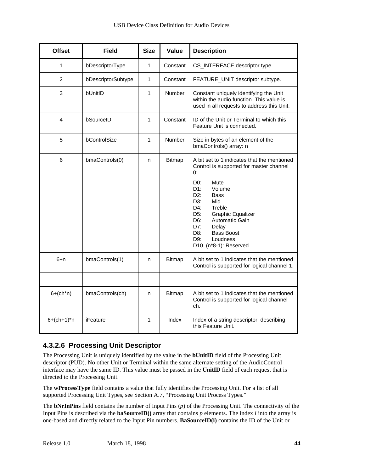| <b>Offset</b>  | <b>Field</b>       | <b>Size</b>  | Value         | <b>Description</b>                                                                                                                                                                                                                                                                                                                                             |
|----------------|--------------------|--------------|---------------|----------------------------------------------------------------------------------------------------------------------------------------------------------------------------------------------------------------------------------------------------------------------------------------------------------------------------------------------------------------|
| 1              | bDescriptorType    | $\mathbf{1}$ | Constant      | CS_INTERFACE descriptor type.                                                                                                                                                                                                                                                                                                                                  |
| $\overline{2}$ | bDescriptorSubtype | $\mathbf{1}$ | Constant      | FEATURE_UNIT descriptor subtype.                                                                                                                                                                                                                                                                                                                               |
| 3              | bUnitID            | $\mathbf{1}$ | <b>Number</b> | Constant uniquely identifying the Unit<br>within the audio function. This value is<br>used in all requests to address this Unit.                                                                                                                                                                                                                               |
| 4              | bSourceID          | $\mathbf{1}$ | Constant      | ID of the Unit or Terminal to which this<br>Feature Unit is connected.                                                                                                                                                                                                                                                                                         |
| 5              | bControlSize       | $\mathbf{1}$ | Number        | Size in bytes of an element of the<br>bmaControls() array: n                                                                                                                                                                                                                                                                                                   |
| 6              | bmaControls(0)     | n            | <b>Bitmap</b> | A bit set to 1 indicates that the mentioned<br>Control is supported for master channel<br>0:<br>D <sub>0</sub> :<br>Mute<br>D1:<br>Volume<br>D <sub>2</sub> :<br><b>Bass</b><br>D3:<br>Mid<br>D4:<br>Treble<br>D5:<br><b>Graphic Equalizer</b><br>Automatic Gain<br>D6:<br>D7:<br>Delay<br><b>Bass Boost</b><br>D8:<br>D9:<br>Loudness<br>D10(n*8-1): Reserved |
| $6+n$          | bmaControls(1)     | n            | Bitmap        | A bit set to 1 indicates that the mentioned<br>Control is supported for logical channel 1.                                                                                                                                                                                                                                                                     |
| $\cdots$       | .                  | $\cdots$     | $\cdots$      | $\cdots$                                                                                                                                                                                                                                                                                                                                                       |
| $6+(ch*n)$     | bmaControls(ch)    | n            | <b>Bitmap</b> | A bit set to 1 indicates that the mentioned<br>Control is supported for logical channel<br>ch.                                                                                                                                                                                                                                                                 |
| $6+(ch+1)*n$   | iFeature           | 1            | Index         | Index of a string descriptor, describing<br>this Feature Unit.                                                                                                                                                                                                                                                                                                 |

## **4.3.2.6 Processing Unit Descriptor**

The Processing Unit is uniquely identified by the value in the **bUnitID** field of the Processing Unit descriptor (PUD). No other Unit or Terminal within the same alternate setting of the AudioControl interface may have the same ID. This value must be passed in the **UnitID** field of each request that is directed to the Processing Unit.

The **wProcessType** field contains a value that fully identifies the Processing Unit. For a list of all supported Processing Unit Types, see Section A.7, "Processing Unit Process Types."

The **bNrInPins** field contains the number of Input Pins (*p*) of the Processing Unit. The connectivity of the Input Pins is described via the **baSourceID**() array that contains  $p$  elements. The index  $i$  into the array is one-based and directly related to the Input Pin numbers. **BaSourceID(i)** contains the ID of the Unit or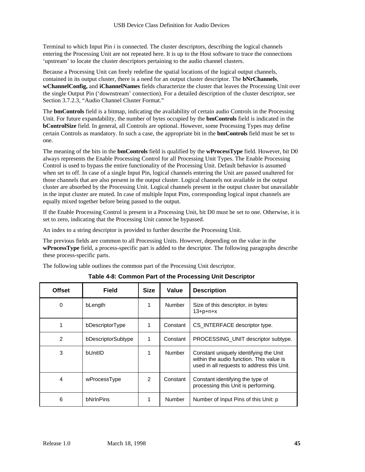Terminal to which Input Pin *i* is connected. The cluster descriptors, describing the logical channels entering the Processing Unit are not repeated here. It is up to the Host software to trace the connections 'upstream' to locate the cluster descriptors pertaining to the audio channel clusters.

Because a Processing Unit can freely redefine the spatial locations of the logical output channels, contained in its output cluster, there is a need for an output cluster descriptor. The **bNrChannels**, **wChannelConfig,** and **iChannelNames** fields characterize the cluster that leaves the Processing Unit over the single Output Pin ('downstream' connection). For a detailed description of the cluster descriptor, see Section 3.7.2.3, "Audio Channel Cluster Format."

The **bmControls** field is a bitmap, indicating the availability of certain audio Controls in the Processing Unit. For future expandability, the number of bytes occupied by the **bmControls** field is indicated in the **bControlSize** field. In general, all Controls are optional. However, some Processing Types may define certain Controls as mandatory. In such a case, the appropriate bit in the **bmControls** field must be set to one.

The meaning of the bits in the **bmControls** field is qualified by the **wProcessType** field. However, bit D0 always represents the Enable Processing Control for all Processing Unit Types. The Enable Processing Control is used to bypass the entire functionality of the Processing Unit. Default behavior is assumed when set to off. In case of a single Input Pin, logical channels entering the Unit are passed unaltered for those channels that are also present in the output cluster. Logical channels not available in the output cluster are absorbed by the Processing Unit. Logical channels present in the output cluster but unavailable in the input cluster are muted. In case of multiple Input Pins, corresponding logical input channels are equally mixed together before being passed to the output.

If the Enable Processing Control is present in a Processing Unit, bit D0 must be set to one. Otherwise, it is set to zero, indicating that the Processing Unit cannot be bypassed.

An index to a string descriptor is provided to further describe the Processing Unit.

The previous fields are common to all Processing Units. However, depending on the value in the **wProcessType** field, a process-specific part is added to the descriptor. The following paragraphs describe these process-specific parts.

The following table outlines the common part of the Processing Unit descriptor.

| <b>Offset</b>  | <b>Field</b>       | <b>Size</b>   | Value         | <b>Description</b>                                                                                                               |
|----------------|--------------------|---------------|---------------|----------------------------------------------------------------------------------------------------------------------------------|
| 0              | bLength            | 1             | <b>Number</b> | Size of this descriptor, in bytes:<br>$13 + p + n + x$                                                                           |
| 1              | bDescriptorType    | 1             | Constant      | CS_INTERFACE descriptor type.                                                                                                    |
| $\overline{2}$ | bDescriptorSubtype | 1             | Constant      | PROCESSING UNIT descriptor subtype.                                                                                              |
| 3              | bl JnitID          |               | <b>Number</b> | Constant uniquely identifying the Unit<br>within the audio function. This value is<br>used in all requests to address this Unit. |
| 4              | wProcessType       | $\mathcal{P}$ | Constant      | Constant identifying the type of<br>processing this Unit is performing.                                                          |
| 6              | bNrInPins          |               | <b>Number</b> | Number of Input Pins of this Unit: p                                                                                             |

**Table 4-8: Common Part of the Processing Unit Descriptor**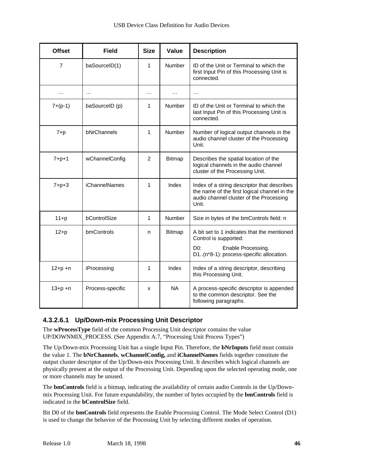| <b>Offset</b> | <b>Field</b>         | <b>Size</b>    | Value         | <b>Description</b>                                                                                                                                        |
|---------------|----------------------|----------------|---------------|-----------------------------------------------------------------------------------------------------------------------------------------------------------|
| 7             | baSourceID(1)        | 1              | Number        | ID of the Unit or Terminal to which the<br>first Input Pin of this Processing Unit is<br>connected.                                                       |
| .             | $\cdots$             | .              | $\cdots$      | $\cdots$                                                                                                                                                  |
| $7+(p-1)$     | baSourceID (p)       | 1              | Number        | ID of the Unit or Terminal to which the<br>last Input Pin of this Processing Unit is<br>connected.                                                        |
| $7+p$         | bNrChannels          | 1              | Number        | Number of logical output channels in the<br>audio channel cluster of the Processing<br>Unit.                                                              |
| $7 + p + 1$   | wChannelConfig       | $\overline{2}$ | <b>Bitmap</b> | Describes the spatial location of the<br>logical channels in the audio channel<br>cluster of the Processing Unit.                                         |
| $7 + p + 3$   | <b>iChannelNames</b> | 1              | Index         | Index of a string descriptor that describes<br>the name of the first logical channel in the<br>audio channel cluster of the Processing<br>Unit.           |
| $11+p$        | bControlSize         | $\mathbf{1}$   | Number        | Size in bytes of the bmControls field: n                                                                                                                  |
| $12+p$        | bmControls           | n              | <b>Bitmap</b> | A bit set to 1 indicates that the mentioned<br>Control is supported:<br>Enable Processing.<br>D <sub>0</sub> :<br>D1(n*8-1): process-specific allocation. |
| $12 + p + n$  | iProcessing          | 1              | Index         | Index of a string descriptor, describing<br>this Processing Unit.                                                                                         |
| $13 + p + n$  | Process-specific     | x              | <b>NA</b>     | A process-specific descriptor is appended<br>to the common descriptor. See the<br>following paragraphs.                                                   |

#### **4.3.2.6.1 Up/Down-mix Processing Unit Descriptor**

The **wProcessType** field of the common Processing Unit descriptor contains the value UP/DOWNMIX\_PROCESS. (See Appendix A.7, "Processing Unit Process Types")

The Up/Down-mix Processing Unit has a single Input Pin. Therefore, the **bNrInputs** field must contain the value 1. The **bNrChannels**, **wChannelConfig,** and **iChannelNames** fields together constitute the output cluster descriptor of the Up/Down-mix Processing Unit. It describes which logical channels are physically present at the output of the Processing Unit. Depending upon the selected operating mode, one or more channels may be unused.

The **bmControls** field is a bitmap, indicating the availability of certain audio Controls in the Up/Downmix Processing Unit. For future expandability, the number of bytes occupied by the **bmControls** field is indicated in the **bControlSize** field.

Bit D0 of the **bmControls** field represents the Enable Processing Control. The Mode Select Control (D1) is used to change the behavior of the Processing Unit by selecting different modes of operation.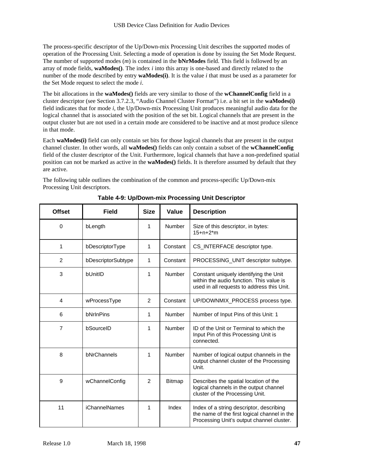The process-specific descriptor of the Up/Down-mix Processing Unit describes the supported modes of operation of the Processing Unit. Selecting a mode of operation is done by issuing the Set Mode Request. The number of supported modes (*m*) is contained in the **bNrModes** field. This field is followed by an array of mode fields, **waModes()**. The index *i* into this array is one-based and directly related to the number of the mode described by entry **waModes(i)**. It is the value *i* that must be used as a parameter for the Set Mode request to select the mode *i*.

The bit allocations in the **waModes()** fields are very similar to those of the **wChannelConfig** field in a cluster descriptor (see Section 3.7.2.3, "Audio Channel Cluster Format") i.e. a bit set in the **waModes(i)** field indicates that for mode *i*, the Up/Down-mix Processing Unit produces meaningful audio data for the logical channel that is associated with the position of the set bit. Logical channels that are present in the output cluster but are not used in a certain mode are considered to be inactive and at most produce silence in that mode.

Each **waModes(i)** field can only contain set bits for those logical channels that are present in the output channel cluster. In other words, all **waModes()** fields can only contain a subset of the **wChannelConfig** field of the cluster descriptor of the Unit. Furthermore, logical channels that have a non-predefined spatial position can not be marked as active in the **waModes()** fields. It is therefore assumed by default that they are active.

The following table outlines the combination of the common and process-specific Up/Down-mix Processing Unit descriptors.

| <b>Offset</b>  | <b>Field</b>         | <b>Size</b> | Value         | <b>Description</b>                                                                                                                    |
|----------------|----------------------|-------------|---------------|---------------------------------------------------------------------------------------------------------------------------------------|
| $\Omega$       | bLength              | 1           | Number        | Size of this descriptor, in bytes:<br>$15+n+2*m$                                                                                      |
| 1              | bDescriptorType      | 1           | Constant      | CS_INTERFACE descriptor type.                                                                                                         |
| $\overline{2}$ | bDescriptorSubtype   | 1           | Constant      | PROCESSING_UNIT descriptor subtype.                                                                                                   |
| 3              | bUnitID              | 1           | Number        | Constant uniquely identifying the Unit<br>within the audio function. This value is<br>used in all requests to address this Unit.      |
| 4              | wProcessType         | 2           | Constant      | UP/DOWNMIX_PROCESS process type.                                                                                                      |
| 6              | bNrInPins            | 1           | Number        | Number of Input Pins of this Unit: 1                                                                                                  |
| $\overline{7}$ | bSourceID            | 1           | Number        | ID of the Unit or Terminal to which the<br>Input Pin of this Processing Unit is<br>connected.                                         |
| 8              | bNrChannels          | 1           | Number        | Number of logical output channels in the<br>output channel cluster of the Processing<br>Unit.                                         |
| 9              | wChannelConfig       | 2           | <b>Bitmap</b> | Describes the spatial location of the<br>logical channels in the output channel<br>cluster of the Processing Unit.                    |
| 11             | <b>iChannelNames</b> | 1           | Index         | Index of a string descriptor, describing<br>the name of the first logical channel in the<br>Processing Unit's output channel cluster. |

**Table 4-9: Up/Down-mix Processing Unit Descriptor**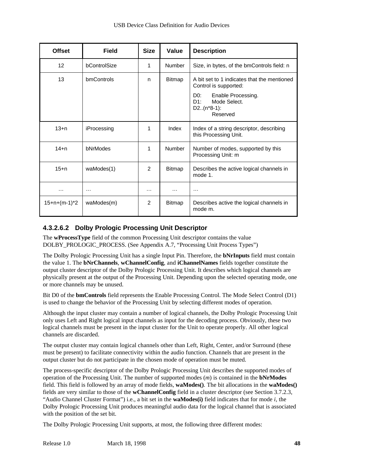| <b>Offset</b>     | <b>Field</b>      | <b>Size</b>   | Value         | <b>Description</b>                                                                                                                                   |
|-------------------|-------------------|---------------|---------------|------------------------------------------------------------------------------------------------------------------------------------------------------|
| $12 \overline{ }$ | bControlSize      | 1             | Number        | Size, in bytes, of the bmControls field: n                                                                                                           |
| 13                | <b>bmControls</b> | n             | <b>Bitmap</b> | A bit set to 1 indicates that the mentioned<br>Control is supported:<br>DO:<br>Enable Processing.<br>Mode Select.<br>D1:<br>$D2(n*8-1):$<br>Reserved |
| $13+n$            | iProcessing       | 1             | Index         | Index of a string descriptor, describing<br>this Processing Unit.                                                                                    |
| $14 + n$          | bNrModes          | 1             | <b>Number</b> | Number of modes, supported by this<br>Processing Unit: m                                                                                             |
| $15 + n$          | waModes(1)        | $\mathcal{P}$ | <b>Bitmap</b> | Describes the active logical channels in<br>mode 1.                                                                                                  |
| .                 | .                 | .             | $\cdots$      | $\cdots$                                                                                                                                             |
| $15+n+(m-1)*2$    | waModes(m)        | 2             | <b>Bitmap</b> | Describes active the logical channels in<br>mode m.                                                                                                  |

#### **4.3.2.6.2 Dolby Prologic Processing Unit Descriptor**

The **wProcessType** field of the common Processing Unit descriptor contains the value DOLBY\_PROLOGIC\_PROCESS. (See Appendix A.7, "Processing Unit Process Types")

The Dolby Prologic Processing Unit has a single Input Pin. Therefore, the **bNrInputs** field must contain the value 1. The **bNrChannels**, **wChannelConfig**, and **iChannelNames** fields together constitute the output cluster descriptor of the Dolby Prologic Processing Unit. It describes which logical channels are physically present at the output of the Processing Unit. Depending upon the selected operating mode, one or more channels may be unused.

Bit D0 of the **bmControls** field represents the Enable Processing Control. The Mode Select Control (D1) is used to change the behavior of the Processing Unit by selecting different modes of operation.

Although the input cluster may contain a number of logical channels, the Dolby Prologic Processing Unit only uses Left and Right logical input channels as input for the decoding process. Obviously, these two logical channels must be present in the input cluster for the Unit to operate properly. All other logical channels are discarded.

The output cluster may contain logical channels other than Left, Right, Center, and/or Surround (these must be present) to facilitate connectivity within the audio function. Channels that are present in the output cluster but do not participate in the chosen mode of operation must be muted.

The process-specific descriptor of the Dolby Prologic Processing Unit describes the supported modes of operation of the Processing Unit. The number of supported modes (*m*) is contained in the **bNrModes** field. This field is followed by an array of mode fields, **waModes()**. The bit allocations in the **waModes()** fields are very similar to those of the **wChannelConfig** field in a cluster descriptor (see Section 3.7.2.3, "Audio Channel Cluster Format") i.e., a bit set in the **waModes(i)** field indicates that for mode *i*, the Dolby Prologic Processing Unit produces meaningful audio data for the logical channel that is associated with the position of the set bit.

The Dolby Prologic Processing Unit supports, at most, the following three different modes: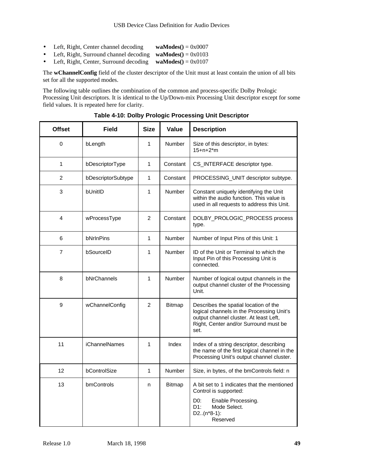- Left, Right, Center channel decoding **waModes**() = 0x0007
- Left, Right, Surround channel decoding **waModes()** = 0x0103
- Left, Right, Center, Surround decoding **waModes**() = 0x0107

The **wChannelConfig** field of the cluster descriptor of the Unit must at least contain the union of all bits set for all the supported modes.

The following table outlines the combination of the common and process-specific Dolby Prologic Processing Unit descriptors. It is identical to the Up/Down-mix Processing Unit descriptor except for some field values. It is repeated here for clarity.

| <b>Offset</b> | <b>Field</b>         | <b>Size</b>    | Value         | <b>Description</b>                                                                                                                                                            |
|---------------|----------------------|----------------|---------------|-------------------------------------------------------------------------------------------------------------------------------------------------------------------------------|
| 0             | bLength              | 1              | <b>Number</b> | Size of this descriptor, in bytes:<br>$15 + n + 2*m$                                                                                                                          |
| $\mathbf{1}$  | bDescriptorType      | 1              | Constant      | CS_INTERFACE descriptor type.                                                                                                                                                 |
| 2             | bDescriptorSubtype   | 1              | Constant      | PROCESSING_UNIT descriptor subtype.                                                                                                                                           |
| 3             | bUnitID              | 1              | Number        | Constant uniquely identifying the Unit<br>within the audio function. This value is<br>used in all requests to address this Unit.                                              |
| 4             | wProcessType         | $\overline{2}$ | Constant      | DOLBY_PROLOGIC_PROCESS process<br>type.                                                                                                                                       |
| 6             | bNrInPins            | 1              | Number        | Number of Input Pins of this Unit: 1                                                                                                                                          |
| 7             | bSourceID            | 1              | <b>Number</b> | ID of the Unit or Terminal to which the<br>Input Pin of this Processing Unit is<br>connected.                                                                                 |
| 8             | bNrChannels          | 1              | <b>Number</b> | Number of logical output channels in the<br>output channel cluster of the Processing<br>Unit.                                                                                 |
| 9             | wChannelConfig       | $\overline{2}$ | Bitmap        | Describes the spatial location of the<br>logical channels in the Processing Unit's<br>output channel cluster. At least Left,<br>Right, Center and/or Surround must be<br>set. |
| 11            | <b>iChannelNames</b> | 1              | Index         | Index of a string descriptor, describing<br>the name of the first logical channel in the<br>Processing Unit's output channel cluster.                                         |
| 12            | bControlSize         | 1              | Number        | Size, in bytes, of the bmControls field: n                                                                                                                                    |
| 13            | bmControls           | n              | Bitmap        | A bit set to 1 indicates that the mentioned<br>Control is supported:<br>D <sub>0</sub> :<br>Enable Processing.<br>D1:<br>Mode Select.<br>$D2.(n*8-1):$<br>Reserved            |

**Table 4-10: Dolby Prologic Processing Unit Descriptor**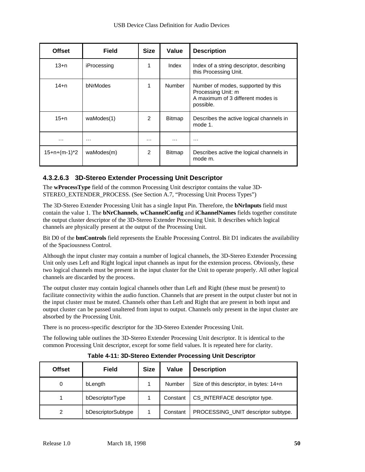| <b>Offset</b>  | <b>Field</b>    | <b>Size</b>   | Value         | <b>Description</b>                                                                                         |
|----------------|-----------------|---------------|---------------|------------------------------------------------------------------------------------------------------------|
| 13+n           | iProcessing     | 1             | Index         | Index of a string descriptor, describing<br>this Processing Unit.                                          |
| $14 + n$       | <b>bNrModes</b> | 1             | Number        | Number of modes, supported by this<br>Processing Unit: m<br>A maximum of 3 different modes is<br>possible. |
| 15+n           | waModes(1)      | $\mathcal{P}$ | <b>Bitmap</b> | Describes the active logical channels in<br>mode 1.                                                        |
| $\cdots$       | $\cdots$        | .             | .             | $\cdots$                                                                                                   |
| $15+n+(m-1)*2$ | waModes(m)      | $\mathcal{P}$ | <b>Bitmap</b> | Describes active the logical channels in<br>mode m.                                                        |

#### **4.3.2.6.3 3D-Stereo Extender Processing Unit Descriptor**

The **wProcessType** field of the common Processing Unit descriptor contains the value 3D-STEREO\_EXTENDER\_PROCESS. (See Section A.7, "Processing Unit Process Types")

The 3D-Stereo Extender Processing Unit has a single Input Pin. Therefore, the **bNrInputs** field must contain the value 1. The **bNrChannels**, **wChannelConfig** and **iChannelNames** fields together constitute the output cluster descriptor of the 3D-Stereo Extender Processing Unit. It describes which logical channels are physically present at the output of the Processing Unit.

Bit D0 of the **bmControls** field represents the Enable Processing Control. Bit D1 indicates the availability of the Spaciousness Control.

Although the input cluster may contain a number of logical channels, the 3D-Stereo Extender Processing Unit only uses Left and Right logical input channels as input for the extension process. Obviously, these two logical channels must be present in the input cluster for the Unit to operate properly. All other logical channels are discarded by the process.

The output cluster may contain logical channels other than Left and Right (these must be present) to facilitate connectivity within the audio function. Channels that are present in the output cluster but not in the input cluster must be muted. Channels other than Left and Right that are present in both input and output cluster can be passed unaltered from input to output. Channels only present in the input cluster are absorbed by the Processing Unit.

There is no process-specific descriptor for the 3D-Stereo Extender Processing Unit.

The following table outlines the 3D-Stereo Extender Processing Unit descriptor. It is identical to the common Processing Unit descriptor, except for some field values. It is repeated here for clarity.

| <b>Offset</b> | <b>Field</b>       | <b>Size</b> | <b>Value</b> | <b>Description</b>                      |
|---------------|--------------------|-------------|--------------|-----------------------------------------|
| 0             | bLength            |             | Number       | Size of this descriptor, in bytes: 14+n |
|               | bDescriptorType    |             | Constant     | CS_INTERFACE descriptor type.           |
| 2             | bDescriptorSubtype |             | Constant     | PROCESSING_UNIT descriptor subtype.     |

**Table 4-11: 3D-Stereo Extender Processing Unit Descriptor**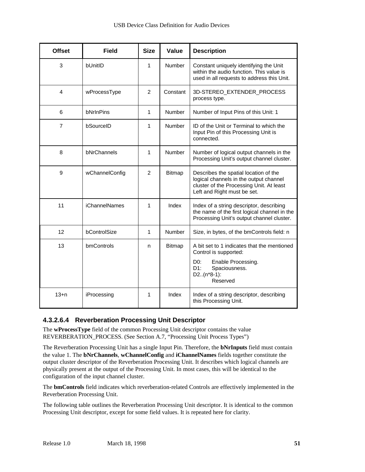| <b>Offset</b>  | <b>Field</b>         | <b>Size</b>    | Value         | <b>Description</b>                                                                                                                                                 |
|----------------|----------------------|----------------|---------------|--------------------------------------------------------------------------------------------------------------------------------------------------------------------|
| 3              | bUnitID              | $\mathbf{1}$   | <b>Number</b> | Constant uniquely identifying the Unit<br>within the audio function. This value is<br>used in all requests to address this Unit.                                   |
| $\overline{4}$ | wProcessType         | $\overline{2}$ | Constant      | 3D-STEREO_EXTENDER_PROCESS<br>process type.                                                                                                                        |
| 6              | bNrInPins            | $\mathbf{1}$   | Number        | Number of Input Pins of this Unit: 1                                                                                                                               |
| 7              | bSourceID            | $\mathbf{1}$   | <b>Number</b> | ID of the Unit or Terminal to which the<br>Input Pin of this Processing Unit is<br>connected.                                                                      |
| 8              | bNrChannels          | 1              | Number        | Number of logical output channels in the<br>Processing Unit's output channel cluster.                                                                              |
| 9              | wChannelConfig       | $\overline{2}$ | <b>Bitmap</b> | Describes the spatial location of the<br>logical channels in the output channel<br>cluster of the Processing Unit. At least<br>Left and Right must be set.         |
| 11             | <b>iChannelNames</b> | 1              | Index         | Index of a string descriptor, describing<br>the name of the first logical channel in the<br>Processing Unit's output channel cluster.                              |
| 12             | bControlSize         | $\mathbf{1}$   | Number        | Size, in bytes, of the bmControls field: n                                                                                                                         |
| 13             | bmControls           | n              | Bitmap        | A bit set to 1 indicates that the mentioned<br>Control is supported:<br>D <sub>0</sub> :<br>Enable Processing.<br>D1:<br>Spaciousness.<br>$D2(n*8-1):$<br>Reserved |
| $13+n$         | iProcessing          | 1              | Index         | Index of a string descriptor, describing<br>this Processing Unit.                                                                                                  |

#### **4.3.2.6.4 Reverberation Processing Unit Descriptor**

The **wProcessType** field of the common Processing Unit descriptor contains the value REVERBERATION\_PROCESS. (See Section A.7, "Processing Unit Process Types")

The Reverberation Processing Unit has a single Input Pin. Therefore, the **bNrInputs** field must contain the value 1. The **bNrChannels**, **wChannelConfig** and **iChannelNames** fields together constitute the output cluster descriptor of the Reverberation Processing Unit. It describes which logical channels are physically present at the output of the Processing Unit. In most cases, this will be identical to the configuration of the input channel cluster.

The **bmControls** field indicates which reverberation-related Controls are effectively implemented in the Reverberation Processing Unit.

The following table outlines the Reverberation Processing Unit descriptor. It is identical to the common Processing Unit descriptor, except for some field values. It is repeated here for clarity.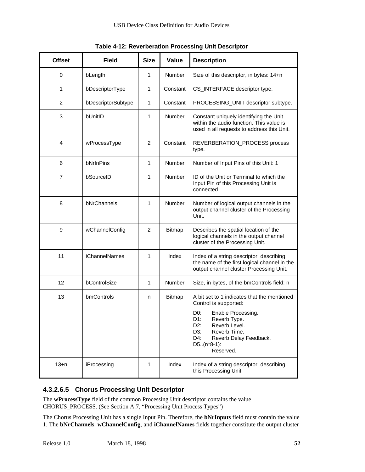| <b>Offset</b>  | <b>Field</b>         | <b>Size</b>    | Value         | <b>Description</b>                                                                                                                                                                                                                                        |
|----------------|----------------------|----------------|---------------|-----------------------------------------------------------------------------------------------------------------------------------------------------------------------------------------------------------------------------------------------------------|
| 0              | bLength              | 1              | <b>Number</b> | Size of this descriptor, in bytes: 14+n                                                                                                                                                                                                                   |
| 1              | bDescriptorType      | 1              | Constant      | CS_INTERFACE descriptor type.                                                                                                                                                                                                                             |
| $\overline{c}$ | bDescriptorSubtype   | $\mathbf{1}$   | Constant      | PROCESSING_UNIT descriptor subtype.                                                                                                                                                                                                                       |
| 3              | bUnitID              | 1              | <b>Number</b> | Constant uniquely identifying the Unit<br>within the audio function. This value is<br>used in all requests to address this Unit.                                                                                                                          |
| 4              | wProcessType         | $\overline{2}$ | Constant      | REVERBERATION_PROCESS process<br>type.                                                                                                                                                                                                                    |
| 6              | bNrInPins            | $\mathbf{1}$   | <b>Number</b> | Number of Input Pins of this Unit: 1                                                                                                                                                                                                                      |
| 7              | bSourceID            | 1              | <b>Number</b> | ID of the Unit or Terminal to which the<br>Input Pin of this Processing Unit is<br>connected.                                                                                                                                                             |
| 8              | bNrChannels          | 1              | <b>Number</b> | Number of logical output channels in the<br>output channel cluster of the Processing<br>Unit.                                                                                                                                                             |
| 9              | wChannelConfig       | $\overline{2}$ | <b>Bitmap</b> | Describes the spatial location of the<br>logical channels in the output channel<br>cluster of the Processing Unit.                                                                                                                                        |
| 11             | <b>iChannelNames</b> | 1              | Index         | Index of a string descriptor, describing<br>the name of the first logical channel in the<br>output channel cluster Processing Unit.                                                                                                                       |
| 12             | bControlSize         | 1              | <b>Number</b> | Size, in bytes, of the bmControls field: n                                                                                                                                                                                                                |
| 13             | bmControls           | n              | <b>Bitmap</b> | A bit set to 1 indicates that the mentioned<br>Control is supported:<br>Enable Processing.<br>D <sub>0</sub> :<br>D1:<br>Reverb Type.<br>$D2$ :<br>Reverb Level.<br>Reverb Time.<br>D3:<br>$D4$ :<br>Reverb Delay Feedback.<br>$D5(n*8-1)$ :<br>Reserved. |
| $13+n$         | iProcessing          | 1              | Index         | Index of a string descriptor, describing<br>this Processing Unit.                                                                                                                                                                                         |

**Table 4-12: Reverberation Processing Unit Descriptor**

#### **4.3.2.6.5 Chorus Processing Unit Descriptor**

The **wProcessType** field of the common Processing Unit descriptor contains the value CHORUS\_PROCESS. (See Section A.7, "Processing Unit Process Types")

The Chorus Processing Unit has a single Input Pin. Therefore, the **bNrInputs** field must contain the value 1. The **bNrChannels**, **wChannelConfig**, and **iChannelNames** fields together constitute the output cluster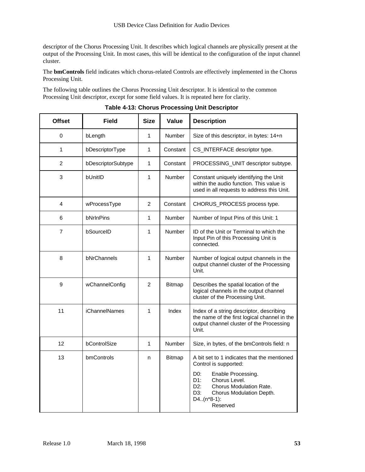descriptor of the Chorus Processing Unit. It describes which logical channels are physically present at the output of the Processing Unit. In most cases, this will be identical to the configuration of the input channel cluster.

The **bmControls** field indicates which chorus-related Controls are effectively implemented in the Chorus Processing Unit.

The following table outlines the Chorus Processing Unit descriptor. It is identical to the common Processing Unit descriptor, except for some field values. It is repeated here for clarity.

| <b>Offset</b>  | <b>Field</b>         | <b>Size</b>    | Value         | <b>Description</b>                                                                                                                                                                                                                                           |
|----------------|----------------------|----------------|---------------|--------------------------------------------------------------------------------------------------------------------------------------------------------------------------------------------------------------------------------------------------------------|
| 0              | bLength              | 1              | <b>Number</b> | Size of this descriptor, in bytes: 14+n                                                                                                                                                                                                                      |
| 1              | bDescriptorType      | 1              | Constant      | CS_INTERFACE descriptor type.                                                                                                                                                                                                                                |
| $\overline{2}$ | bDescriptorSubtype   | 1              | Constant      | PROCESSING_UNIT descriptor subtype.                                                                                                                                                                                                                          |
| 3              | bUnitID              | 1              | <b>Number</b> | Constant uniquely identifying the Unit<br>within the audio function. This value is<br>used in all requests to address this Unit.                                                                                                                             |
| 4              | wProcessType         | $\overline{2}$ | Constant      | CHORUS_PROCESS process type.                                                                                                                                                                                                                                 |
| 6              | bNrInPins            | 1              | Number        | Number of Input Pins of this Unit: 1                                                                                                                                                                                                                         |
| 7              | bSourceID            | 1              | <b>Number</b> | ID of the Unit or Terminal to which the<br>Input Pin of this Processing Unit is<br>connected.                                                                                                                                                                |
| 8              | bNrChannels          | 1              | Number        | Number of logical output channels in the<br>output channel cluster of the Processing<br>Unit.                                                                                                                                                                |
| 9              | wChannelConfig       | $\overline{2}$ | <b>Bitmap</b> | Describes the spatial location of the<br>logical channels in the output channel<br>cluster of the Processing Unit.                                                                                                                                           |
| 11             | <b>iChannelNames</b> | 1              | Index         | Index of a string descriptor, describing<br>the name of the first logical channel in the<br>output channel cluster of the Processing<br>Unit.                                                                                                                |
| 12             | bControlSize         | 1              | Number        | Size, in bytes, of the bmControls field: n                                                                                                                                                                                                                   |
| 13             | bmControls           | n              | Bitmap        | A bit set to 1 indicates that the mentioned<br>Control is supported:<br>D <sub>0</sub> :<br>Enable Processing.<br>Chorus Level.<br>D1:<br>D2:<br><b>Chorus Modulation Rate.</b><br>D <sub>3</sub> :<br>Chorus Modulation Depth.<br>$D4(n*8-1)$ :<br>Reserved |

**Table 4-13: Chorus Processing Unit Descriptor**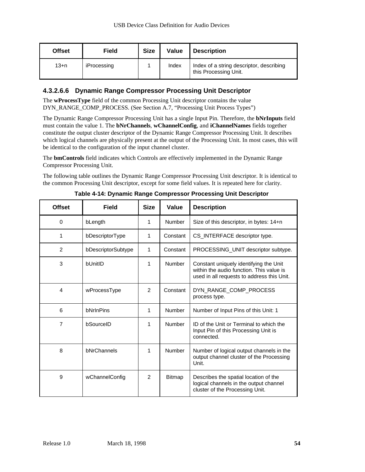| <b>Offset</b> | <b>Field</b> | <b>Size</b> | Value | <b>Description</b>                                                |
|---------------|--------------|-------------|-------|-------------------------------------------------------------------|
| $13+n$        | iProcessing  |             | Index | Index of a string descriptor, describing<br>this Processing Unit. |

#### **4.3.2.6.6 Dynamic Range Compressor Processing Unit Descriptor**

The **wProcessType** field of the common Processing Unit descriptor contains the value DYN\_RANGE\_COMP\_PROCESS. (See Section A.7, "Processing Unit Process Types")

The Dynamic Range Compressor Processing Unit has a single Input Pin. Therefore, the **bNrInputs** field must contain the value 1. The **bNrChannels**, **wChannelConfig**, and **iChannelNames** fields together constitute the output cluster descriptor of the Dynamic Range Compressor Processing Unit. It describes which logical channels are physically present at the output of the Processing Unit. In most cases, this will be identical to the configuration of the input channel cluster.

The **bmControls** field indicates which Controls are effectively implemented in the Dynamic Range Compressor Processing Unit.

The following table outlines the Dynamic Range Compressor Processing Unit descriptor. It is identical to the common Processing Unit descriptor, except for some field values. It is repeated here for clarity.

| <b>Offset</b>  | Field              | <b>Size</b>   | Value         | <b>Description</b>                                                                                                               |
|----------------|--------------------|---------------|---------------|----------------------------------------------------------------------------------------------------------------------------------|
| 0              | bLength            | 1             | <b>Number</b> | Size of this descriptor, in bytes: 14+n                                                                                          |
| 1              | bDescriptorType    | 1             | Constant      | CS INTERFACE descriptor type.                                                                                                    |
| $\overline{2}$ | bDescriptorSubtype | $\mathbf{1}$  | Constant      | PROCESSING UNIT descriptor subtype.                                                                                              |
| 3              | bl JnitID          | 1             | <b>Number</b> | Constant uniquely identifying the Unit<br>within the audio function. This value is<br>used in all requests to address this Unit. |
| 4              | wProcessType       | $\mathcal{P}$ | Constant      | DYN_RANGE_COMP_PROCESS<br>process type.                                                                                          |
| 6              | bNrInPins          | 1             | Number        | Number of Input Pins of this Unit: 1                                                                                             |
| 7              | bSourceID          | 1             | Number        | ID of the Unit or Terminal to which the<br>Input Pin of this Processing Unit is<br>connected.                                    |
| 8              | bNrChannels        | 1             | <b>Number</b> | Number of logical output channels in the<br>output channel cluster of the Processing<br>Unit.                                    |
| 9              | wChannelConfig     | $\mathcal{P}$ | <b>Bitmap</b> | Describes the spatial location of the<br>logical channels in the output channel<br>cluster of the Processing Unit.               |

**Table 4-14: Dynamic Range Compressor Processing Unit Descriptor**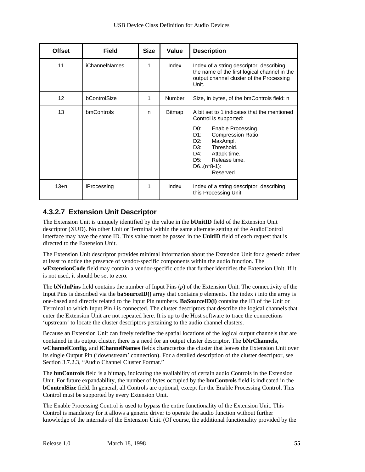| <b>Offset</b>     | <b>Field</b>         | <b>Size</b> | Value         | <b>Description</b>                                                                                                                                                                                                                                             |
|-------------------|----------------------|-------------|---------------|----------------------------------------------------------------------------------------------------------------------------------------------------------------------------------------------------------------------------------------------------------------|
| 11                | <b>iChannelNames</b> | 1           | Index         | Index of a string descriptor, describing<br>the name of the first logical channel in the<br>output channel cluster of the Processing<br>Unit.                                                                                                                  |
| $12 \overline{ }$ | bControlSize         | 1           | Number        | Size, in bytes, of the bmControls field: n                                                                                                                                                                                                                     |
| 13                | bmControls           | n           | <b>Bitmap</b> | A bit set to 1 indicates that the mentioned<br>Control is supported:<br>D0:<br>Enable Processing.<br>D1:<br>Compression Ratio.<br>D2:<br>MaxAmpl.<br>Threshold.<br>D3:<br>DA:<br>Attack time.<br>D <sub>5</sub> :<br>Release time.<br>$D6(n*8-1):$<br>Reserved |
| $13 + n$          | iProcessing          | 1           | Index         | Index of a string descriptor, describing<br>this Processing Unit.                                                                                                                                                                                              |

#### **4.3.2.7 Extension Unit Descriptor**

The Extension Unit is uniquely identified by the value in the **bUnitID** field of the Extension Unit descriptor (XUD). No other Unit or Terminal within the same alternate setting of the AudioControl interface may have the same ID. This value must be passed in the **UnitID** field of each request that is directed to the Extension Unit.

The Extension Unit descriptor provides minimal information about the Extension Unit for a generic driver at least to notice the presence of vendor-specific components within the audio function. The **wExtensionCode** field may contain a vendor-specific code that further identifies the Extension Unit. If it is not used, it should be set to zero.

The **bNrInPins** field contains the number of Input Pins (*p*) of the Extension Unit. The connectivity of the Input Pins is described via the **baSourceID()** array that contains *p* elements. The index *i* into the array is one-based and directly related to the Input Pin numbers. **BaSourceID(i)** contains the ID of the Unit or Terminal to which Input Pin *i* is connected. The cluster descriptors that describe the logical channels that enter the Extension Unit are not repeated here. It is up to the Host software to trace the connections 'upstream' to locate the cluster descriptors pertaining to the audio channel clusters.

Because an Extension Unit can freely redefine the spatial locations of the logical output channels that are contained in its output cluster, there is a need for an output cluster descriptor. The **bNrChannels**, **wChannelConfig**, and **iChannelNames** fields characterize the cluster that leaves the Extension Unit over its single Output Pin ('downstream' connection). For a detailed description of the cluster descriptor, see Section 3.7.2.3, "Audio Channel Cluster Format."

The **bmControls** field is a bitmap, indicating the availability of certain audio Controls in the Extension Unit. For future expandability, the number of bytes occupied by the **bmControls** field is indicated in the **bControlSize** field. In general, all Controls are optional, except for the Enable Processing Control. This Control must be supported by every Extension Unit.

The Enable Processing Control is used to bypass the entire functionality of the Extension Unit. This Control is mandatory for it allows a generic driver to operate the audio function without further knowledge of the internals of the Extension Unit. (Of course, the additional functionality provided by the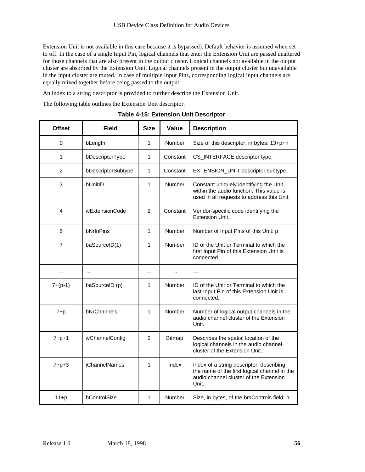Extension Unit is not available in this case because it is bypassed). Default behavior is assumed when set to off. In the case of a single Input Pin, logical channels that enter the Extension Unit are passed unaltered for those channels that are also present in the output cluster. Logical channels not available in the output cluster are absorbed by the Extension Unit. Logical channels present in the output cluster but unavailable in the input cluster are muted. In case of multiple Input Pins, corresponding logical input channels are equally mixed together before being passed to the output.

An index to a string descriptor is provided to further describe the Extension Unit.

The following table outlines the Extension Unit descriptor.

| <b>Offset</b>  | <b>Field</b>         | <b>Size</b>    | Value         | <b>Description</b>                                                                                                                          |
|----------------|----------------------|----------------|---------------|---------------------------------------------------------------------------------------------------------------------------------------------|
| $\Omega$       | bLength              | 1              | Number        | Size of this descriptor, in bytes: 13+p+n                                                                                                   |
| 1              | bDescriptorType      | 1              | Constant      | CS_INTERFACE descriptor type.                                                                                                               |
| $\overline{2}$ | bDescriptorSubtype   | 1              | Constant      | EXTENSION_UNIT descriptor subtype.                                                                                                          |
| 3              | bUnitID              | 1              | Number        | Constant uniquely identifying the Unit<br>within the audio function. This value is<br>used in all requests to address this Unit.            |
| 4              | wExtensionCode       | $\overline{2}$ | Constant      | Vendor-specific code identifying the<br>Extension Unit.                                                                                     |
| 6              | bNrInPins            | 1              | Number        | Number of Input Pins of this Unit: p                                                                                                        |
| 7              | baSourceID(1)        | 1              | Number        | ID of the Unit or Terminal to which the<br>first Input Pin of this Extension Unit is<br>connected.                                          |
| $\cdots$       | $\cdots$             | $\cdots$       | $\cdots$      | $\cdots$                                                                                                                                    |
| $7+(p-1)$      | baSourceID (p)       | 1              | Number        | ID of the Unit or Terminal to which the<br>last Input Pin of this Extension Unit is<br>connected.                                           |
| $7+p$          | bNrChannels          | 1              | Number        | Number of logical output channels in the<br>audio channel cluster of the Extension<br>Unit.                                                 |
| $7 + p + 1$    | wChannelConfig       | $\overline{2}$ | <b>Bitmap</b> | Describes the spatial location of the<br>logical channels in the audio channel<br>cluster of the Extension Unit.                            |
| $7 + p + 3$    | <b>iChannelNames</b> | 1              | Index         | Index of a string descriptor, describing<br>the name of the first logical channel in the<br>audio channel cluster of the Extension<br>Unit. |
| $11+p$         | bControlSize         | 1              | Number        | Size, in bytes, of the bmControls field: n                                                                                                  |

**Table 4-15: Extension Unit Descriptor**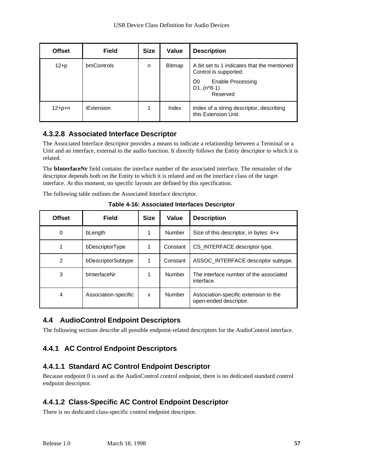| <b>Offset</b> | <b>Field</b> | <b>Size</b> | Value         | <b>Description</b>                                                                                                                     |
|---------------|--------------|-------------|---------------|----------------------------------------------------------------------------------------------------------------------------------------|
| $12 + p$      | bmControls   | n           | <b>Bitmap</b> | A bit set to 1 indicates that the mentioned<br>Control is supported:<br>Enable Processing<br>D <sub>0</sub><br>$D1(n*8-1)$<br>Reserved |
| $12 + p + n$  | iExtension   |             | Index         | Index of a string descriptor, describing<br>this Extension Unit.                                                                       |

### **4.3.2.8 Associated Interface Descriptor**

The Associated Interface descriptor provides a means to indicate a relationship between a Terminal or a Unit and an interface, external to the audio function. It directly follows the Entity descriptor to which it is related.

The **bInterfaceNr** field contains the interface number of the associated interface. The remainder of the descriptor depends both on the Entity to which it is related and on the interface class of the target interface. At this moment, no specific layouts are defined by this specification.

The following table outlines the Associated Interface descriptor.

| <b>Offset</b> | Field                | <b>Size</b> | Value    | <b>Description</b>                                              |
|---------------|----------------------|-------------|----------|-----------------------------------------------------------------|
| 0             | bLength              |             | Number   | Size of this descriptor, in bytes: 4+x                          |
| 1             | bDescriptorType      | 1           | Constant | CS_INTERFACE descriptor type.                                   |
| 2             | bDescriptorSubtype   | 1           | Constant | ASSOC INTERFACE descriptor subtype.                             |
| 3             | binterfaceNr         |             | Number   | The interface number of the associated<br>interface.            |
| 4             | Association-specific | X           | Number   | Association-specific extension to the<br>open-ended descriptor. |

**Table 4-16: Associated Interfaces Descriptor**

## **4.4 AudioControl Endpoint Descriptors**

The following sections describe all possible endpoint-related descriptors for the AudioControl interface.

# **4.4.1 AC Control Endpoint Descriptors**

# **4.4.1.1 Standard AC Control Endpoint Descriptor**

Because endpoint 0 is used as the AudioControl control endpoint, there is no dedicated standard control endpoint descriptor.

# **4.4.1.2 Class-Specific AC Control Endpoint Descriptor**

There is no dedicated class-specific control endpoint descriptor.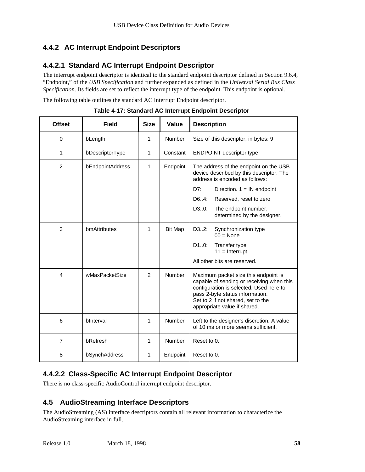## **4.4.2 AC Interrupt Endpoint Descriptors**

### **4.4.2.1 Standard AC Interrupt Endpoint Descriptor**

The interrupt endpoint descriptor is identical to the standard endpoint descriptor defined in Section 9.6.4, "Endpoint," of the *USB Specification* and further expanded as defined in the *Universal Serial Bus Class Specification*. Its fields are set to reflect the interrupt type of the endpoint. This endpoint is optional.

The following table outlines the standard AC Interrupt Endpoint descriptor.

| <b>Offset</b>  | <b>Field</b>     | <b>Size</b>    | Value          | <b>Description</b>                                                                                                                                                                                                                    |  |
|----------------|------------------|----------------|----------------|---------------------------------------------------------------------------------------------------------------------------------------------------------------------------------------------------------------------------------------|--|
| $\Omega$       | bLength          | 1              | Number         | Size of this descriptor, in bytes: 9                                                                                                                                                                                                  |  |
| 1              | bDescriptorType  | 1              | Constant       | <b>ENDPOINT descriptor type</b>                                                                                                                                                                                                       |  |
| $\overline{2}$ | bEndpointAddress | 1              | Endpoint       | The address of the endpoint on the USB<br>device described by this descriptor. The<br>address is encoded as follows:                                                                                                                  |  |
|                |                  |                |                | DT:<br>Direction. $1 = IN$ endpoint                                                                                                                                                                                                   |  |
|                |                  |                |                | D6.4:<br>Reserved, reset to zero                                                                                                                                                                                                      |  |
|                |                  |                |                | D30:<br>The endpoint number,<br>determined by the designer.                                                                                                                                                                           |  |
| 3              | bmAttributes     | 1              | <b>Bit Map</b> | D32:<br>Synchronization type<br>$00 = \text{None}$                                                                                                                                                                                    |  |
|                |                  |                |                | D10:<br>Transfer type<br>$11 =$ Interrupt                                                                                                                                                                                             |  |
|                |                  |                |                | All other bits are reserved.                                                                                                                                                                                                          |  |
| 4              | wMaxPacketSize   | $\mathfrak{p}$ | Number         | Maximum packet size this endpoint is<br>capable of sending or receiving when this<br>configuration is selected. Used here to<br>pass 2-byte status information.<br>Set to 2 if not shared, set to the<br>appropriate value if shared. |  |
| 6              | binterval        | 1              | Number         | Left to the designer's discretion. A value<br>of 10 ms or more seems sufficient.                                                                                                                                                      |  |
| $\overline{7}$ | bRefresh         | 1              | Number         | Reset to 0.                                                                                                                                                                                                                           |  |
| 8              | bSynchAddress    | 1              | Endpoint       | Reset to 0.                                                                                                                                                                                                                           |  |

**Table 4-17: Standard AC Interrupt Endpoint Descriptor**

## **4.4.2.2 Class-Specific AC Interrupt Endpoint Descriptor**

There is no class-specific AudioControl interrupt endpoint descriptor.

## **4.5 AudioStreaming Interface Descriptors**

The AudioStreaming (AS) interface descriptors contain all relevant information to characterize the AudioStreaming interface in full.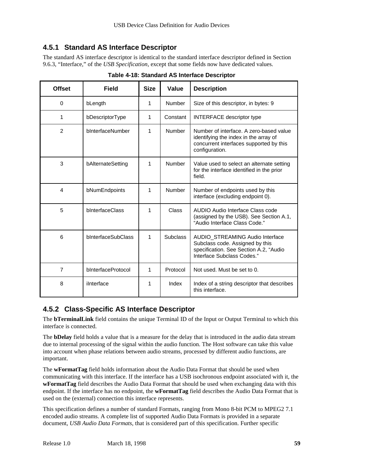### **4.5.1 Standard AS Interface Descriptor**

The standard AS interface descriptor is identical to the standard interface descriptor defined in Section 9.6.3, "Interface," of the *USB Specification*, except that some fields now have dedicated values.

| <b>Offset</b> | <b>Field</b>       | <b>Size</b> | Value           | <b>Description</b>                                                                                                                            |  |
|---------------|--------------------|-------------|-----------------|-----------------------------------------------------------------------------------------------------------------------------------------------|--|
| $\Omega$      | bLength            | 1           | Number          | Size of this descriptor, in bytes: 9                                                                                                          |  |
| 1             | bDescriptorType    | 1           | Constant        | <b>INTERFACE descriptor type</b>                                                                                                              |  |
| 2             | bInterfaceNumber   | 1           | <b>Number</b>   | Number of interface. A zero-based value<br>identifying the index in the array of<br>concurrent interfaces supported by this<br>configuration. |  |
| 3             | bAlternateSetting  | 1           | Number          | Value used to select an alternate setting<br>for the interface identified in the prior<br>field.                                              |  |
| 4             | bNumEndpoints      | 1           | Number          | Number of endpoints used by this<br>interface (excluding endpoint 0).                                                                         |  |
| 5             | bInterfaceClass    | 1           | Class           | AUDIO Audio Interface Class code<br>(assigned by the USB). See Section A.1,<br>"Audio Interface Class Code."                                  |  |
| 6             | bInterfaceSubClass | 1           | <b>Subclass</b> | AUDIO STREAMING Audio Interface<br>Subclass code. Assigned by this<br>specification. See Section A.2, "Audio<br>Interface Subclass Codes."    |  |
| 7             | bInterfaceProtocol | 1           | Protocol        | Not used. Must be set to 0.                                                                                                                   |  |
| 8             | iInterface         | 1           | Index           | Index of a string descriptor that describes<br>this interface.                                                                                |  |

**Table 4-18: Standard AS Interface Descriptor**

### **4.5.2 Class-Specific AS Interface Descriptor**

The **bTerminalLink** field contains the unique Terminal ID of the Input or Output Terminal to which this interface is connected.

The **bDelay** field holds a value that is a measure for the delay that is introduced in the audio data stream due to internal processing of the signal within the audio function. The Host software can take this value into account when phase relations between audio streams, processed by different audio functions, are important.

The **wFormatTag** field holds information about the Audio Data Format that should be used when communicating with this interface. If the interface has a USB isochronous endpoint associated with it, the **wFormatTag** field describes the Audio Data Format that should be used when exchanging data with this endpoint. If the interface has no endpoint, the **wFormatTag** field describes the Audio Data Format that is used on the (external) connection this interface represents.

This specification defines a number of standard Formats, ranging from Mono 8-bit PCM to MPEG2 7.1 encoded audio streams. A complete list of supported Audio Data Formats is provided in a separate document, *USB Audio Data Formats*, that is considered part of this specification. Further specific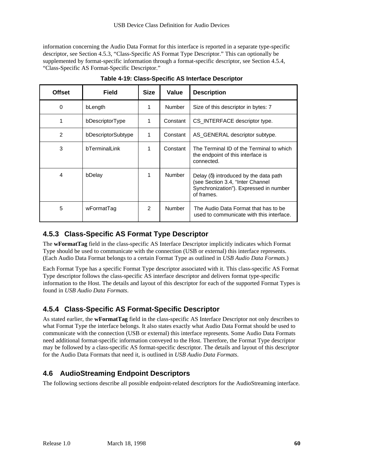information concerning the Audio Data Format for this interface is reported in a separate type-specific descriptor, see Section 4.5.3, "Class-Specific AS Format Type Descriptor." This can optionally be supplemented by format-specific information through a format-specific descriptor, see Section 4.5.4, "Class-Specific AS Format-Specific Descriptor."

| Offset | <b>Field</b>       | <b>Size</b>   | Value    | <b>Description</b>                                                                                                                       |  |
|--------|--------------------|---------------|----------|------------------------------------------------------------------------------------------------------------------------------------------|--|
| 0      | bLength            | 1             | Number   | Size of this descriptor in bytes: 7                                                                                                      |  |
| 1      | bDescriptorType    | 1             | Constant | CS INTERFACE descriptor type.                                                                                                            |  |
| 2      | bDescriptorSubtype | 1             | Constant | AS GENERAL descriptor subtype.                                                                                                           |  |
| 3      | bTerminalLink      | 1             | Constant | The Terminal ID of the Terminal to which<br>the endpoint of this interface is<br>connected.                                              |  |
| 4      | bDelay             | 1             | Number   | Delay $(\delta)$ introduced by the data path<br>(see Section 3.4, "Inter Channel<br>Synchronization"). Expressed in number<br>of frames. |  |
| 5      | wFormatTag         | $\mathcal{P}$ | Number   | The Audio Data Format that has to be<br>used to communicate with this interface.                                                         |  |

**Table 4-19: Class-Specific AS Interface Descriptor**

### **4.5.3 Class-Specific AS Format Type Descriptor**

The **wFormatTag** field in the class-specific AS Interface Descriptor implicitly indicates which Format Type should be used to communicate with the connection (USB or external) this interface represents. (Each Audio Data Format belongs to a certain Format Type as outlined in *USB Audio Data Formats*.)

Each Format Type has a specific Format Type descriptor associated with it. This class-specific AS Format Type descriptor follows the class-specific AS interface descriptor and delivers format type-specific information to the Host. The details and layout of this descriptor for each of the supported Format Types is found in *USB Audio Data Formats*.

## **4.5.4 Class-Specific AS Format-Specific Descriptor**

As stated earlier, the **wFormatTag** field in the class-specific AS Interface Descriptor not only describes to what Format Type the interface belongs. It also states exactly what Audio Data Format should be used to communicate with the connection (USB or external) this interface represents. Some Audio Data Formats need additional format-specific information conveyed to the Host. Therefore, the Format Type descriptor may be followed by a class-specific AS format-specific descriptor. The details and layout of this descriptor for the Audio Data Formats that need it, is outlined in *USB Audio Data Formats*.

## **4.6 AudioStreaming Endpoint Descriptors**

The following sections describe all possible endpoint-related descriptors for the AudioStreaming interface.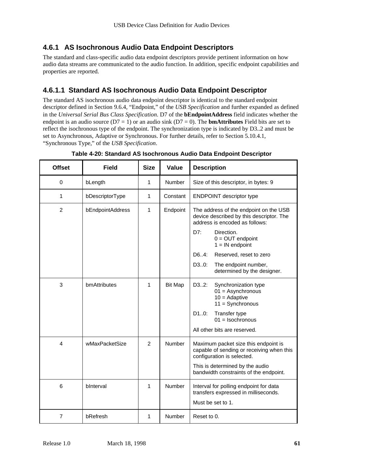### **4.6.1 AS Isochronous Audio Data Endpoint Descriptors**

The standard and class-specific audio data endpoint descriptors provide pertinent information on how audio data streams are communicated to the audio function. In addition, specific endpoint capabilities and properties are reported.

### **4.6.1.1 Standard AS Isochronous Audio Data Endpoint Descriptor**

The standard AS isochronous audio data endpoint descriptor is identical to the standard endpoint descriptor defined in Section 9.6.4, "Endpoint," of the *USB Specification* and further expanded as defined in the *Universal Serial Bus Class Specification*. D7 of the **bEndpointAddress** field indicates whether the endpoint is an audio source ( $D7 = 1$ ) or an audio sink ( $D7 = 0$ ). The **bmAttributes** Field bits are set to reflect the isochronous type of the endpoint. The synchronization type is indicated by D3..2 and must be set to Asynchronous, Adaptive or Synchronous. For further details, refer to Section 5.10.4.1, "Synchronous Type," of the *USB Specification*.

| <b>Offset</b>  | <b>Field</b>     | <b>Size</b>    | Value          | <b>Description</b>                                                                                                                                              |  |
|----------------|------------------|----------------|----------------|-----------------------------------------------------------------------------------------------------------------------------------------------------------------|--|
| $\mathbf 0$    | bLength          | 1              | Number         | Size of this descriptor, in bytes: 9                                                                                                                            |  |
| 1              | bDescriptorType  | 1              | Constant       | <b>ENDPOINT descriptor type</b>                                                                                                                                 |  |
| $\overline{2}$ | bEndpointAddress | 1              | Endpoint       | The address of the endpoint on the USB<br>device described by this descriptor. The<br>address is encoded as follows:<br>D7:<br>Direction.<br>$0 = OUT$ endpoint |  |
|                |                  |                |                | $1 = IN$ endpoint                                                                                                                                               |  |
|                |                  |                |                | D6.4:<br>Reserved, reset to zero                                                                                                                                |  |
|                |                  |                |                | D30:<br>The endpoint number,<br>determined by the designer.                                                                                                     |  |
| 3              | bmAttributes     | 1              | <b>Bit Map</b> | D32:<br>Synchronization type<br>$01 =$ Asynchronous<br>$10 =$ Adaptive<br>$11 = Synchronous$                                                                    |  |
|                |                  |                |                | D10:<br>Transfer type<br>$01 = Isochronous$                                                                                                                     |  |
|                |                  |                |                | All other bits are reserved.                                                                                                                                    |  |
| 4              | wMaxPacketSize   | $\overline{2}$ | <b>Number</b>  | Maximum packet size this endpoint is<br>capable of sending or receiving when this<br>configuration is selected.                                                 |  |
|                |                  |                |                | This is determined by the audio<br>bandwidth constraints of the endpoint.                                                                                       |  |
| 6              | bInterval        | 1              | Number         | Interval for polling endpoint for data<br>transfers expressed in milliseconds.<br>Must be set to 1.                                                             |  |
| $\overline{7}$ | bRefresh         | 1              | Number         | Reset to 0.                                                                                                                                                     |  |

**Table 4-20: Standard AS Isochronous Audio Data Endpoint Descriptor**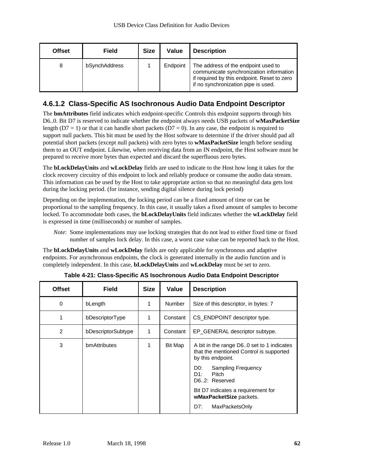| <b>Offset</b> | <b>Field</b>  | <b>Size</b> | Value    | <b>Description</b>                                                                                                                                                   |
|---------------|---------------|-------------|----------|----------------------------------------------------------------------------------------------------------------------------------------------------------------------|
| 8             | bSynchAddress |             | Endpoint | The address of the endpoint used to<br>communicate synchronization information<br>if required by this endpoint. Reset to zero<br>if no synchronization pipe is used. |

### **4.6.1.2 Class-Specific AS Isochronous Audio Data Endpoint Descriptor**

The **bmAttributes** field indicates which endpoint-specific Controls this endpoint supports through bits D6..0. Bit D7 is reserved to indicate whether the endpoint always needs USB packets of **wMaxPacketSize** length ( $D7 = 1$ ) or that it can handle short packets ( $D7 = 0$ ). In any case, the endpoint is required to support null packets. This bit must be used by the Host software to determine if the driver should pad all potential short packets (except null packets) with zero bytes to **wMaxPacketSize** length before sending them to an OUT endpoint. Likewise, when receiving data from an IN endpoint, the Host software must be prepared to receive more bytes than expected and discard the superfluous zero bytes.

The **bLockDelayUnits** and **wLockDelay** fields are used to indicate to the Host how long it takes for the clock recovery circuitry of this endpoint to lock and reliably produce or consume the audio data stream. This information can be used by the Host to take appropriate action so that no meaningful data gets lost during the locking period. (for instance, sending digital silence during lock period)

Depending on the implementation, the locking period can be a fixed amount of time or can be proportional to the sampling frequency. In this case, it usually takes a fixed amount of samples to become locked. To accommodate both cases, the **bLockDelayUnits** field indicates whether the **wLockDelay** field is expressed in time (milliseconds) or number of samples.

*Note*: Some implementations may use locking strategies that do not lead to either fixed time or fixed number of samples lock delay. In this case, a worst case value can be reported back to the Host.

The **bLockDelayUnits** and **wLockDelay** fields are only applicable for synchronous and adaptive endpoints. For asynchronous endpoints, the clock is generated internally in the audio function and is completely independent. In this case, **bLockDelayUnits** and **wLockDelay** must be set to zero.

| <b>Offset</b> | <b>Field</b>       | <b>Size</b> | Value         | <b>Description</b>                                                                                                                                                                                                                              |  |
|---------------|--------------------|-------------|---------------|-------------------------------------------------------------------------------------------------------------------------------------------------------------------------------------------------------------------------------------------------|--|
| $\Omega$      | bLength            | 1           | <b>Number</b> | Size of this descriptor, in bytes: 7                                                                                                                                                                                                            |  |
| 1             | bDescriptorType    | 1           | Constant      | CS_ENDPOINT descriptor type.                                                                                                                                                                                                                    |  |
| 2             | bDescriptorSubtype | 1           | Constant      | EP_GENERAL descriptor subtype.                                                                                                                                                                                                                  |  |
| 3             | bmAttributes       | 1           | Bit Map       | A bit in the range D60 set to 1 indicates<br>that the mentioned Control is supported<br>by this endpoint.<br>DO:<br><b>Sampling Frequency</b><br>D1:<br>Pitch<br>D62: Reserved<br>Bit D7 indicates a requirement for<br>wMaxPacketSize packets. |  |
|               |                    |             |               | D7:<br>MaxPacketsOnly                                                                                                                                                                                                                           |  |

**Table 4-21: Class-Specific AS Isochronous Audio Data Endpoint Descriptor**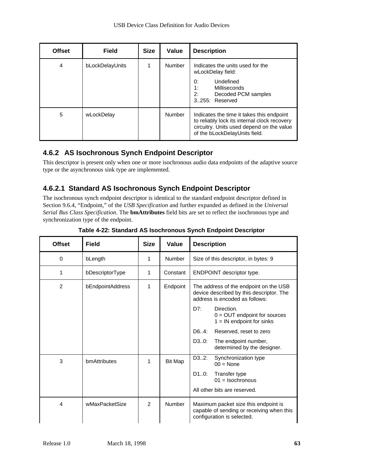| <b>Offset</b> | <b>Field</b>    | <b>Size</b> | Value  | <b>Description</b>                                                                                                                                                      |
|---------------|-----------------|-------------|--------|-------------------------------------------------------------------------------------------------------------------------------------------------------------------------|
| 4             | bLockDelayUnits |             | Number | Indicates the units used for the<br>wLockDelay field:<br>Undefined<br>0:<br>1:<br>Milliseconds<br>2:<br>Decoded PCM samples<br>3.255: Reserved                          |
| 5             | wLockDelay      |             | Number | Indicates the time it takes this endpoint<br>to reliably lock its internal clock recovery<br>circuitry. Units used depend on the value<br>of the bLockDelayUnits field. |

### **4.6.2 AS Isochronous Synch Endpoint Descriptor**

This descriptor is present only when one or more isochronous audio data endpoints of the adaptive source type or the asynchronous sink type are implemented.

## **4.6.2.1 Standard AS Isochronous Synch Endpoint Descriptor**

The isochronous synch endpoint descriptor is identical to the standard endpoint descriptor defined in Section 9.6.4, "Endpoint," of the *USB Specification* and further expanded as defined in the *Universal Serial Bus Class Specification*. The **bmAttributes** field bits are set to reflect the isochronous type and synchronization type of the endpoint.

| <b>Offset</b>  | <b>Field</b>     | <b>Size</b>   | Value          | <b>Description</b>                                                                                                   |  |
|----------------|------------------|---------------|----------------|----------------------------------------------------------------------------------------------------------------------|--|
| 0              | bLength          | 1             | Number         | Size of this descriptor, in bytes: 9                                                                                 |  |
| 1              | bDescriptorType  | 1             | Constant       | <b>ENDPOINT descriptor type.</b>                                                                                     |  |
| $\overline{2}$ | bEndpointAddress | 1             | Endpoint       | The address of the endpoint on the USB<br>device described by this descriptor. The<br>address is encoded as follows: |  |
|                |                  |               |                | DT:<br>Direction.<br>$0 = OUT$ endpoint for sources<br>$1 = IN$ endpoint for sinks                                   |  |
|                |                  |               |                | D64:<br>Reserved, reset to zero                                                                                      |  |
|                |                  |               |                | The endpoint number,<br>D30:<br>determined by the designer.                                                          |  |
| 3              | bmAttributes     | 1             | <b>Bit Map</b> | D32:<br>Synchronization type<br>$00 = None$                                                                          |  |
|                |                  |               |                | D10:<br>Transfer type<br>$01 = Isochronous$                                                                          |  |
|                |                  |               |                | All other bits are reserved.                                                                                         |  |
| 4              | wMaxPacketSize   | $\mathcal{P}$ | Number         | Maximum packet size this endpoint is<br>capable of sending or receiving when this<br>configuration is selected.      |  |

**Table 4-22: Standard AS Isochronous Synch Endpoint Descriptor**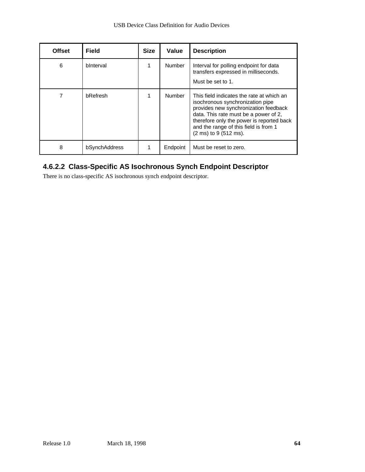| <b>Offset</b> | <b>Field</b>  | <b>Size</b> | Value         | <b>Description</b>                                                                                                                                                                                                                                                                                  |
|---------------|---------------|-------------|---------------|-----------------------------------------------------------------------------------------------------------------------------------------------------------------------------------------------------------------------------------------------------------------------------------------------------|
| 6             | binterval     |             | Number        | Interval for polling endpoint for data<br>transfers expressed in milliseconds.<br>Must be set to 1.                                                                                                                                                                                                 |
|               | bRefresh      |             | <b>Number</b> | This field indicates the rate at which an<br>isochronous synchronization pipe<br>provides new synchronization feedback<br>data. This rate must be a power of 2,<br>therefore only the power is reported back<br>and the range of this field is from 1<br>$(2 \text{ ms})$ to 9 $(512 \text{ ms})$ . |
| 8             | bSynchAddress |             | Endpoint      | Must be reset to zero.                                                                                                                                                                                                                                                                              |

### **4.6.2.2 Class-Specific AS Isochronous Synch Endpoint Descriptor**

There is no class-specific AS isochronous synch endpoint descriptor.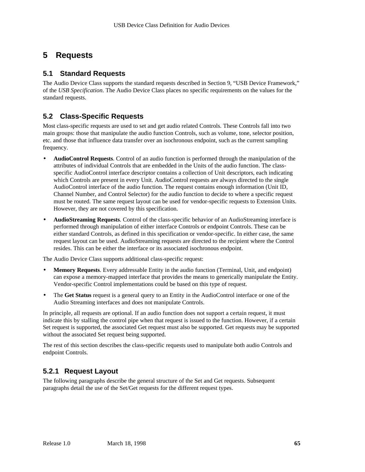# **5 Requests**

### **5.1 Standard Requests**

The Audio Device Class supports the standard requests described in Section 9, "USB Device Framework," of the *USB Specification*. The Audio Device Class places no specific requirements on the values for the standard requests.

### **5.2 Class-Specific Requests**

Most class-specific requests are used to set and get audio related Controls. These Controls fall into two main groups: those that manipulate the audio function Controls, such as volume, tone, selector position, etc. and those that influence data transfer over an isochronous endpoint, such as the current sampling frequency.

- **AudioControl Requests**. Control of an audio function is performed through the manipulation of the attributes of individual Controls that are embedded in the Units of the audio function. The classspecific AudioControl interface descriptor contains a collection of Unit descriptors, each indicating which Controls are present in every Unit. AudioControl requests are always directed to the single AudioControl interface of the audio function. The request contains enough information (Unit ID, Channel Number, and Control Selector) for the audio function to decide to where a specific request must be routed. The same request layout can be used for vendor-specific requests to Extension Units. However, they are not covered by this specification.
- **AudioStreaming Requests**. Control of the class-specific behavior of an AudioStreaming interface is performed through manipulation of either interface Controls or endpoint Controls. These can be either standard Controls, as defined in this specification or vendor-specific. In either case, the same request layout can be used. AudioStreaming requests are directed to the recipient where the Control resides. This can be either the interface or its associated isochronous endpoint.

The Audio Device Class supports additional class-specific request:

- **Memory Requests**. Every addressable Entity in the audio function (Terminal, Unit, and endpoint) can expose a memory-mapped interface that provides the means to generically manipulate the Entity. Vendor-specific Control implementations could be based on this type of request.
- The Get Status request is a general query to an Entity in the AudioControl interface or one of the Audio Streaming interfaces and does not manipulate Controls.

In principle, all requests are optional. If an audio function does not support a certain request, it must indicate this by stalling the control pipe when that request is issued to the function. However, if a certain Set request is supported, the associated Get request must also be supported. Get requests may be supported without the associated Set request being supported.

The rest of this section describes the class-specific requests used to manipulate both audio Controls and endpoint Controls.

## **5.2.1 Request Layout**

The following paragraphs describe the general structure of the Set and Get requests. Subsequent paragraphs detail the use of the Set/Get requests for the different request types.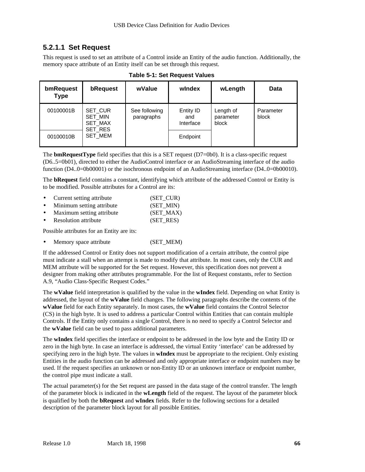### **5.2.1.1 Set Request**

This request is used to set an attribute of a Control inside an Entity of the audio function. Additionally, the memory space attribute of an Entity itself can be set through this request.

| bmRequest<br><b>Type</b> | bRequest                                        | wValue                      | windex   | wLength                         | Data               |
|--------------------------|-------------------------------------------------|-----------------------------|----------|---------------------------------|--------------------|
| 00100001B                | <b>SET CUR</b><br>SET_MIN<br>SET_MAX<br>SET_RES | See following<br>paragraphs |          | Length of<br>parameter<br>block | Parameter<br>block |
| 00100010B                | SET_MEM                                         |                             | Endpoint |                                 |                    |

**Table 5-1: Set Request Values**

The **bmRequestType** field specifies that this is a SET request (D7=0b0). It is a class-specific request (D6..5=0b01), directed to either the AudioControl interface or an AudioStreaming interface of the audio function (D4..0=0b00001) or the isochronous endpoint of an AudioStreaming interface (D4..0=0b00010).

The **bRequest** field contains a constant, identifying which attribute of the addressed Control or Entity is to be modified. Possible attributes for a Control are its:

- Current setting attribute (SET CUR)
- Minimum setting attribute (SET\_MIN)
- Maximum setting attribute (SET\_MAX)
- **Resolution attribute** (SET RES)

Possible attributes for an Entity are its:

Memory space attribute (SET\_MEM)

If the addressed Control or Entity does not support modification of a certain attribute, the control pipe must indicate a stall when an attempt is made to modify that attribute. In most cases, only the CUR and MEM attribute will be supported for the Set request. However, this specification does not prevent a designer from making other attributes programmable. For the list of Request constants, refer to Section A.9, "Audio Class-Specific Request Codes."

The **wValue** field interpretation is qualified by the value in the **wIndex** field. Depending on what Entity is addressed, the layout of the **wValue** field changes. The following paragraphs describe the contents of the **wValue** field for each Entity separately. In most cases, the **wValue** field contains the Control Selector (CS) in the high byte. It is used to address a particular Control within Entities that can contain multiple Controls. If the Entity only contains a single Control, there is no need to specify a Control Selector and the **wValue** field can be used to pass additional parameters.

The **wIndex** field specifies the interface or endpoint to be addressed in the low byte and the Entity ID or zero in the high byte. In case an interface is addressed, the virtual Entity 'interface' can be addressed by specifying zero in the high byte. The values in **wIndex** must be appropriate to the recipient. Only existing Entities in the audio function can be addressed and only appropriate interface or endpoint numbers may be used. If the request specifies an unknown or non-Entity ID or an unknown interface or endpoint number, the control pipe must indicate a stall.

The actual parameter(s) for the Set request are passed in the data stage of the control transfer. The length of the parameter block is indicated in the **wLength** field of the request. The layout of the parameter block is qualified by both the **bRequest** and **wIndex** fields. Refer to the following sections for a detailed description of the parameter block layout for all possible Entities.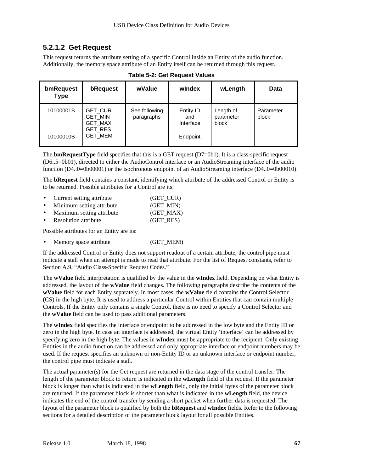### **5.2.1.2 Get Request**

This request returns the attribute setting of a specific Control inside an Entity of the audio function. Additionally, the memory space attribute of an Entity itself can be returned through this request.

| bmRequest<br><b>Type</b> | bRequest                                                      | wValue                      | windex                        | wLength                         | Data               |
|--------------------------|---------------------------------------------------------------|-----------------------------|-------------------------------|---------------------------------|--------------------|
| 10100001B                | <b>GET CUR</b><br><b>GET MIN</b><br><b>GET_MAX</b><br>GET_RES | See following<br>paragraphs | Entity ID<br>and<br>Interface | Length of<br>parameter<br>block | Parameter<br>block |
| 10100010B                | GET_MEM                                                       |                             | Endpoint                      |                                 |                    |

| Table 5-2: Get Request Values |  |  |  |  |  |  |  |
|-------------------------------|--|--|--|--|--|--|--|
|-------------------------------|--|--|--|--|--|--|--|

The **bmRequestType** field specifies that this is a GET request (D7=0b1). It is a class-specific request (D6..5=0b01), directed to either the AudioControl interface or an AudioStreaming interface of the audio function (D4..0=0b00001) or the isochronous endpoint of an AudioStreaming interface (D4..0=0b00010).

The **bRequest** field contains a constant, identifying which attribute of the addressed Control or Entity is to be returned. Possible attributes for a Control are its:

- Current setting attribute (GET CUR)
- Minimum setting attribute (GET\_MIN)
- Maximum setting attribute (GET\_MAX)
- **Resolution attribute** (GET RES)

Possible attributes for an Entity are its:

Memory space attribute (GET MEM)

If the addressed Control or Entity does not support readout of a certain attribute, the control pipe must indicate a stall when an attempt is made to read that attribute. For the list of Request constants, refer to Section A.9, "Audio Class-Specific Request Codes."

The **wValue** field interpretation is qualified by the value in the **wIndex** field. Depending on what Entity is addressed, the layout of the **wValue** field changes. The following paragraphs describe the contents of the **wValue** field for each Entity separately. In most cases, the **wValue** field contains the Control Selector (CS) in the high byte. It is used to address a particular Control within Entities that can contain multiple Controls. If the Entity only contains a single Control, there is no need to specify a Control Selector and the **wValue** field can be used to pass additional parameters.

The **wIndex** field specifies the interface or endpoint to be addressed in the low byte and the Entity ID or zero in the high byte. In case an interface is addressed, the virtual Entity 'interface' can be addressed by specifying zero in the high byte. The values in **wIndex** must be appropriate to the recipient. Only existing Entities in the audio function can be addressed and only appropriate interface or endpoint numbers may be used. If the request specifies an unknown or non-Entity ID or an unknown interface or endpoint number, the control pipe must indicate a stall.

The actual parameter(s) for the Get request are returned in the data stage of the control transfer. The length of the parameter block to return is indicated in the **wLength** field of the request. If the parameter block is longer than what is indicated in the **wLength** field, only the initial bytes of the parameter block are returned. If the parameter block is shorter than what is indicated in the **wLength** field, the device indicates the end of the control transfer by sending a short packet when further data is requested. The layout of the parameter block is qualified by both the **bRequest** and **wIndex** fields. Refer to the following sections for a detailed description of the parameter block layout for all possible Entities.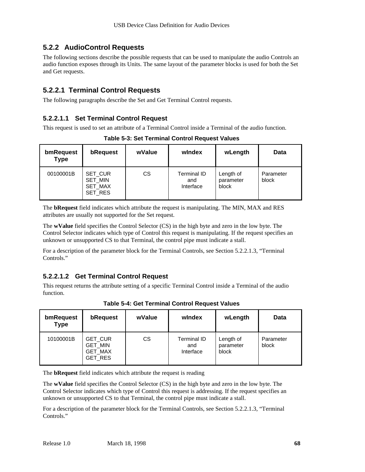### **5.2.2 AudioControl Requests**

The following sections describe the possible requests that can be used to manipulate the audio Controls an audio function exposes through its Units. The same layout of the parameter blocks is used for both the Set and Get requests.

### **5.2.2.1 Terminal Control Requests**

The following paragraphs describe the Set and Get Terminal Control requests.

#### **5.2.2.1.1 Set Terminal Control Request**

This request is used to set an attribute of a Terminal Control inside a Terminal of the audio function.

| bmRequest<br><b>Type</b> | bRequest                                               | wValue | windex                                 | wLength                         | Data               |
|--------------------------|--------------------------------------------------------|--------|----------------------------------------|---------------------------------|--------------------|
| 00100001B                | SET CUR<br><b>SET MIN</b><br><b>SET MAX</b><br>SET_RES | СS     | <b>Terminal ID</b><br>and<br>Interface | Length of<br>parameter<br>block | Parameter<br>block |

**Table 5-3: Set Terminal Control Request Values**

The **bRequest** field indicates which attribute the request is manipulating. The MIN, MAX and RES attributes are usually not supported for the Set request.

The **wValue** field specifies the Control Selector (CS) in the high byte and zero in the low byte. The Control Selector indicates which type of Control this request is manipulating. If the request specifies an unknown or unsupported CS to that Terminal, the control pipe must indicate a stall.

For a description of the parameter block for the Terminal Controls, see Section 5.2.2.1.3, "Terminal Controls."

#### **5.2.2.1.2 Get Terminal Control Request**

This request returns the attribute setting of a specific Terminal Control inside a Terminal of the audio function.

| bmRequest<br><b>Type</b> | bRequest                                                             | wValue | windex                          | wLength                         | <b>Data</b>        |
|--------------------------|----------------------------------------------------------------------|--------|---------------------------------|---------------------------------|--------------------|
| 10100001B                | <b>GET CUR</b><br><b>GET MIN</b><br><b>GET_MAX</b><br><b>GET RES</b> | СS     | Terminal ID<br>and<br>Interface | Length of<br>parameter<br>block | Parameter<br>block |

**Table 5-4: Get Terminal Control Request Values**

The **bRequest** field indicates which attribute the request is reading

The **wValue** field specifies the Control Selector (CS) in the high byte and zero in the low byte. The Control Selector indicates which type of Control this request is addressing. If the request specifies an unknown or unsupported CS to that Terminal, the control pipe must indicate a stall.

For a description of the parameter block for the Terminal Controls, see Section 5.2.2.1.3, "Terminal Controls<sup>"</sup>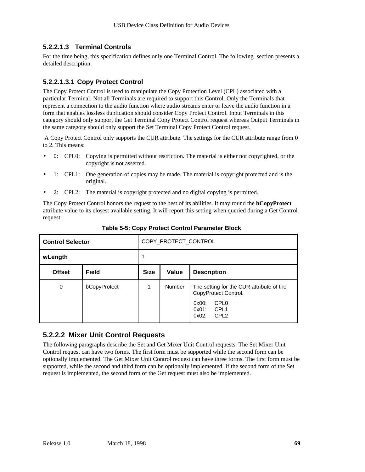#### **5.2.2.1.3 Terminal Controls**

For the time being, this specification defines only one Terminal Control. The following section presents a detailed description.

#### **5.2.2.1.3.1 Copy Protect Control**

The Copy Protect Control is used to manipulate the Copy Protection Level (CPL) associated with a particular Terminal. Not all Terminals are required to support this Control. Only the Terminals that represent a connection to the audio function where audio streams enter or leave the audio function in a form that enables lossless duplication should consider Copy Protect Control. Input Terminals in this category should only support the Get Terminal Copy Protect Control request whereas Output Terminals in the same category should only support the Set Terminal Copy Protect Control request.

 A Copy Protect Control only supports the CUR attribute. The settings for the CUR attribute range from 0 to 2. This means:

- 0: CPL0: Copying is permitted without restriction. The material is either not copyrighted, or the copyright is not asserted.
- 1: CPL1: One generation of copies may be made. The material is copyright protected and is the original.
- 2: CPL2: The material is copyright protected and no digital copying is permitted.

The Copy Protect Control honors the request to the best of its abilities. It may round the **bCopyProtect** attribute value to its closest available setting. It will report this setting when queried during a Get Control request.

| <b>Control Selector</b> |              | COPY_PROTECT_CONTROL |        |                                                                                                                                                      |  |
|-------------------------|--------------|----------------------|--------|------------------------------------------------------------------------------------------------------------------------------------------------------|--|
| wLength                 |              |                      |        |                                                                                                                                                      |  |
| <b>Offset</b>           | <b>Field</b> | <b>Size</b>          | Value  | <b>Description</b>                                                                                                                                   |  |
| 0                       | bCopyProtect |                      | Number | The setting for the CUR attribute of the<br>CopyProtect Control.<br>CPL <sub>0</sub><br>$0x00$ :<br>CPL1<br>$0x01$ :<br>CPL <sub>2</sub><br>$0x02$ : |  |

**Table 5-5: Copy Protect Control Parameter Block**

#### **5.2.2.2 Mixer Unit Control Requests**

The following paragraphs describe the Set and Get Mixer Unit Control requests. The Set Mixer Unit Control request can have two forms. The first form must be supported while the second form can be optionally implemented. The Get Mixer Unit Control request can have three forms. The first form must be supported, while the second and third form can be optionally implemented. If the second form of the Set request is implemented, the second form of the Get request must also be implemented.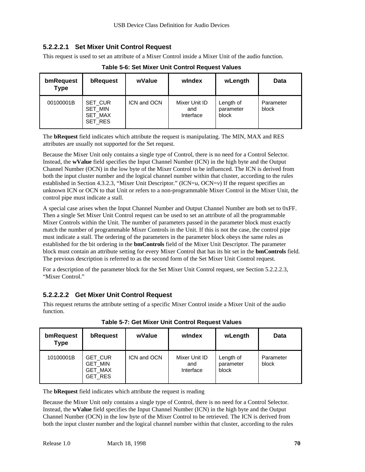#### **5.2.2.2.1 Set Mixer Unit Control Request**

This request is used to set an attribute of a Mixer Control inside a Mixer Unit of the audio function.

| bmRequest<br><b>Type</b> | bRequest                                                      | wValue      | windex                            | wLength                         | Data               |
|--------------------------|---------------------------------------------------------------|-------------|-----------------------------------|---------------------------------|--------------------|
| 00100001B                | SET CUR<br><b>SET MIN</b><br><b>SET MAX</b><br><b>SET RES</b> | ICN and OCN | Mixer Unit ID<br>and<br>Interface | Length of<br>parameter<br>block | Parameter<br>block |

**Table 5-6: Set Mixer Unit Control Request Values**

The **bRequest** field indicates which attribute the request is manipulating. The MIN, MAX and RES attributes are usually not supported for the Set request.

Because the Mixer Unit only contains a single type of Control, there is no need for a Control Selector. Instead, the **wValue** field specifies the Input Channel Number (ICN) in the high byte and the Output Channel Number (OCN) in the low byte of the Mixer Control to be influenced. The ICN is derived from both the input cluster number and the logical channel number within that cluster, according to the rules established in Section 4.3.2.3, "Mixer Unit Descriptor." (ICN=*u*, OCN=*v*) If the request specifies an unknown ICN or OCN to that Unit or refers to a non-programmable Mixer Control in the Mixer Unit, the control pipe must indicate a stall.

A special case arises when the Input Channel Number and Output Channel Number are both set to 0xFF. Then a single Set Mixer Unit Control request can be used to set an attribute of all the programmable Mixer Controls within the Unit. The number of parameters passed in the parameter block must exactly match the number of programmable Mixer Controls in the Unit. If this is not the case, the control pipe must indicate a stall. The ordering of the parameters in the parameter block obeys the same rules as established for the bit ordering in the **bmControls** field of the Mixer Unit Descriptor. The parameter block must contain an attribute setting for every Mixer Control that has its bit set in the **bmControls** field. The previous description is referred to as the second form of the Set Mixer Unit Control request.

For a description of the parameter block for the Set Mixer Unit Control request, see Section 5.2.2.2.3, "Mixer Control."

#### **5.2.2.2.2 Get Mixer Unit Control Request**

This request returns the attribute setting of a specific Mixer Control inside a Mixer Unit of the audio function.

| bmRequest<br><b>Type</b> | bRequest                                                             | wValue      | windex                            | wLength                         | Data               |
|--------------------------|----------------------------------------------------------------------|-------------|-----------------------------------|---------------------------------|--------------------|
| 10100001B                | <b>GET CUR</b><br><b>GET MIN</b><br><b>GET_MAX</b><br><b>GET RES</b> | ICN and OCN | Mixer Unit ID<br>and<br>Interface | Length of<br>parameter<br>block | Parameter<br>block |

**Table 5-7: Get Mixer Unit Control Request Values**

The **bRequest** field indicates which attribute the request is reading

Because the Mixer Unit only contains a single type of Control, there is no need for a Control Selector. Instead, the **wValue** field specifies the Input Channel Number (ICN) in the high byte and the Output Channel Number (OCN) in the low byte of the Mixer Control to be retrieved. The ICN is derived from both the input cluster number and the logical channel number within that cluster, according to the rules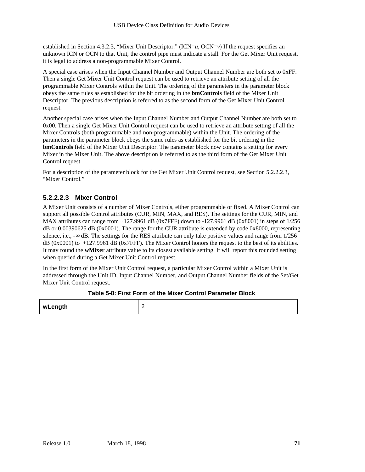established in Section 4.3.2.3, "Mixer Unit Descriptor." (ICN=*u*, OCN=*v*) If the request specifies an unknown ICN or OCN to that Unit, the control pipe must indicate a stall. For the Get Mixer Unit request, it is legal to address a non-programmable Mixer Control.

A special case arises when the Input Channel Number and Output Channel Number are both set to 0xFF. Then a single Get Mixer Unit Control request can be used to retrieve an attribute setting of all the programmable Mixer Controls within the Unit. The ordering of the parameters in the parameter block obeys the same rules as established for the bit ordering in the **bmControls** field of the Mixer Unit Descriptor. The previous description is referred to as the second form of the Get Mixer Unit Control request.

Another special case arises when the Input Channel Number and Output Channel Number are both set to 0x00. Then a single Get Mixer Unit Control request can be used to retrieve an attribute setting of all the Mixer Controls (both programmable and non-programmable) within the Unit. The ordering of the parameters in the parameter block obeys the same rules as established for the bit ordering in the **bmControls** field of the Mixer Unit Descriptor. The parameter block now contains a setting for every Mixer in the Mixer Unit. The above description is referred to as the third form of the Get Mixer Unit Control request.

For a description of the parameter block for the Get Mixer Unit Control request, see Section 5.2.2.2.3, "Mixer Control."

#### **5.2.2.2.3 Mixer Control**

A Mixer Unit consists of a number of Mixer Controls, either programmable or fixed. A Mixer Control can support all possible Control attributes (CUR, MIN, MAX, and RES). The settings for the CUR, MIN, and MAX attributes can range from  $+127.9961$  dB (0x7FFF) down to  $-127.9961$  dB (0x8001) in steps of  $1/256$ dB or 0.00390625 dB (0x0001). The range for the CUR attribute is extended by code 0x8000, representing silence, i.e.,  $-\infty$  dB. The settings for the RES attribute can only take positive values and range from  $1/256$ dB (0x0001) to +127.9961 dB (0x7FFF). The Mixer Control honors the request to the best of its abilities. It may round the **wMixer** attribute value to its closest available setting. It will report this rounded setting when queried during a Get Mixer Unit Control request.

In the first form of the Mixer Unit Control request, a particular Mixer Control within a Mixer Unit is addressed through the Unit ID, Input Channel Number, and Output Channel Number fields of the Set/Get Mixer Unit Control request.

#### **Table 5-8: First Form of the Mixer Control Parameter Block**

**wLength** 2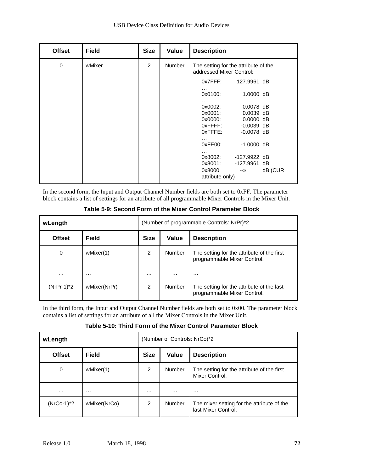| <b>Offset</b> | <b>Field</b> | <b>Size</b>    | Value         | <b>Description</b>                                               |
|---------------|--------------|----------------|---------------|------------------------------------------------------------------|
| $\mathbf 0$   | wMixer       | $\overline{2}$ | <b>Number</b> | The setting for the attribute of the<br>addressed Mixer Control: |
|               |              |                |               | $0x7$ FFF:<br>127,9961 dB                                        |
|               |              |                |               | $\cdots$<br>0x0100:<br>$1.0000$ dB                               |
|               |              |                |               | $\cdots$<br>$0.0078$ dB<br>0x0002:                               |
|               |              |                |               | 0x0001:<br>$0.0039$ dB                                           |
|               |              |                |               | $0.0000$ dB<br>0x0000:                                           |
|               |              |                |               | $0x$ FFFF:<br>$-0.0039$ dB                                       |
|               |              |                |               | $0x$ FFFE:<br>$-0.0078$ dB                                       |
|               |              |                |               | .<br>0xFE00:<br>$-1.0000$ dB                                     |
|               |              |                |               | $\cdots$<br>0x8002:<br>-127.9922 dB                              |
|               |              |                |               | 0x8001:<br>-127.9961 dB                                          |
|               |              |                |               | 0x8000<br>dB (CUR<br>$-\infty$<br>attribute only)                |

In the second form, the Input and Output Channel Number fields are both set to 0xFF. The parameter block contains a list of settings for an attribute of all programmable Mixer Controls in the Mixer Unit.

| wLength       |              | (Number of programmable Controls: NrPr)*2 |        |                                                                           |
|---------------|--------------|-------------------------------------------|--------|---------------------------------------------------------------------------|
| <b>Offset</b> | <b>Field</b> | <b>Size</b>                               | Value  | <b>Description</b>                                                        |
| 0             | wMixer(1)    | 2                                         | Number | The setting for the attribute of the first<br>programmable Mixer Control. |
| .             | $\cdots$     | $\cdots$                                  | .      | $\cdots$                                                                  |
| $(NrPr-1)^*2$ | wMixer(NrPr) | 2                                         | Number | The setting for the attribute of the last<br>programmable Mixer Control.  |

#### **Table 5-9: Second Form of the Mixer Control Parameter Block**

In the third form, the Input and Output Channel Number fields are both set to 0x00. The parameter block contains a list of settings for an attribute of all the Mixer Controls in the Mixer Unit.

#### **Table 5-10: Third Form of the Mixer Control Parameter Block**

| wLength       |              | (Number of Controls: NrCo)*2 |          |                                                                   |  |
|---------------|--------------|------------------------------|----------|-------------------------------------------------------------------|--|
| <b>Offset</b> | <b>Field</b> | <b>Size</b>                  | Value    | <b>Description</b>                                                |  |
| 0             | wMixer(1)    | 2                            | Number   | The setting for the attribute of the first<br>Mixer Control.      |  |
| $\cdots$      | $\cdots$     | $\cdots$                     | $\cdots$ | $\cdots$                                                          |  |
| $(NrCo-1)*2$  | wMixer(NrCo) | 2                            | Number   | The mixer setting for the attribute of the<br>last Mixer Control. |  |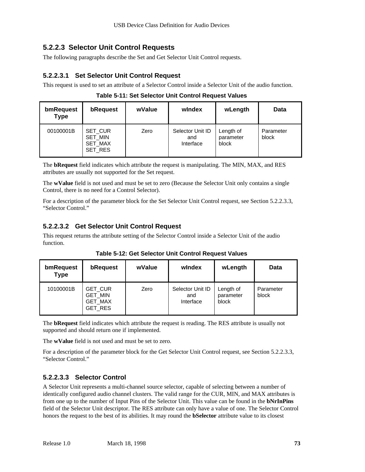### **5.2.2.3 Selector Unit Control Requests**

The following paragraphs describe the Set and Get Selector Unit Control requests.

#### **5.2.2.3.1 Set Selector Unit Control Request**

This request is used to set an attribute of a Selector Control inside a Selector Unit of the audio function.

| bmRequest<br><b>Type</b> | bRequest                                        | wValue | windex                               | wLength                         | Data               |
|--------------------------|-------------------------------------------------|--------|--------------------------------------|---------------------------------|--------------------|
| 00100001B                | SET CUR<br><b>SET MIN</b><br>SET_MAX<br>SET RES | Zero   | Selector Unit ID<br>and<br>Interface | Length of<br>parameter<br>block | Parameter<br>block |

| Table 5-11: Set Selector Unit Control Request Values |  |
|------------------------------------------------------|--|
|------------------------------------------------------|--|

The **bRequest** field indicates which attribute the request is manipulating. The MIN, MAX, and RES attributes are usually not supported for the Set request.

The **wValue** field is not used and must be set to zero (Because the Selector Unit only contains a single Control, there is no need for a Control Selector).

For a description of the parameter block for the Set Selector Unit Control request, see Section 5.2.2.3.3, "Selector Control."

#### **5.2.2.3.2 Get Selector Unit Control Request**

This request returns the attribute setting of the Selector Control inside a Selector Unit of the audio function.

| bmRequest<br><b>Type</b> | bRequest                                        | wValue | windex                               | wLength                         | <b>Data</b>        |
|--------------------------|-------------------------------------------------|--------|--------------------------------------|---------------------------------|--------------------|
| 10100001B                | <b>GET CUR</b><br>GET_MIN<br>GET_MAX<br>GET_RES | Zero   | Selector Unit ID<br>and<br>Interface | Length of<br>parameter<br>block | Parameter<br>block |

**Table 5-12: Get Selector Unit Control Request Values**

The **bRequest** field indicates which attribute the request is reading. The RES attribute is usually not supported and should return one if implemented.

The **wValue** field is not used and must be set to zero.

For a description of the parameter block for the Get Selector Unit Control request, see Section 5.2.2.3.3, "Selector Control."

#### **5.2.2.3.3 Selector Control**

A Selector Unit represents a multi-channel source selector, capable of selecting between a number of identically configured audio channel clusters. The valid range for the CUR, MIN, and MAX attributes is from one up to the number of Input Pins of the Selector Unit. This value can be found in the **bNrInPins** field of the Selector Unit descriptor. The RES attribute can only have a value of one. The Selector Control honors the request to the best of its abilities. It may round the **bSelector** attribute value to its closest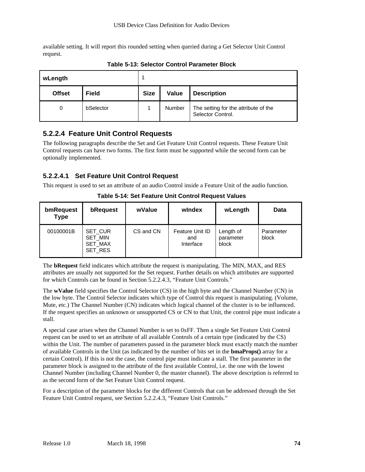available setting. It will report this rounded setting when queried during a Get Selector Unit Control request.

| wLength       |              | и           |        |                                                           |
|---------------|--------------|-------------|--------|-----------------------------------------------------------|
| <b>Offset</b> | <b>Field</b> | <b>Size</b> | Value  | <b>Description</b>                                        |
| 0             | bSelector    |             | Number | The setting for the attribute of the<br>Selector Control. |

**Table 5-13: Selector Control Parameter Block**

# **5.2.2.4 Feature Unit Control Requests**

The following paragraphs describe the Set and Get Feature Unit Control requests. These Feature Unit Control requests can have two forms. The first form must be supported while the second form can be optionally implemented.

#### **5.2.2.4.1 Set Feature Unit Control Request**

This request is used to set an attribute of an audio Control inside a Feature Unit of the audio function.

| bmRequest<br><b>Type</b> | bRequest                                        | wValue    | windex                              | wLength                         | Data               |
|--------------------------|-------------------------------------------------|-----------|-------------------------------------|---------------------------------|--------------------|
| 00100001B                | SET_CUR<br>SET MIN<br><b>SET MAX</b><br>SET RES | CS and CN | Feature Unit ID<br>and<br>Interface | Length of<br>parameter<br>block | Parameter<br>block |

**Table 5-14: Set Feature Unit Control Request Values**

The **bRequest** field indicates which attribute the request is manipulating. The MIN, MAX, and RES attributes are usually not supported for the Set request. Further details on which attributes are supported for which Controls can be found in Section 5.2.2.4.3, "Feature Unit Controls."

The **wValue** field specifies the Control Selector (CS) in the high byte and the Channel Number (CN) in the low byte. The Control Selector indicates which type of Control this request is manipulating. (Volume, Mute, etc.) The Channel Number (CN) indicates which logical channel of the cluster is to be influenced. If the request specifies an unknown or unsupported CS or CN to that Unit, the control pipe must indicate a stall.

A special case arises when the Channel Number is set to 0xFF. Then a single Set Feature Unit Control request can be used to set an attribute of all available Controls of a certain type (indicated by the CS) within the Unit. The number of parameters passed in the parameter block must exactly match the number of available Controls in the Unit (as indicated by the number of bits set in the **bmaProps()** array for a certain Control). If this is not the case, the control pipe must indicate a stall. The first parameter in the parameter block is assigned to the attribute of the first available Control, i.e. the one with the lowest Channel Number (including Channel Number 0, the master channel). The above description is referred to as the second form of the Set Feature Unit Control request.

For a description of the parameter blocks for the different Controls that can be addressed through the Set Feature Unit Control request, see Section 5.2.2.4.3, "Feature Unit Controls."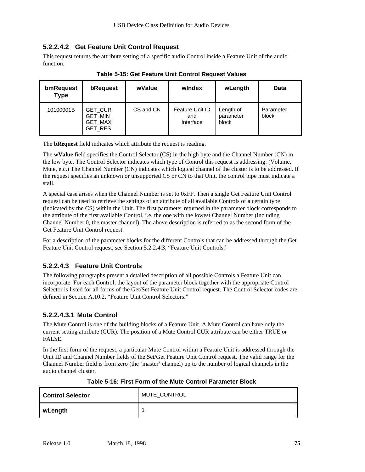#### **5.2.2.4.2 Get Feature Unit Control Request**

This request returns the attribute setting of a specific audio Control inside a Feature Unit of the audio function.

| bmRequest<br><b>Type</b> | bRequest                                                             | wValue    | windex                              | wLength                         | Data               |
|--------------------------|----------------------------------------------------------------------|-----------|-------------------------------------|---------------------------------|--------------------|
| 10100001B                | <b>GET CUR</b><br><b>GET MIN</b><br><b>GET MAX</b><br><b>GET RES</b> | CS and CN | Feature Unit ID<br>and<br>Interface | Length of<br>parameter<br>block | Parameter<br>block |

**Table 5-15: Get Feature Unit Control Request Values**

The **bRequest** field indicates which attribute the request is reading.

The **wValue** field specifies the Control Selector (CS) in the high byte and the Channel Number (CN) in the low byte. The Control Selector indicates which type of Control this request is addressing. (Volume, Mute, etc.) The Channel Number (CN) indicates which logical channel of the cluster is to be addressed. If the request specifies an unknown or unsupported CS or CN to that Unit, the control pipe must indicate a stall.

A special case arises when the Channel Number is set to 0xFF. Then a single Get Feature Unit Control request can be used to retrieve the settings of an attribute of all available Controls of a certain type (indicated by the CS) within the Unit. The first parameter returned in the parameter block corresponds to the attribute of the first available Control, i.e. the one with the lowest Channel Number (including Channel Number 0, the master channel). The above description is referred to as the second form of the Get Feature Unit Control request.

For a description of the parameter blocks for the different Controls that can be addressed through the Get Feature Unit Control request, see Section 5.2.2.4.3, "Feature Unit Controls."

#### **5.2.2.4.3 Feature Unit Controls**

The following paragraphs present a detailed description of all possible Controls a Feature Unit can incorporate. For each Control, the layout of the parameter block together with the appropriate Control Selector is listed for all forms of the Get/Set Feature Unit Control request. The Control Selector codes are defined in Section A.10.2, "Feature Unit Control Selectors."

#### **5.2.2.4.3.1 Mute Control**

The Mute Control is one of the building blocks of a Feature Unit. A Mute Control can have only the current setting attribute (CUR). The position of a Mute Control CUR attribute can be either TRUE or FALSE.

In the first form of the request, a particular Mute Control within a Feature Unit is addressed through the Unit ID and Channel Number fields of the Set/Get Feature Unit Control request. The valid range for the Channel Number field is from zero (the 'master' channel) up to the number of logical channels in the audio channel cluster.

| <b>Control Selector</b> | MUTE_CONTROL |
|-------------------------|--------------|
| wLength                 |              |

#### **Table 5-16: First Form of the Mute Control Parameter Block**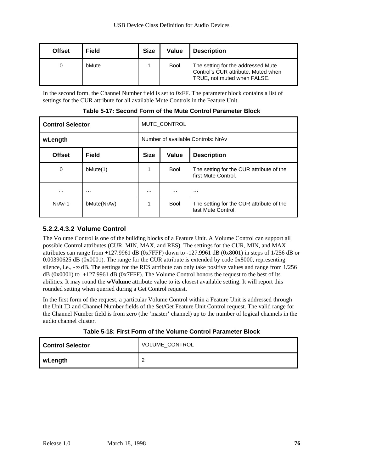| <b>Offset</b> | <b>Field</b> | <b>Size</b> | Value       | <b>Description</b>                                                                                       |
|---------------|--------------|-------------|-------------|----------------------------------------------------------------------------------------------------------|
|               | bMute        |             | <b>Bool</b> | The setting for the addressed Mute<br>Control's CUR attribute. Muted when<br>TRUE, not muted when FALSE. |

In the second form, the Channel Number field is set to 0xFF. The parameter block contains a list of settings for the CUR attribute for all available Mute Controls in the Feature Unit.

| <b>Control Selector</b> |              | MUTE CONTROL                               |             |                                                                 |  |  |
|-------------------------|--------------|--------------------------------------------|-------------|-----------------------------------------------------------------|--|--|
| wLength                 |              | Number of available Controls: NrAv         |             |                                                                 |  |  |
| <b>Offset</b>           | <b>Field</b> | <b>Size</b><br>Value<br><b>Description</b> |             |                                                                 |  |  |
| 0                       | bMute(1)     |                                            | <b>Bool</b> | The setting for the CUR attribute of the<br>first Mute Control. |  |  |
| $\cdots$                | $\cdots$     | $\cdots$                                   | $\cdots$    | $\cdots$                                                        |  |  |
| NrAv-1                  | bMute(NrAv)  |                                            | <b>Bool</b> | The setting for the CUR attribute of the<br>last Mute Control.  |  |  |

**Table 5-17: Second Form of the Mute Control Parameter Block**

#### **5.2.2.4.3.2 Volume Control**

The Volume Control is one of the building blocks of a Feature Unit. A Volume Control can support all possible Control attributes (CUR, MIN, MAX, and RES). The settings for the CUR, MIN, and MAX attributes can range from +127.9961 dB (0x7FFF) down to -127.9961 dB (0x8001) in steps of 1/256 dB or 0.00390625 dB (0x0001). The range for the CUR attribute is extended by code 0x8000, representing silence, i.e.,  $-\infty$  dB. The settings for the RES attribute can only take positive values and range from 1/256 dB (0x0001) to +127.9961 dB (0x7FFF). The Volume Control honors the request to the best of its abilities. It may round the **wVolume** attribute value to its closest available setting. It will report this rounded setting when queried during a Get Control request.

In the first form of the request, a particular Volume Control within a Feature Unit is addressed through the Unit ID and Channel Number fields of the Set/Get Feature Unit Control request. The valid range for the Channel Number field is from zero (the 'master' channel) up to the number of logical channels in the audio channel cluster.

| <b>Control Selector</b> | VOLUME_CONTROL |
|-------------------------|----------------|
| wLength                 |                |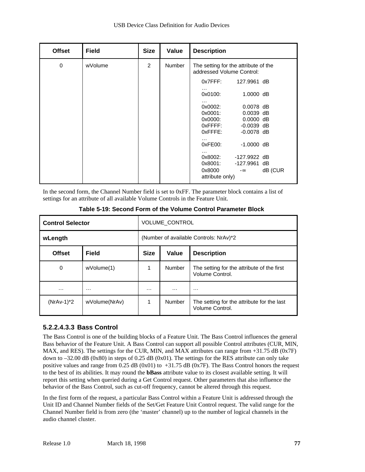| <b>Offset</b> | <b>Field</b> | <b>Size</b> | Value         | <b>Description</b>                                                           |  |
|---------------|--------------|-------------|---------------|------------------------------------------------------------------------------|--|
| 0             | wVolume      | 2           | <b>Number</b> | The setting for the attribute of the<br>addressed Volume Control:            |  |
|               |              |             |               | $0x7$ FFF:<br>127,9961 dB<br>$\cdots$                                        |  |
|               |              |             |               | $1.0000$ dB<br>0x0100:                                                       |  |
|               |              |             |               | .<br>$0.0078$ dB<br>0x0002:<br>0x0001:<br>$0.0039$ dB                        |  |
|               |              |             |               | $0.0000$ dB<br>0x0000:                                                       |  |
|               |              |             |               | $0x$ FFFF:<br>$-0.0039$ dB<br>$0x$ FFFE:<br>$-0.0078$ dB                     |  |
|               |              |             |               | .<br>0xFE00:<br>$-1.0000$ dB<br>$\cdots$                                     |  |
|               |              |             |               | 0x8002:<br>-127.9922 dB                                                      |  |
|               |              |             |               | 0x8001:<br>-127.9961 dB<br>0x8000<br>dB (CUR<br>$-\infty$<br>attribute only) |  |

In the second form, the Channel Number field is set to 0xFF. The parameter block contains a list of settings for an attribute of all available Volume Controls in the Feature Unit.

| <b>Control Selector</b> |               | <b>VOLUME CONTROL</b>                      |          |                                                               |  |
|-------------------------|---------------|--------------------------------------------|----------|---------------------------------------------------------------|--|
| wLength                 |               | (Number of available Controls: NrAv)*2     |          |                                                               |  |
| <b>Offset</b>           | <b>Field</b>  | <b>Size</b><br>Value<br><b>Description</b> |          |                                                               |  |
| 0                       | wVolume(1)    |                                            | Number   | The setting for the attribute of the first<br>Volume Control. |  |
| .                       | $\cdots$      | .                                          | $\cdots$ | $\cdots$                                                      |  |
| $(NrAv-1)^*2$           | wVolume(NrAv) | 1                                          | Number   | The setting for the attribute for the last<br>Volume Control. |  |

**Table 5-19: Second Form of the Volume Control Parameter Block**

#### **5.2.2.4.3.3 Bass Control**

The Bass Control is one of the building blocks of a Feature Unit. The Bass Control influences the general Bass behavior of the Feature Unit. A Bass Control can support all possible Control attributes (CUR, MIN, MAX, and RES). The settings for the CUR, MIN, and MAX attributes can range from +31.75 dB (0x7F) down to  $-32.00$  dB (0x80) in steps of 0.25 dB (0x01). The settings for the RES attribute can only take positive values and range from 0.25 dB (0x01) to +31.75 dB (0x7F). The Bass Control honors the request to the best of its abilities. It may round the **bBass** attribute value to its closest available setting. It will report this setting when queried during a Get Control request. Other parameters that also influence the behavior of the Bass Control, such as cut-off frequency, cannot be altered through this request.

In the first form of the request, a particular Bass Control within a Feature Unit is addressed through the Unit ID and Channel Number fields of the Set/Get Feature Unit Control request. The valid range for the Channel Number field is from zero (the 'master' channel) up to the number of logical channels in the audio channel cluster.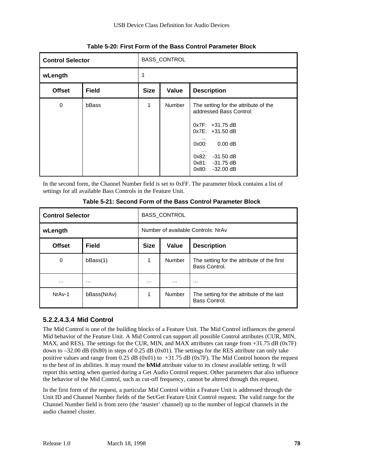| <b>BASS_CONTROL</b><br><b>Control Selector</b> |              |             |        |                                                                                                                                                                                                             |  |  |
|------------------------------------------------|--------------|-------------|--------|-------------------------------------------------------------------------------------------------------------------------------------------------------------------------------------------------------------|--|--|
| wLength                                        |              |             |        |                                                                                                                                                                                                             |  |  |
| <b>Offset</b>                                  | <b>Field</b> | <b>Size</b> | Value  | <b>Description</b>                                                                                                                                                                                          |  |  |
| 0                                              | bBass        | 1           | Number | The setting for the attribute of the<br>addressed Bass Control:<br>$0x7F$ : +31.75 dB<br>$0x7E: +31.50dB$<br>.<br>0.00 dB<br>0x00:<br>$\cdots$<br>$0x82: -31.50 dB$<br>0x81: -31.75 dB<br>$0x80: -32.00 dB$ |  |  |

#### **Table 5-20: First Form of the Bass Control Parameter Block**

In the second form, the Channel Number field is set to 0xFF. The parameter block contains a list of settings for all available Bass Controls in the Feature Unit.

| <b>Control Selector</b> |              | <b>BASS CONTROL</b>                |                    |                                                             |  |  |
|-------------------------|--------------|------------------------------------|--------------------|-------------------------------------------------------------|--|--|
| wLength                 |              | Number of available Controls: NrAv |                    |                                                             |  |  |
| <b>Offset</b>           | <b>Field</b> | <b>Size</b>                        | <b>Description</b> |                                                             |  |  |
| 0                       | bBass(1)     | 1                                  | Number             | The setting for the attribute of the first<br>Bass Control. |  |  |
| $\cdots$                | .            | $\cdots$                           | .                  | .                                                           |  |  |
| NrAv-1                  | bBass(NrAv)  | 1                                  | <b>Number</b>      | The setting for the attribute of the last<br>Bass Control.  |  |  |

**Table 5-21: Second Form of the Bass Control Parameter Block**

#### **5.2.2.4.3.4 Mid Control**

The Mid Control is one of the building blocks of a Feature Unit. The Mid Control influences the general Mid behavior of the Feature Unit. A Mid Control can support all possible Control attributes (CUR, MIN, MAX, and RES). The settings for the CUR, MIN, and MAX attributes can range from +31.75 dB (0x7F) down to  $-32.00$  dB (0x80) in steps of 0.25 dB (0x01). The settings for the RES attribute can only take positive values and range from 0.25 dB (0x01) to  $+31.75$  dB (0x7F). The Mid Control honors the request to the best of its abilities. It may round the **bMid** attribute value to its closest available setting. It will report this setting when queried during a Get Audio Control request. Other parameters that also influence the behavior of the Mid Control, such as cut-off frequency, cannot be altered through this request.

In the first form of the request, a particular Mid Control within a Feature Unit is addressed through the Unit ID and Channel Number fields of the Set/Get Feature Unit Control request. The valid range for the Channel Number field is from zero (the 'master' channel) up to the number of logical channels in the audio channel cluster.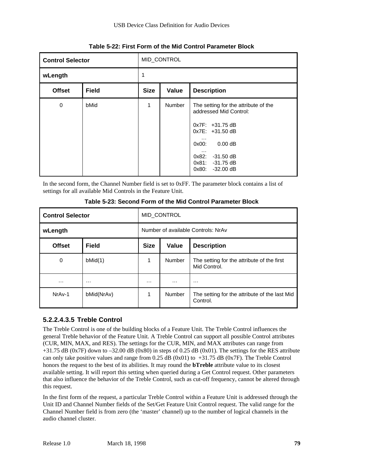| <b>Control Selector</b> |              | MID_CONTROL                                |               |                                                                                                                                                                                                                                   |  |  |  |
|-------------------------|--------------|--------------------------------------------|---------------|-----------------------------------------------------------------------------------------------------------------------------------------------------------------------------------------------------------------------------------|--|--|--|
| wLength                 |              |                                            |               |                                                                                                                                                                                                                                   |  |  |  |
| <b>Offset</b>           | <b>Field</b> | Value<br><b>Size</b><br><b>Description</b> |               |                                                                                                                                                                                                                                   |  |  |  |
| 0                       | bMid         | 1                                          | <b>Number</b> | The setting for the attribute of the<br>addressed Mid Control:<br>0x7F: +31.75 dB<br>$0x7E$ : +31.50 dB<br>$\cdots$<br>$0.00 \, \mathrm{dB}$<br>0x00:<br>$\cdots$<br>0x82: -31.50 dB<br>$0x81: -31.75 dB$<br>0x80:<br>$-32.00$ dB |  |  |  |

#### **Table 5-22: First Form of the Mid Control Parameter Block**

In the second form, the Channel Number field is set to 0xFF. The parameter block contains a list of settings for all available Mid Controls in the Feature Unit.

| <b>Control Selector</b> |              | MID_CONTROL |                                    |                                                            |  |  |
|-------------------------|--------------|-------------|------------------------------------|------------------------------------------------------------|--|--|
| wLength                 |              |             | Number of available Controls: NrAv |                                                            |  |  |
| <b>Offset</b>           | <b>Field</b> | <b>Size</b> | <b>Description</b>                 |                                                            |  |  |
| 0                       | bMid(1)      | 1           | Number                             | The setting for the attribute of the first<br>Mid Control. |  |  |
| .                       | $\cdots$     | .           | .                                  | .                                                          |  |  |
| NrAv-1                  | bMid(NrAv)   | 1           | Number                             | The setting for the attribute of the last Mid<br>Control.  |  |  |

**Table 5-23: Second Form of the Mid Control Parameter Block**

#### **5.2.2.4.3.5 Treble Control**

The Treble Control is one of the building blocks of a Feature Unit. The Treble Control influences the general Treble behavior of the Feature Unit. A Treble Control can support all possible Control attributes (CUR, MIN, MAX, and RES). The settings for the CUR, MIN, and MAX attributes can range from +31.75 dB (0x7F) down to –32.00 dB (0x80) in steps of 0.25 dB (0x01). The settings for the RES attribute can only take positive values and range from  $0.25$  dB  $(0x01)$  to  $+31.75$  dB  $(0x7)$ . The Treble Control honors the request to the best of its abilities. It may round the **bTreble** attribute value to its closest available setting. It will report this setting when queried during a Get Control request. Other parameters that also influence the behavior of the Treble Control, such as cut-off frequency, cannot be altered through this request.

In the first form of the request, a particular Treble Control within a Feature Unit is addressed through the Unit ID and Channel Number fields of the Set/Get Feature Unit Control request. The valid range for the Channel Number field is from zero (the 'master' channel) up to the number of logical channels in the audio channel cluster.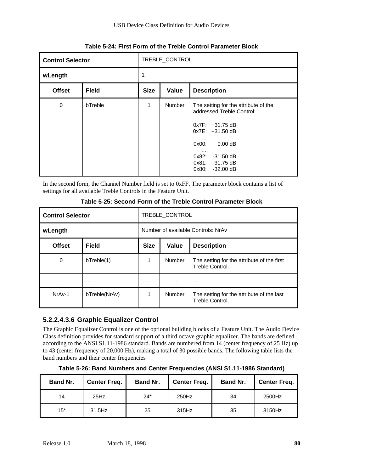|               | TREBLE_CONTROL<br><b>Control Selector</b> |                      |               |                                                                                                                                                                                                                            |  |  |
|---------------|-------------------------------------------|----------------------|---------------|----------------------------------------------------------------------------------------------------------------------------------------------------------------------------------------------------------------------------|--|--|
| wLength       |                                           |                      |               |                                                                                                                                                                                                                            |  |  |
| <b>Offset</b> | <b>Field</b>                              | <b>Size</b><br>Value |               | <b>Description</b>                                                                                                                                                                                                         |  |  |
| $\mathbf 0$   | bTreble                                   | 1                    | <b>Number</b> | The setting for the attribute of the<br>addressed Treble Control:<br>$0x7F: +31.75 dB$<br>0x7E: +31.50 dB<br>.<br>$0.00 \, \mathrm{dB}$<br>0x00:<br>$\cdots$<br>$0x82: -31.50 dB$<br>$0x81: -31.75dB$<br>$0x80: -32.00 dB$ |  |  |

**Table 5-24: First Form of the Treble Control Parameter Block**

In the second form, the Channel Number field is set to 0xFF. The parameter block contains a list of settings for all available Treble Controls in the Feature Unit.

| <b>Control Selector</b> |               | TREBLE CONTROL |                                    |                                                               |  |  |
|-------------------------|---------------|----------------|------------------------------------|---------------------------------------------------------------|--|--|
| wLength                 |               |                | Number of available Controls: NrAv |                                                               |  |  |
| <b>Offset</b>           | <b>Field</b>  | <b>Size</b>    | <b>Description</b>                 |                                                               |  |  |
| 0                       | bTreeble(1)   | 1              | <b>Number</b>                      | The setting for the attribute of the first<br>Treble Control. |  |  |
| $\cdots$                | .             | $\cdots$       | $\cdots$                           | .                                                             |  |  |
| NrAv-1                  | bTreble(NrAv) | 1              | <b>Number</b>                      | The setting for the attribute of the last<br>Treble Control.  |  |  |

**Table 5-25: Second Form of the Treble Control Parameter Block**

# **5.2.2.4.3.6 Graphic Equalizer Control**

The Graphic Equalizer Control is one of the optional building blocks of a Feature Unit. The Audio Device Class definition provides for standard support of a third octave graphic equalizer. The bands are defined according to the ANSI S1.11-1986 standard. Bands are numbered from 14 (center frequency of 25 Hz) up to 43 (center frequency of 20,000 Hz), making a total of 30 possible bands. The following table lists the band numbers and their center frequencies

**Table 5-26: Band Numbers and Center Frequencies (ANSI S1.11-1986 Standard)**

| Band Nr. | <b>Center Freq.</b> | <b>Band Nr.</b> | <b>Center Freq.</b> | Band Nr. | <b>Center Freq.</b> |
|----------|---------------------|-----------------|---------------------|----------|---------------------|
| 14       | 25Hz                | $24*$           | 250Hz               | 34       | 2500Hz              |
| $15*$    | 31.5Hz              | 25              | 315Hz               | 35       | 3150Hz              |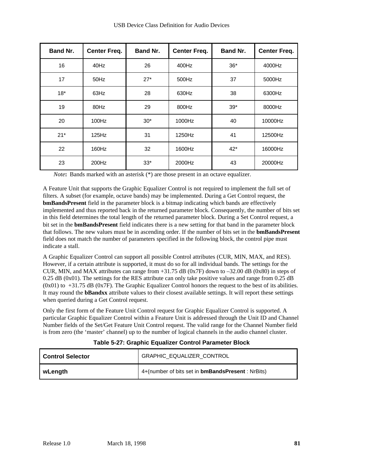| Band Nr. | <b>Center Freq.</b> | Band Nr. | <b>Center Freq.</b> | Band Nr. | <b>Center Freq.</b> |
|----------|---------------------|----------|---------------------|----------|---------------------|
| 16       | 40Hz                | 26       | 400Hz               | $36*$    | 4000Hz              |
| 17       | 50Hz                | $27*$    | 500Hz               | 37       | 5000Hz              |
| $18*$    | 63Hz                | 28       | 630Hz               | 38       | 6300Hz              |
| 19       | 80Hz                | 29       | 800Hz               | $39*$    | 8000Hz              |
| 20       | 100Hz               | $30*$    | 1000Hz              | 40       | 10000Hz             |
| $21*$    | 125Hz               | 31       | 1250Hz              | 41       | 12500Hz             |
| 22       | 160Hz               | 32       | 1600Hz              | $42*$    | 16000Hz             |
| 23       | 200Hz               | $33*$    | 2000Hz              | 43       | 20000Hz             |

*Note***:** Bands marked with an asterisk (\*) are those present in an octave equalizer.

A Feature Unit that supports the Graphic Equalizer Control is not required to implement the full set of filters. A subset (for example, octave bands) may be implemented. During a Get Control request, the **bmBandsPresent** field in the parameter block is a bitmap indicating which bands are effectively implemented and thus reported back in the returned parameter block. Consequently, the number of bits set in this field determines the total length of the returned parameter block. During a Set Control request, a bit set in the **bmBandsPresent** field indicates there is a new setting for that band in the parameter block that follows. The new values must be in ascending order. If the number of bits set in the **bmBandsPresent** field does not match the number of parameters specified in the following block, the control pipe must indicate a stall.

A Graphic Equalizer Control can support all possible Control attributes (CUR, MIN, MAX, and RES). However, if a certain attribute is supported, it must do so for all individual bands. The settings for the CUR, MIN, and MAX attributes can range from +31.75 dB (0x7F) down to –32.00 dB (0x80) in steps of 0.25 dB (0x01). The settings for the RES attribute can only take positive values and range from 0.25 dB  $(0x01)$  to  $+31.75$  dB  $(0x7)$ . The Graphic Equalizer Control honors the request to the best of its abilities. It may round the **bBandxx** attribute values to their closest available settings. It will report these settings when queried during a Get Control request.

Only the first form of the Feature Unit Control request for Graphic Equalizer Control is supported. A particular Graphic Equalizer Control within a Feature Unit is addressed through the Unit ID and Channel Number fields of the Set/Get Feature Unit Control request. The valid range for the Channel Number field is from zero (the 'master' channel) up to the number of logical channels in the audio channel cluster.

| l Control Selector | GRAPHIC_EQUALIZER_CONTROL                                |
|--------------------|----------------------------------------------------------|
| l wLenqth          | 4+(number of bits set in <b>bmBandsPresent</b> : NrBits) |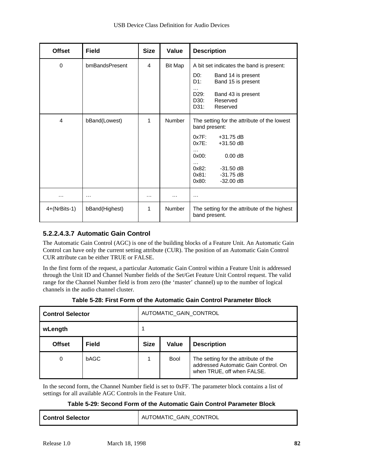| <b>Offset</b>  | <b>Field</b>   | <b>Size</b> | Value         | <b>Description</b>                                                                                                                                                                                                                   |
|----------------|----------------|-------------|---------------|--------------------------------------------------------------------------------------------------------------------------------------------------------------------------------------------------------------------------------------|
| 0              | bmBandsPresent | 4           | Bit Map       | A bit set indicates the band is present:<br>DO:<br>Band 14 is present<br>$D1$ :<br>Band 15 is present<br>$\cdots$<br>D29:<br>Band 43 is present<br>Reserved<br>D30:<br>D31:<br>Reserved                                              |
| 4              | bBand(Lowest)  | 1           | <b>Number</b> | The setting for the attribute of the lowest<br>band present:<br>$0x7F$ :<br>$+31.75$ dB<br>$0x7E$ :<br>$+31.50$ dB<br>.<br>$0x00$ :<br>$0.00$ dB<br>$\cdots$<br>0x82:<br>$-31.50$ dB<br>0x81:<br>$-31.75$ dB<br>0x80:<br>$-32.00$ dB |
| $\cdots$       | $\cdots$       | $\cdots$    | .             | $\cdots$                                                                                                                                                                                                                             |
| $4+(NrBits-1)$ | bBand(Highest) | 1           | <b>Number</b> | The setting for the attribute of the highest<br>band present.                                                                                                                                                                        |

#### **5.2.2.4.3.7 Automatic Gain Control**

The Automatic Gain Control (AGC) is one of the building blocks of a Feature Unit. An Automatic Gain Control can have only the current setting attribute (CUR). The position of an Automatic Gain Control CUR attribute can be either TRUE or FALSE.

In the first form of the request, a particular Automatic Gain Control within a Feature Unit is addressed through the Unit ID and Channel Number fields of the Set/Get Feature Unit Control request. The valid range for the Channel Number field is from zero (the 'master' channel) up to the number of logical channels in the audio channel cluster.

|  |  |  |  | Table 5-28: First Form of the Automatic Gain Control Parameter Block |  |
|--|--|--|--|----------------------------------------------------------------------|--|
|  |  |  |  |                                                                      |  |

| <b>Control Selector</b> |              | AUTOMATIC GAIN CONTROL |              |                                                                                                            |  |
|-------------------------|--------------|------------------------|--------------|------------------------------------------------------------------------------------------------------------|--|
| wLength                 |              |                        |              |                                                                                                            |  |
| <b>Offset</b>           | <b>Field</b> | <b>Size</b>            | <b>Value</b> | <b>Description</b>                                                                                         |  |
| 0                       | <b>bAGC</b>  |                        | <b>Bool</b>  | The setting for the attribute of the<br>addressed Automatic Gain Control. On<br>when TRUE, off when FALSE. |  |

In the second form, the Channel Number field is set to 0xFF. The parameter block contains a list of settings for all available AGC Controls in the Feature Unit.

#### **Table 5-29: Second Form of the Automatic Gain Control Parameter Block**

| <b>Control Selector</b> | AUTOMATIC GAIN CONTROL |
|-------------------------|------------------------|
|-------------------------|------------------------|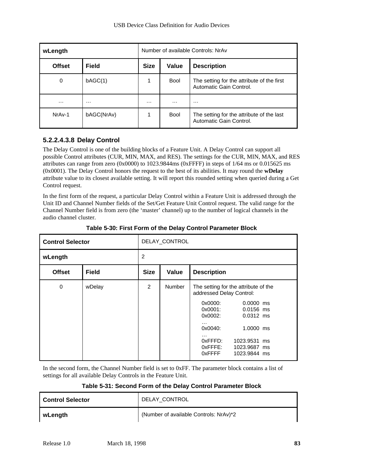| wLength       | Number of available Controls: NrAv |          |             |                                                                       |
|---------------|------------------------------------|----------|-------------|-----------------------------------------------------------------------|
| <b>Offset</b> | <b>Field</b>                       |          | Value       | <b>Description</b>                                                    |
| 0             | bAGC(1)                            | 1        | Bool        | The setting for the attribute of the first<br>Automatic Gain Control. |
| $\cdots$      | $\cdots$                           | $\cdots$ | $\cdots$    | $\cdots$                                                              |
| NrAv-1        | bAGC(NrAv)                         |          | <b>Bool</b> | The setting for the attribute of the last<br>Automatic Gain Control.  |

#### **5.2.2.4.3.8 Delay Control**

The Delay Control is one of the building blocks of a Feature Unit. A Delay Control can support all possible Control attributes (CUR, MIN, MAX, and RES). The settings for the CUR, MIN, MAX, and RES attributes can range from zero (0x0000) to 1023.9844ms (0xFFFF) in steps of 1/64 ms or 0.015625 ms (0x0001). The Delay Control honors the request to the best of its abilities. It may round the **wDelay** attribute value to its closest available setting. It will report this rounded setting when queried during a Get Control request.

In the first form of the request, a particular Delay Control within a Feature Unit is addressed through the Unit ID and Channel Number fields of the Set/Get Feature Unit Control request. The valid range for the Channel Number field is from zero (the 'master' channel) up to the number of logical channels in the audio channel cluster.

| <b>Control Selector</b>       |        | DELAY_CONTROL  |               |                                                                                                                                                                                                                                                                                      |  |  |
|-------------------------------|--------|----------------|---------------|--------------------------------------------------------------------------------------------------------------------------------------------------------------------------------------------------------------------------------------------------------------------------------------|--|--|
| wLength                       |        | $\overline{2}$ |               |                                                                                                                                                                                                                                                                                      |  |  |
| <b>Offset</b><br><b>Field</b> |        | <b>Size</b>    | Value         | <b>Description</b>                                                                                                                                                                                                                                                                   |  |  |
| 0                             | wDelay | $\overline{2}$ | <b>Number</b> | The setting for the attribute of the<br>addressed Delay Control:<br>0x0000:<br>$0.0000$ ms<br>0x0001:<br>$0.0156$ ms<br>0x0002:<br>$0.0312$ ms<br>$\cdots$<br>0x0040:<br>1.0000 ms<br>$\cdots$<br>0xFFFD:<br>1023.9531 ms<br>$0x$ FFFE:<br>1023.9687 ms<br>$0x$ FFFF<br>1023.9844 ms |  |  |

**Table 5-30: First Form of the Delay Control Parameter Block**

In the second form, the Channel Number field is set to 0xFF. The parameter block contains a list of settings for all available Delay Controls in the Feature Unit.

| Table 5-31: Second Form of the Delay Control Parameter Block |  |  |  |  |
|--------------------------------------------------------------|--|--|--|--|
|                                                              |  |  |  |  |

| <b>Control Selector</b> | DELAY CONTROL                          |
|-------------------------|----------------------------------------|
| wLength                 | (Number of available Controls: NrAv)*2 |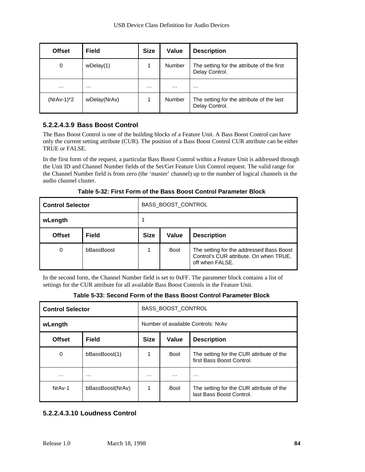| <b>Offset</b> | <b>Field</b> | <b>Size</b> | Value         | <b>Description</b>                                           |
|---------------|--------------|-------------|---------------|--------------------------------------------------------------|
| 0             | wDelay(1)    |             | <b>Number</b> | The setting for the attribute of the first<br>Delay Control. |
| $\cdots$      | $\cdots$     | .           | $\cdots$      | $\cdots$                                                     |
| $(NrAv-1)^*2$ | wDelay(NrAv) |             | <b>Number</b> | The setting for the attribute of the last<br>Delay Control.  |

#### **5.2.2.4.3.9 Bass Boost Control**

The Bass Boost Control is one of the building blocks of a Feature Unit. A Bass Boost Control can have only the current setting attribute (CUR). The position of a Bass Boost Control CUR attribute can be either TRUE or FALSE.

In the first form of the request, a particular Bass Boost Control within a Feature Unit is addressed through the Unit ID and Channel Number fields of the Set/Get Feature Unit Control request. The valid range for the Channel Number field is from zero (the 'master' channel) up to the number of logical channels in the audio channel cluster.

| <b>Control Selector</b> | BASS_BOOST_CONTROL |                      |             |                                                                                                       |  |
|-------------------------|--------------------|----------------------|-------------|-------------------------------------------------------------------------------------------------------|--|
| wLength                 |                    |                      |             |                                                                                                       |  |
| <b>Offset</b>           | <b>Field</b>       | <b>Size</b><br>Value |             | <b>Description</b>                                                                                    |  |
| 0                       | bBassBoost         |                      | <b>Bool</b> | The setting for the addressed Bass Boost<br>Control's CUR attribute. On when TRUE,<br>off when FALSE. |  |

**Table 5-32: First Form of the Bass Boost Control Parameter Block**

In the second form, the Channel Number field is set to 0xFF. The parameter block contains a list of settings for the CUR attribute for all available Bass Boost Controls in the Feature Unit.

**Table 5-33: Second Form of the Bass Boost Control Parameter Block**

| <b>Control Selector</b>       | BASS_BOOST_CONTROL |                                    |             |                                                                       |  |
|-------------------------------|--------------------|------------------------------------|-------------|-----------------------------------------------------------------------|--|
| wLength                       |                    | Number of available Controls: NrAv |             |                                                                       |  |
| <b>Field</b><br><b>Offset</b> |                    | <b>Size</b>                        | Value       | <b>Description</b>                                                    |  |
| 0                             | bBassBoost(1)      | 1                                  | <b>Bool</b> | The setting for the CUR attribute of the<br>first Bass Boost Control. |  |
| $\cdots$                      | $\cdots$           | $\cdots$                           | .           | $\cdots$                                                              |  |
| NrAv-1                        | bBassBoost(NrAv)   | 1                                  | <b>Bool</b> | The setting for the CUR attribute of the<br>last Bass Boost Control.  |  |

#### **5.2.2.4.3.10 Loudness Control**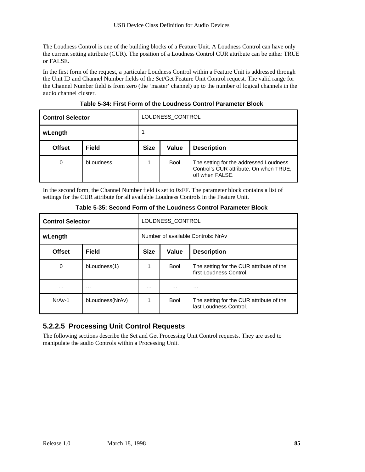The Loudness Control is one of the building blocks of a Feature Unit. A Loudness Control can have only the current setting attribute (CUR). The position of a Loudness Control CUR attribute can be either TRUE or FALSE.

In the first form of the request, a particular Loudness Control within a Feature Unit is addressed through the Unit ID and Channel Number fields of the Set/Get Feature Unit Control request. The valid range for the Channel Number field is from zero (the 'master' channel) up to the number of logical channels in the audio channel cluster.

| <b>Control Selector</b> |              | LOUDNESS_CONTROL |             |                                                                                                     |  |
|-------------------------|--------------|------------------|-------------|-----------------------------------------------------------------------------------------------------|--|
| wLength                 |              |                  |             |                                                                                                     |  |
| <b>Offset</b>           | <b>Field</b> | <b>Size</b>      | Value       | <b>Description</b>                                                                                  |  |
| 0                       | bLoudness    |                  | <b>Bool</b> | The setting for the addressed Loudness<br>Control's CUR attribute. On when TRUE,<br>off when FALSE. |  |

**Table 5-34: First Form of the Loudness Control Parameter Block**

In the second form, the Channel Number field is set to 0xFF. The parameter block contains a list of settings for the CUR attribute for all available Loudness Controls in the Feature Unit.

| <b>Control Selector</b>       | LOUDNESS CONTROL |                                    |             |                                                                     |  |
|-------------------------------|------------------|------------------------------------|-------------|---------------------------------------------------------------------|--|
| wLength                       |                  | Number of available Controls: NrAv |             |                                                                     |  |
| <b>Field</b><br><b>Offset</b> |                  | <b>Size</b>                        | Value       | <b>Description</b>                                                  |  |
| 0                             | bLoudness(1)     | 1                                  | <b>Bool</b> | The setting for the CUR attribute of the<br>first Loudness Control. |  |
| .                             | $\cdots$         | $\cdots$                           | $\cdots$    | $\cdots$                                                            |  |
| NrA <sub>v</sub> -1           | bLoudness(NrAv)  | 1                                  | <b>Bool</b> | The setting for the CUR attribute of the<br>last Loudness Control.  |  |

**Table 5-35: Second Form of the Loudness Control Parameter Block**

# **5.2.2.5 Processing Unit Control Requests**

The following sections describe the Set and Get Processing Unit Control requests. They are used to manipulate the audio Controls within a Processing Unit.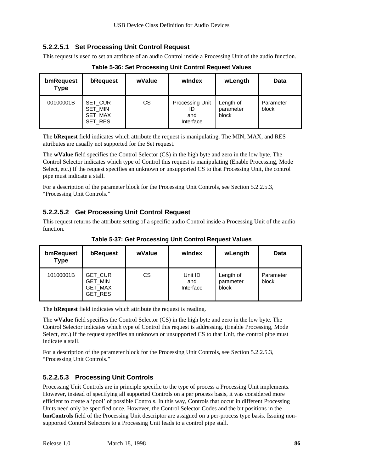#### **5.2.2.5.1 Set Processing Unit Control Request**

This request is used to set an attribute of an audio Control inside a Processing Unit of the audio function.

| bmRequest<br><b>Type</b> | bRequest                                                      | wValue | windex                                    | wLength                         | Data               |
|--------------------------|---------------------------------------------------------------|--------|-------------------------------------------|---------------------------------|--------------------|
| 00100001B                | <b>SET CUR</b><br><b>SET MIN</b><br><b>SET MAX</b><br>SET_RES | СS     | Processing Unit<br>ID<br>and<br>Interface | Length of<br>parameter<br>block | Parameter<br>block |

**Table 5-36: Set Processing Unit Control Request Values**

The **bRequest** field indicates which attribute the request is manipulating. The MIN, MAX, and RES attributes are usually not supported for the Set request.

The **wValue** field specifies the Control Selector (CS) in the high byte and zero in the low byte. The Control Selector indicates which type of Control this request is manipulating (Enable Processing, Mode Select, etc.) If the request specifies an unknown or unsupported CS to that Processing Unit, the control pipe must indicate a stall.

For a description of the parameter block for the Processing Unit Controls, see Section 5.2.2.5.3, "Processing Unit Controls."

#### **5.2.2.5.2 Get Processing Unit Control Request**

This request returns the attribute setting of a specific audio Control inside a Processing Unit of the audio function.

| bmRequest<br><b>Type</b> | bRequest                                                             | wValue | windex                      | wLength                         | Data               |
|--------------------------|----------------------------------------------------------------------|--------|-----------------------------|---------------------------------|--------------------|
| 10100001B                | <b>GET CUR</b><br><b>GET MIN</b><br><b>GET MAX</b><br><b>GET RES</b> | СS     | Unit ID<br>and<br>Interface | Length of<br>parameter<br>block | Parameter<br>block |

**Table 5-37: Get Processing Unit Control Request Values**

The **bRequest** field indicates which attribute the request is reading.

The **wValue** field specifies the Control Selector (CS) in the high byte and zero in the low byte. The Control Selector indicates which type of Control this request is addressing. (Enable Processing, Mode Select, etc.) If the request specifies an unknown or unsupported CS to that Unit, the control pipe must indicate a stall.

For a description of the parameter block for the Processing Unit Controls, see Section 5.2.2.5.3, "Processing Unit Controls."

#### **5.2.2.5.3 Processing Unit Controls**

Processing Unit Controls are in principle specific to the type of process a Processing Unit implements. However, instead of specifying all supported Controls on a per process basis, it was considered more efficient to create a 'pool' of possible Controls. In this way, Controls that occur in different Processing Units need only be specified once. However, the Control Selector Codes and the bit positions in the **bmControls** field of the Processing Unit descriptor are assigned on a per-process type basis. Issuing nonsupported Control Selectors to a Processing Unit leads to a control pipe stall.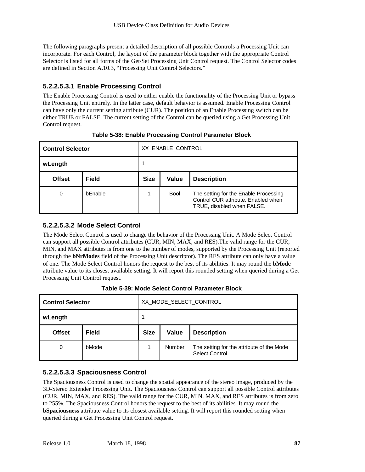The following paragraphs present a detailed description of all possible Controls a Processing Unit can incorporate. For each Control, the layout of the parameter block together with the appropriate Control Selector is listed for all forms of the Get/Set Processing Unit Control request. The Control Selector codes are defined in Section A.10.3, "Processing Unit Control Selectors."

#### **5.2.2.5.3.1 Enable Processing Control**

The Enable Processing Control is used to either enable the functionality of the Processing Unit or bypass the Processing Unit entirely. In the latter case, default behavior is assumed. Enable Processing Control can have only the current setting attribute (CUR). The position of an Enable Processing switch can be either TRUE or FALSE. The current setting of the Control can be queried using a Get Processing Unit Control request.

| <b>Control Selector</b> |              | XX_ENABLE_CONTROL                          |             |                                                                                                            |  |
|-------------------------|--------------|--------------------------------------------|-------------|------------------------------------------------------------------------------------------------------------|--|
| wLength                 |              | 1                                          |             |                                                                                                            |  |
| <b>Offset</b>           | <b>Field</b> | <b>Size</b><br>Value<br><b>Description</b> |             |                                                                                                            |  |
| 0                       | bEnable      | 1                                          | <b>Bool</b> | The setting for the Enable Processing<br>Control CUR attribute. Enabled when<br>TRUE, disabled when FALSE. |  |

**Table 5-38: Enable Processing Control Parameter Block**

#### **5.2.2.5.3.2 Mode Select Control**

The Mode Select Control is used to change the behavior of the Processing Unit. A Mode Select Control can support all possible Control attributes (CUR, MIN, MAX, and RES).The valid range for the CUR, MIN, and MAX attributes is from one to the number of modes, supported by the Processing Unit (reported through the **bNrModes** field of the Processing Unit descriptor). The RES attribute can only have a value of one. The Mode Select Control honors the request to the best of its abilities. It may round the **bMode** attribute value to its closest available setting. It will report this rounded setting when queried during a Get Processing Unit Control request.

|  | Table 5-39: Mode Select Control Parameter Block |
|--|-------------------------------------------------|
|--|-------------------------------------------------|

| <b>Control Selector</b> |              | XX_MODE_SELECT_CONTROL                            |        |                                                              |  |
|-------------------------|--------------|---------------------------------------------------|--------|--------------------------------------------------------------|--|
| wLength                 |              |                                                   |        |                                                              |  |
| <b>Offset</b>           | <b>Field</b> | <b>Size</b><br><b>Description</b><br><b>Value</b> |        |                                                              |  |
| 0                       | bMode        |                                                   | Number | The setting for the attribute of the Mode<br>Select Control. |  |

#### **5.2.2.5.3.3 Spaciousness Control**

The Spaciousness Control is used to change the spatial appearance of the stereo image, produced by the 3D-Stereo Extender Processing Unit. The Spaciousness Control can support all possible Control attributes (CUR, MIN, MAX, and RES). The valid range for the CUR, MIN, MAX, and RES attributes is from zero to 255%. The Spaciousness Control honors the request to the best of its abilities. It may round the **bSpaciousness** attribute value to its closest available setting. It will report this rounded setting when queried during a Get Processing Unit Control request.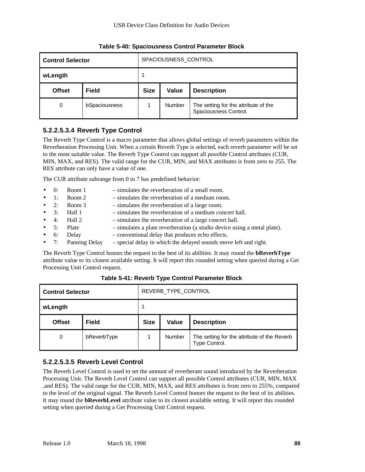| <b>Control Selector</b> |               | SPACIOUSNESS_CONTROL                              |               |                                                               |  |
|-------------------------|---------------|---------------------------------------------------|---------------|---------------------------------------------------------------|--|
| wLength                 |               |                                                   |               |                                                               |  |
| <b>Offset</b>           | <b>Field</b>  | <b>Size</b><br><b>Value</b><br><b>Description</b> |               |                                                               |  |
| 0                       | bSpaciousness |                                                   | <b>Number</b> | The setting for the attribute of the<br>Spaciousness Control. |  |

**Table 5-40: Spaciousness Control Parameter Block**

#### **5.2.2.5.3.4 Reverb Type Control**

The Reverb Type Control is a macro parameter that allows global settings of reverb parameters within the Reverberation Processing Unit. When a certain Reverb Type is selected, each reverb parameter will be set to the most suitable value. The Reverb Type Control can support all possible Control attributes (CUR, MIN, MAX, and RES). The valid range for the CUR, MIN, and MAX attributes is from zero to 255. The RES attribute can only have a value of one.

The CUR attribute subrange from 0 to 7 has predefined behavior:

- 0: Room 1 simulates the reverberation of a small room.
- 1: Room 2 simulates the reverberation of a medium room.
- 2: Room 3 simulates the reverberation of a large room.
- 3: Hall 1 simulates the reverberation of a medium concert hall.
- 4: Hall 2 simulates the reverberation of a large concert hall.
- 5: Plate simulates a plate reverberation (a studio device using a metal plate).
- 6: Delay conventional delay that produces echo effects.
- 7: Panning Delay special delay in which the delayed sounds move left and right.

The Reverb Type Control honors the request to the best of its abilities. It may round the **bReverbType** attribute value to its closest available setting. It will report this rounded setting when queried during a Get Processing Unit Control request.

| <b>Control Selector</b> |              | REVERB_TYPE_CONTROL                               |        |                                                              |  |
|-------------------------|--------------|---------------------------------------------------|--------|--------------------------------------------------------------|--|
| wLength                 |              | 1                                                 |        |                                                              |  |
| <b>Offset</b>           | <b>Field</b> | <b>Size</b><br><b>Value</b><br><b>Description</b> |        |                                                              |  |
| 0                       | bReverbType  |                                                   | Number | The setting for the attribute of the Reverb<br>Type Control. |  |

**Table 5-41: Reverb Type Control Parameter Block**

#### **5.2.2.5.3.5 Reverb Level Control**

The Reverb Level Control is used to set the amount of reverberant sound introduced by the Reverberation Processing Unit. The Reverb Level Control can support all possible Control attributes (CUR, MIN, MAX ,and RES). The valid range for the CUR, MIN, MAX, and RES attributes is from zero to 255%, compared to the level of the original signal. The Reverb Level Control honors the request to the best of its abilities. It may round the **bReverbLevel** attribute value to its closest available setting. It will report this rounded setting when queried during a Get Processing Unit Control request.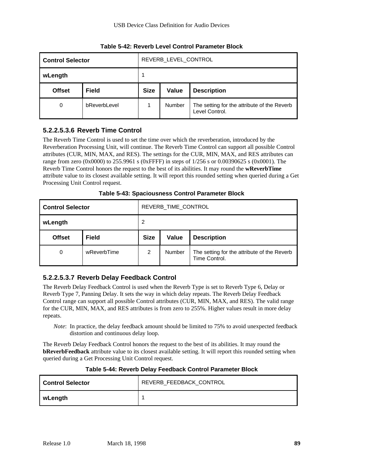| <b>Control Selector</b> |              | REVERB LEVEL CONTROL                              |        |                                                               |  |
|-------------------------|--------------|---------------------------------------------------|--------|---------------------------------------------------------------|--|
| wLength                 |              |                                                   |        |                                                               |  |
| <b>Offset</b>           | <b>Field</b> | <b>Size</b><br><b>Value</b><br><b>Description</b> |        |                                                               |  |
| 0                       | bReverbLevel |                                                   | Number | The setting for the attribute of the Reverb<br>Level Control. |  |

**Table 5-42: Reverb Level Control Parameter Block**

#### **5.2.2.5.3.6 Reverb Time Control**

The Reverb Time Control is used to set the time over which the reverberation, introduced by the Reverberation Processing Unit, will continue. The Reverb Time Control can support all possible Control attributes (CUR, MIN, MAX, and RES). The settings for the CUR, MIN, MAX, and RES attributes can range from zero (0x0000) to 255.9961 s (0xFFFF) in steps of 1/256 s or 0.00390625 s (0x0001). The Reverb Time Control honors the request to the best of its abilities. It may round the **wReverbTime** attribute value to its closest available setting. It will report this rounded setting when queried during a Get Processing Unit Control request.

| <b>Control Selector</b> |              | REVERB_TIME_CONTROL  |        |                                                              |  |
|-------------------------|--------------|----------------------|--------|--------------------------------------------------------------|--|
| wLength                 |              | 2                    |        |                                                              |  |
| <b>Offset</b>           | <b>Field</b> | <b>Size</b><br>Value |        | <b>Description</b>                                           |  |
| 0                       | wReverbTime  | 2                    | Number | The setting for the attribute of the Reverb<br>Time Control. |  |

**Table 5-43: Spaciousness Control Parameter Block**

#### **5.2.2.5.3.7 Reverb Delay Feedback Control**

The Reverb Delay Feedback Control is used when the Reverb Type is set to Reverb Type 6, Delay or Reverb Type 7, Panning Delay. It sets the way in which delay repeats. The Reverb Delay Feedback Control range can support all possible Control attributes (CUR, MIN, MAX, and RES). The valid range for the CUR, MIN, MAX, and RES attributes is from zero to 255%. Higher values result in more delay repeats.

*Note*: In practice, the delay feedback amount should be limited to 75% to avoid unexpected feedback distortion and continuous delay loop.

The Reverb Delay Feedback Control honors the request to the best of its abilities. It may round the **bReverbFeedback** attribute value to its closest available setting. It will report this rounded setting when queried during a Get Processing Unit Control request.

#### **Table 5-44: Reverb Delay Feedback Control Parameter Block**

| <b>Control Selector</b> | REVERB_FEEDBACK_CONTROL |  |  |
|-------------------------|-------------------------|--|--|
| wLength                 |                         |  |  |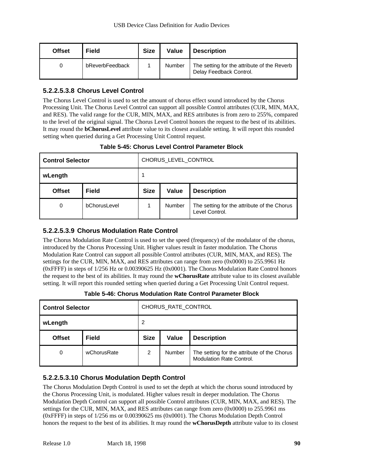| <b>Offset</b> | <b>Field</b>    | <b>Size</b> | Value  | <b>Description</b>                                                     |
|---------------|-----------------|-------------|--------|------------------------------------------------------------------------|
|               | bReverbFeedback |             | Number | The setting for the attribute of the Reverb<br>Delay Feedback Control. |

#### **5.2.2.5.3.8 Chorus Level Control**

The Chorus Level Control is used to set the amount of chorus effect sound introduced by the Chorus Processing Unit. The Chorus Level Control can support all possible Control attributes (CUR, MIN, MAX, and RES). The valid range for the CUR, MIN, MAX, and RES attributes is from zero to 255%, compared to the level of the original signal. The Chorus Level Control honors the request to the best of its abilities. It may round the **bChorusLevel** attribute value to its closest available setting. It will report this rounded setting when queried during a Get Processing Unit Control request.

| <b>Table 5-45: Chorus Level Control Parameter Block</b> |  |  |  |
|---------------------------------------------------------|--|--|--|
|---------------------------------------------------------|--|--|--|

| <b>Control Selector</b> |              | CHORUS_LEVEL_CONTROL                       |        |                                                               |  |
|-------------------------|--------------|--------------------------------------------|--------|---------------------------------------------------------------|--|
| wLength                 |              |                                            |        |                                                               |  |
| <b>Offset</b>           | <b>Field</b> | <b>Size</b><br>Value<br><b>Description</b> |        |                                                               |  |
| 0                       | bChorusLevel |                                            | Number | The setting for the attribute of the Chorus<br>Level Control. |  |

#### **5.2.2.5.3.9 Chorus Modulation Rate Control**

The Chorus Modulation Rate Control is used to set the speed (frequency) of the modulator of the chorus, introduced by the Chorus Processing Unit. Higher values result in faster modulation. The Chorus Modulation Rate Control can support all possible Control attributes (CUR, MIN, MAX, and RES). The settings for the CUR, MIN, MAX, and RES attributes can range from zero (0x0000) to 255.9961 Hz (0xFFFF) in steps of 1/256 Hz or 0.00390625 Hz (0x0001). The Chorus Modulation Rate Control honors the request to the best of its abilities. It may round the **wChorusRate** attribute value to its closest available setting. It will report this rounded setting when queried during a Get Processing Unit Control request.

| <b>Control Selector</b> |              | CHORUS RATE CONTROL |              |                                                                         |  |  |
|-------------------------|--------------|---------------------|--------------|-------------------------------------------------------------------------|--|--|
| wLength                 |              | 2                   |              |                                                                         |  |  |
| <b>Offset</b>           | <b>Field</b> | <b>Size</b>         | <b>Value</b> | <b>Description</b>                                                      |  |  |
| 0                       | wChorusRate  | 2                   | Number       | The setting for the attribute of the Chorus<br>Modulation Rate Control. |  |  |

**Table 5-46: Chorus Modulation Rate Control Parameter Block**

#### **5.2.2.5.3.10 Chorus Modulation Depth Control**

The Chorus Modulation Depth Control is used to set the depth at which the chorus sound introduced by the Chorus Processing Unit, is modulated. Higher values result in deeper modulation. The Chorus Modulation Depth Control can support all possible Control attributes (CUR, MIN, MAX, and RES). The settings for the CUR, MIN, MAX, and RES attributes can range from zero (0x0000) to 255.9961 ms (0xFFFF) in steps of 1/256 ms or 0.00390625 ms (0x0001). The Chorus Modulation Depth Control honors the request to the best of its abilities. It may round the **wChorusDepth** attribute value to its closest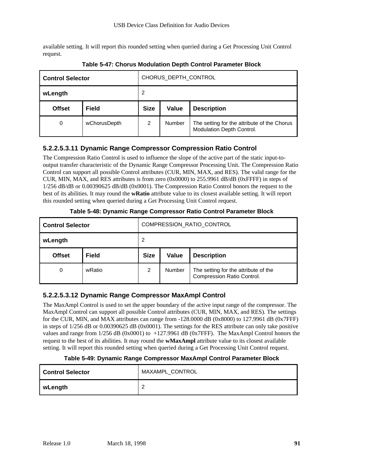available setting. It will report this rounded setting when queried during a Get Processing Unit Control request.

| <b>Control Selector</b> |              | CHORUS DEPTH CONTROL                       |        |                                                                          |  |
|-------------------------|--------------|--------------------------------------------|--------|--------------------------------------------------------------------------|--|
| wLength                 |              | 2                                          |        |                                                                          |  |
| <b>Offset</b>           | <b>Field</b> | <b>Size</b><br>Value<br><b>Description</b> |        |                                                                          |  |
| 0                       | wChorusDepth | 2                                          | Number | The setting for the attribute of the Chorus<br>Modulation Depth Control. |  |

**Table 5-47: Chorus Modulation Depth Control Parameter Block**

#### **5.2.2.5.3.11 Dynamic Range Compressor Compression Ratio Control**

The Compression Ratio Control is used to influence the slope of the active part of the static input-tooutput transfer characteristic of the Dynamic Range Compressor Processing Unit. The Compression Ratio Control can support all possible Control attributes (CUR, MIN, MAX, and RES). The valid range for the CUR, MIN, MAX, and RES attributes is from zero (0x0000) to 255.9961 dB/dB (0xFFFF) in steps of 1/256 dB/dB or 0.00390625 dB/dB (0x0001). The Compression Ratio Control honors the request to the best of its abilities. It may round the **wRatio** attribute value to its closest available setting. It will report this rounded setting when queried during a Get Processing Unit Control request.

| <b>Control Selector</b> |              | COMPRESSION_RATIO_CONTROL |              |                                                                    |  |  |
|-------------------------|--------------|---------------------------|--------------|--------------------------------------------------------------------|--|--|
| wLength                 |              | 2                         |              |                                                                    |  |  |
| <b>Offset</b>           | <b>Field</b> | <b>Size</b>               | <b>Value</b> | <b>Description</b>                                                 |  |  |
| 0                       | wRatio       | $\overline{2}$            | Number       | The setting for the attribute of the<br>Compression Ratio Control. |  |  |

**Table 5-48: Dynamic Range Compressor Ratio Control Parameter Block**

#### **5.2.2.5.3.12 Dynamic Range Compressor MaxAmpl Control**

The MaxAmpl Control is used to set the upper boundary of the active input range of the compressor. The MaxAmpl Control can support all possible Control attributes (CUR, MIN, MAX, and RES). The settings for the CUR, MIN, and MAX attributes can range from  $-128,0000$  dB  $(0x8000)$  to 127.9961 dB  $(0x7$ FFF) in steps of 1/256 dB or 0.00390625 dB (0x0001). The settings for the RES attribute can only take positive values and range from 1/256 dB (0x0001) to +127.9961 dB (0x7FFF). The MaxAmpl Control honors the request to the best of its abilities. It may round the **wMaxAmpl** attribute value to its closest available setting. It will report this rounded setting when queried during a Get Processing Unit Control request.

#### **Table 5-49: Dynamic Range Compressor MaxAmpl Control Parameter Block**

| <b>Control Selector</b> | MAXAMPL_CONTROL |
|-------------------------|-----------------|
| wLength                 |                 |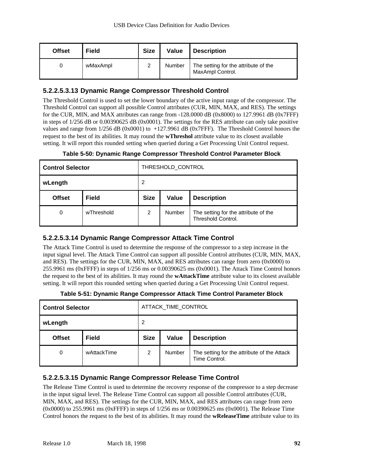| <b>Offset</b> | <b>Field</b> | <b>Size</b> | Value  | <b>Description</b>                                       |
|---------------|--------------|-------------|--------|----------------------------------------------------------|
|               | wMaxAmpl     | 2           | Number | The setting for the attribute of the<br>MaxAmpl Control. |

#### **5.2.2.5.3.13 Dynamic Range Compressor Threshold Control**

The Threshold Control is used to set the lower boundary of the active input range of the compressor. The Threshold Control can support all possible Control attributes (CUR, MIN, MAX, and RES). The settings for the CUR, MIN, and MAX attributes can range from -128.0000 dB (0x8000) to 127.9961 dB (0x7FFF) in steps of 1/256 dB or 0.00390625 dB (0x0001). The settings for the RES attribute can only take positive values and range from 1/256 dB (0x0001) to +127.9961 dB (0x7FFF). The Threshold Control honors the request to the best of its abilities. It may round the **wThreshol** attribute value to its closest available setting. It will report this rounded setting when queried during a Get Processing Unit Control request.

|  |  | Table 5-50: Dynamic Range Compressor Threshold Control Parameter Block |  |  |
|--|--|------------------------------------------------------------------------|--|--|
|  |  |                                                                        |  |  |

| <b>Control Selector</b> |              | THRESHOLD_CONTROL                          |               |                                                                   |  |
|-------------------------|--------------|--------------------------------------------|---------------|-------------------------------------------------------------------|--|
| wLength                 |              | 2                                          |               |                                                                   |  |
| <b>Offset</b>           | <b>Field</b> | <b>Size</b><br>Value<br><b>Description</b> |               |                                                                   |  |
| 0                       | wThreshold   | $\overline{2}$                             | <b>Number</b> | The setting for the attribute of the<br><b>Threshold Control.</b> |  |

#### **5.2.2.5.3.14 Dynamic Range Compressor Attack Time Control**

The Attack Time Control is used to determine the response of the compressor to a step increase in the input signal level. The Attack Time Control can support all possible Control attributes (CUR, MIN, MAX, and RES). The settings for the CUR, MIN, MAX, and RES attributes can range from zero (0x0000) to 255.9961 ms (0xFFFF) in steps of 1/256 ms or 0.00390625 ms (0x0001). The Attack Time Control honors the request to the best of its abilities. It may round the **wAttackTime** attribute value to its closest available setting. It will report this rounded setting when queried during a Get Processing Unit Control request.

|  |  | Table 5-51: Dynamic Range Compressor Attack Time Control Parameter Block |  |
|--|--|--------------------------------------------------------------------------|--|
|  |  |                                                                          |  |

| <b>Control Selector</b> |              | ATTACK_TIME_CONTROL                        |        |                                                              |  |
|-------------------------|--------------|--------------------------------------------|--------|--------------------------------------------------------------|--|
| wLength                 |              | 2                                          |        |                                                              |  |
| <b>Offset</b>           | <b>Field</b> | <b>Size</b><br>Value<br><b>Description</b> |        |                                                              |  |
| 0                       | wAttackTime  | 2                                          | Number | The setting for the attribute of the Attack<br>Time Control. |  |

#### **5.2.2.5.3.15 Dynamic Range Compressor Release Time Control**

The Release Time Control is used to determine the recovery response of the compressor to a step decrease in the input signal level. The Release Time Control can support all possible Control attributes (CUR, MIN, MAX, and RES). The settings for the CUR, MIN, MAX, and RES attributes can range from zero (0x0000) to 255.9961 ms (0xFFFF) in steps of 1/256 ms or 0.00390625 ms (0x0001). The Release Time Control honors the request to the best of its abilities. It may round the **wReleaseTime** attribute value to its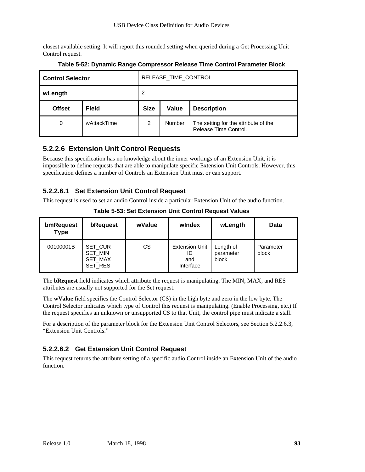closest available setting. It will report this rounded setting when queried during a Get Processing Unit Control request.

| <b>Control Selector</b> |              | RELEASE_TIME_CONTROL                              |        |                                                               |  |
|-------------------------|--------------|---------------------------------------------------|--------|---------------------------------------------------------------|--|
| wLength                 |              | 2                                                 |        |                                                               |  |
| <b>Offset</b>           | <b>Field</b> | <b>Size</b><br><b>Value</b><br><b>Description</b> |        |                                                               |  |
| 0                       | wAttackTime  | 2                                                 | Number | The setting for the attribute of the<br>Release Time Control. |  |

**Table 5-52: Dynamic Range Compressor Release Time Control Parameter Block**

# **5.2.2.6 Extension Unit Control Requests**

Because this specification has no knowledge about the inner workings of an Extension Unit, it is impossible to define requests that are able to manipulate specific Extension Unit Controls. However, this specification defines a number of Controls an Extension Unit must or can support.

#### **5.2.2.6.1 Set Extension Unit Control Request**

This request is used to set an audio Control inside a particular Extension Unit of the audio function.

| bmRequest<br><b>Type</b> | bRequest                                 | wValue | windex                                          | wLength                         | Data               |
|--------------------------|------------------------------------------|--------|-------------------------------------------------|---------------------------------|--------------------|
| 00100001B                | SET_CUR<br>SET_MIN<br>SET_MAX<br>SET_RES | CS     | <b>Extension Unit</b><br>ID<br>and<br>Interface | Length of<br>parameter<br>block | Parameter<br>block |

**Table 5-53: Set Extension Unit Control Request Values**

The **bRequest** field indicates which attribute the request is manipulating. The MIN, MAX, and RES attributes are usually not supported for the Set request.

The **wValue** field specifies the Control Selector (CS) in the high byte and zero in the low byte. The Control Selector indicates which type of Control this request is manipulating. (Enable Processing, etc.) If the request specifies an unknown or unsupported CS to that Unit, the control pipe must indicate a stall.

For a description of the parameter block for the Extension Unit Control Selectors, see Section 5.2.2.6.3, "Extension Unit Controls."

# **5.2.2.6.2 Get Extension Unit Control Request**

This request returns the attribute setting of a specific audio Control inside an Extension Unit of the audio function.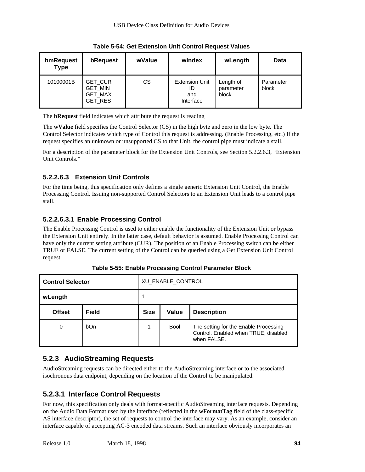| bmRequest<br><b>Type</b> | bRequest                                        | wValue | windex                                          | wLength                         | Data               |
|--------------------------|-------------------------------------------------|--------|-------------------------------------------------|---------------------------------|--------------------|
| 10100001B                | <b>GET CUR</b><br>GET_MIN<br>GET_MAX<br>GET_RES | СS     | <b>Extension Unit</b><br>ID<br>and<br>Interface | Length of<br>parameter<br>block | Parameter<br>block |

**Table 5-54: Get Extension Unit Control Request Values**

The **bRequest** field indicates which attribute the request is reading

The **wValue** field specifies the Control Selector (CS) in the high byte and zero in the low byte. The Control Selector indicates which type of Control this request is addressing. (Enable Processing, etc.) If the request specifies an unknown or unsupported CS to that Unit, the control pipe must indicate a stall.

For a description of the parameter block for the Extension Unit Controls, see Section 5.2.2.6.3, "Extension Unit Controls."

### **5.2.2.6.3 Extension Unit Controls**

For the time being, this specification only defines a single generic Extension Unit Control, the Enable Processing Control. Issuing non-supported Control Selectors to an Extension Unit leads to a control pipe stall.

### **5.2.2.6.3.1 Enable Processing Control**

The Enable Processing Control is used to either enable the functionality of the Extension Unit or bypass the Extension Unit entirely. In the latter case, default behavior is assumed. Enable Processing Control can have only the current setting attribute (CUR). The position of an Enable Processing switch can be either TRUE or FALSE. The current setting of the Control can be queried using a Get Extension Unit Control request.

| <b>Control Selector</b> |              | XU_ENABLE_CONTROL                                 |             |                                                                                              |  |
|-------------------------|--------------|---------------------------------------------------|-------------|----------------------------------------------------------------------------------------------|--|
| wLength                 |              |                                                   |             |                                                                                              |  |
| <b>Offset</b>           | <b>Field</b> | <b>Size</b><br><b>Value</b><br><b>Description</b> |             |                                                                                              |  |
| 0                       | <b>bOn</b>   |                                                   | <b>Bool</b> | The setting for the Enable Processing<br>Control. Enabled when TRUE, disabled<br>when FALSE. |  |

**Table 5-55: Enable Processing Control Parameter Block**

# **5.2.3 AudioStreaming Requests**

AudioStreaming requests can be directed either to the AudioStreaming interface or to the associated isochronous data endpoint, depending on the location of the Control to be manipulated.

# **5.2.3.1 Interface Control Requests**

For now, this specification only deals with format-specific AudioStreaming interface requests. Depending on the Audio Data Format used by the interface (reflected in the **wFormatTag** field of the class-specific AS interface descriptor), the set of requests to control the interface may vary. As an example, consider an interface capable of accepting AC-3 encoded data streams. Such an interface obviously incorporates an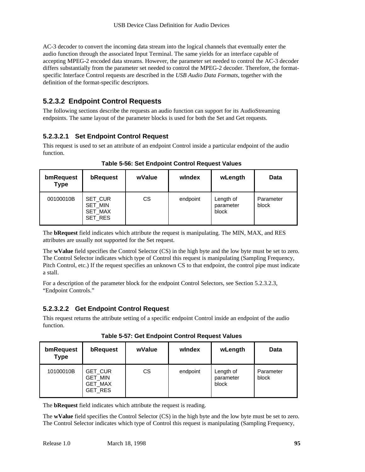AC-3 decoder to convert the incoming data stream into the logical channels that eventually enter the audio function through the associated Input Terminal. The same yields for an interface capable of accepting MPEG-2 encoded data streams. However, the parameter set needed to control the AC-3 decoder differs substantially from the parameter set needed to control the MPEG-2 decoder. Therefore, the formatspecific Interface Control requests are described in the *USB Audio Data Formats*, together with the definition of the format-specific descriptors.

# **5.2.3.2 Endpoint Control Requests**

The following sections describe the requests an audio function can support for its AudioStreaming endpoints. The same layout of the parameter blocks is used for both the Set and Get requests.

### **5.2.3.2.1 Set Endpoint Control Request**

This request is used to set an attribute of an endpoint Control inside a particular endpoint of the audio function.

| bmRequest<br><b>Type</b> | bRequest                                 | wValue | windex   | wLength                         | <b>Data</b>        |
|--------------------------|------------------------------------------|--------|----------|---------------------------------|--------------------|
| 00100010B                | SET CUR<br>SET_MIN<br>SET_MAX<br>SET_RES | СS     | endpoint | Length of<br>parameter<br>block | Parameter<br>block |

**Table 5-56: Set Endpoint Control Request Values**

The **bRequest** field indicates which attribute the request is manipulating. The MIN, MAX, and RES attributes are usually not supported for the Set request.

The **wValue** field specifies the Control Selector (CS) in the high byte and the low byte must be set to zero. The Control Selector indicates which type of Control this request is manipulating (Sampling Frequency, Pitch Control, etc.) If the request specifies an unknown CS to that endpoint, the control pipe must indicate a stall.

For a description of the parameter block for the endpoint Control Selectors, see Section 5.2.3.2.3, "Endpoint Controls."

#### **5.2.3.2.2 Get Endpoint Control Request**

This request returns the attribute setting of a specific endpoint Control inside an endpoint of the audio function.

**Table 5-57: Get Endpoint Control Request Values**

| bmRequest<br><b>Type</b> | bRequest                                        | wValue | windex   | wLength                         | Data               |
|--------------------------|-------------------------------------------------|--------|----------|---------------------------------|--------------------|
| 10100010B                | <b>GET CUR</b><br>GET_MIN<br>GET_MAX<br>GET_RES | CS     | endpoint | Length of<br>parameter<br>block | Parameter<br>block |

The **bRequest** field indicates which attribute the request is reading.

The **wValue** field specifies the Control Selector (CS) in the high byte and the low byte must be set to zero. The Control Selector indicates which type of Control this request is manipulating (Sampling Frequency,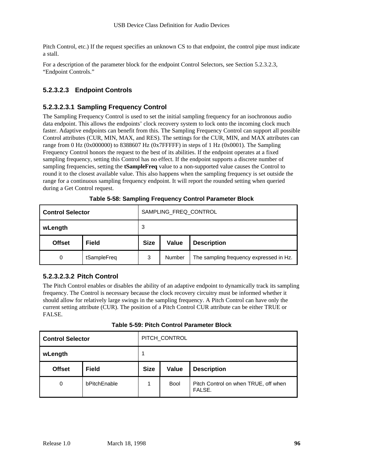Pitch Control, etc.) If the request specifies an unknown CS to that endpoint, the control pipe must indicate a stall.

For a description of the parameter block for the endpoint Control Selectors, see Section 5.2.3.2.3, "Endpoint Controls."

### **5.2.3.2.3 Endpoint Controls**

#### **5.2.3.2.3.1 Sampling Frequency Control**

The Sampling Frequency Control is used to set the initial sampling frequency for an isochronous audio data endpoint. This allows the endpoints' clock recovery system to lock onto the incoming clock much faster. Adaptive endpoints can benefit from this. The Sampling Frequency Control can support all possible Control attributes (CUR, MIN, MAX, and RES). The settings for the CUR, MIN, and MAX attributes can range from 0 Hz (0x000000) to 8388607 Hz (0x7FFFFF) in steps of 1 Hz (0x0001). The Sampling Frequency Control honors the request to the best of its abilities. If the endpoint operates at a fixed sampling frequency, setting this Control has no effect. If the endpoint supports a discrete number of sampling frequencies, setting the **tSampleFreq** value to a non-supported value causes the Control to round it to the closest available value. This also happens when the sampling frequency is set outside the range for a continuous sampling frequency endpoint. It will report the rounded setting when queried during a Get Control request.

| <b>Control Selector</b> | SAMPLING_FREQ_CONTROL |             |        |                                         |
|-------------------------|-----------------------|-------------|--------|-----------------------------------------|
| wLength                 |                       | 3           |        |                                         |
| <b>Offset</b>           | <b>Field</b>          | <b>Size</b> | Value  | <b>Description</b>                      |
| 0                       | tSampleFreq           | 3           | Number | The sampling frequency expressed in Hz. |

**Table 5-58: Sampling Frequency Control Parameter Block**

#### **5.2.3.2.3.2 Pitch Control**

The Pitch Control enables or disables the ability of an adaptive endpoint to dynamically track its sampling frequency. The Control is necessary because the clock recovery circuitry must be informed whether it should allow for relatively large swings in the sampling frequency. A Pitch Control can have only the current setting attribute (CUR). The position of a Pitch Control CUR attribute can be either TRUE or FALSE.

**Table 5-59: Pitch Control Parameter Block**

| <b>Control Selector</b> |              | PITCH_CONTROL |             |                                                |  |
|-------------------------|--------------|---------------|-------------|------------------------------------------------|--|
| wLength                 |              | 1             |             |                                                |  |
| <b>Offset</b>           | <b>Field</b> | <b>Size</b>   | Value       | <b>Description</b>                             |  |
| 0                       | bPitchEnable | 1             | <b>Bool</b> | Pitch Control on when TRUE, off when<br>FALSE. |  |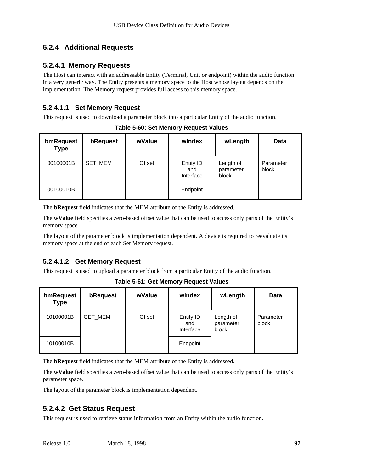# **5.2.4 Additional Requests**

### **5.2.4.1 Memory Requests**

The Host can interact with an addressable Entity (Terminal, Unit or endpoint) within the audio function in a very generic way. The Entity presents a memory space to the Host whose layout depends on the implementation. The Memory request provides full access to this memory space.

#### **5.2.4.1.1 Set Memory Request**

This request is used to download a parameter block into a particular Entity of the audio function.

| bmRequest<br><b>Type</b> | bRequest | wValue | windex                        | wLength                         | Data               |
|--------------------------|----------|--------|-------------------------------|---------------------------------|--------------------|
| 00100001B                | SET_MEM  | Offset | Entity ID<br>and<br>Interface | Length of<br>parameter<br>block | Parameter<br>block |
| 00100010B                |          |        | Endpoint                      |                                 |                    |

**Table 5-60: Set Memory Request Values**

The **bRequest** field indicates that the MEM attribute of the Entity is addressed.

The **wValue** field specifies a zero-based offset value that can be used to access only parts of the Entity's memory space.

The layout of the parameter block is implementation dependent. A device is required to reevaluate its memory space at the end of each Set Memory request.

#### **5.2.4.1.2 Get Memory Request**

This request is used to upload a parameter block from a particular Entity of the audio function.

| bmRequest<br><b>Type</b> | bRequest | wValue | windex                        | wLength                         | Data               |
|--------------------------|----------|--------|-------------------------------|---------------------------------|--------------------|
| 10100001B                | GET_MEM  | Offset | Entity ID<br>and<br>Interface | Length of<br>parameter<br>block | Parameter<br>block |
| 10100010B                |          |        | Endpoint                      |                                 |                    |

**Table 5-61: Get Memory Request Values**

The **bRequest** field indicates that the MEM attribute of the Entity is addressed.

The **wValue** field specifies a zero-based offset value that can be used to access only parts of the Entity's parameter space.

The layout of the parameter block is implementation dependent.

# **5.2.4.2 Get Status Request**

This request is used to retrieve status information from an Entity within the audio function.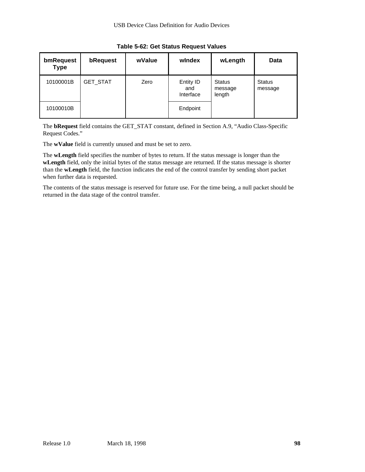| bmRequest<br><b>Type</b> | bRequest        | wValue | windex                        | wLength                            | Data                     |
|--------------------------|-----------------|--------|-------------------------------|------------------------------------|--------------------------|
| 10100001B                | <b>GET_STAT</b> | Zero   | Entity ID<br>and<br>Interface | <b>Status</b><br>message<br>length | <b>Status</b><br>message |
| 10100010B                |                 |        | Endpoint                      |                                    |                          |

**Table 5-62: Get Status Request Values**

The **bRequest** field contains the GET\_STAT constant, defined in Section A.9, "Audio Class-Specific Request Codes."

The **wValue** field is currently unused and must be set to zero.

The **wLength** field specifies the number of bytes to return. If the status message is longer than the **wLength** field, only the initial bytes of the status message are returned. If the status message is shorter than the **wLength** field, the function indicates the end of the control transfer by sending short packet when further data is requested.

The contents of the status message is reserved for future use. For the time being, a null packet should be returned in the data stage of the control transfer.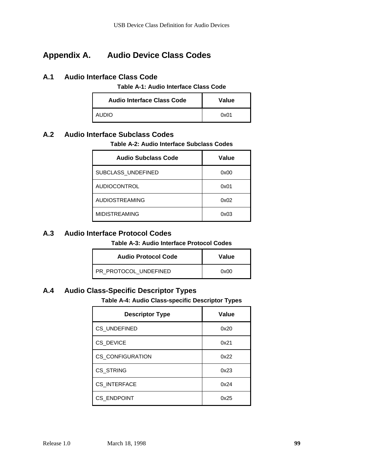# **Appendix A. Audio Device Class Codes**

#### **A.1 Audio Interface Class Code**

**Table A-1: Audio Interface Class Code**

| <b>Audio Interface Class Code</b> | Value |
|-----------------------------------|-------|
| AUDIO.                            | 0x01  |

### **A.2 Audio Interface Subclass Codes**

#### **Table A-2: Audio Interface Subclass Codes**

| Audio Subclass Code   | Value |
|-----------------------|-------|
| SUBCLASS UNDEFINED    | 0x00  |
| <b>AUDIOCONTROL</b>   | 0x01  |
| <b>AUDIOSTREAMING</b> | 0x02  |
| <b>MIDISTREAMING</b>  | 0x03  |

#### **A.3 Audio Interface Protocol Codes**

**Table A-3: Audio Interface Protocol Codes**

| <b>Audio Protocol Code</b> | Value |
|----------------------------|-------|
| PR PROTOCOL UNDEFINED      | 0x00  |

# **A.4 Audio Class-Specific Descriptor Types**

**Table A-4: Audio Class-specific Descriptor Types**

| <b>Descriptor Type</b>  | Value |
|-------------------------|-------|
| <b>CS UNDEFINED</b>     | 0x20  |
| CS_DEVICE               | 0x21  |
| <b>CS_CONFIGURATION</b> | 0x22  |
| CS_STRING               | 0x23  |
| <b>CS INTERFACE</b>     | 0x24  |
| <b>CS ENDPOINT</b>      | 0x25  |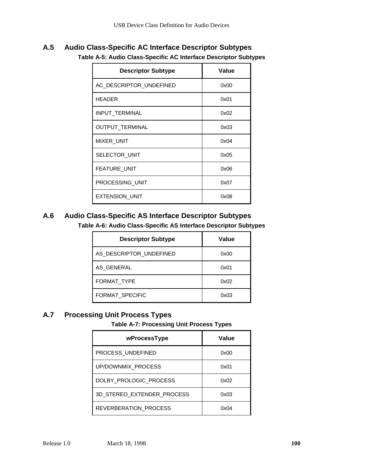# **A.5 Audio Class-Specific AC Interface Descriptor Subtypes Table A-5: Audio Class-Specific AC Interface Descriptor Subtypes**

| <b>Descriptor Subtype</b> | Value |
|---------------------------|-------|
| AC_DESCRIPTOR_UNDEFINED   | 0x00  |
| <b>HEADER</b>             | 0x01  |
| INPUT_TERMINAL            | 0x02  |
| <b>OUTPUT TERMINAL</b>    | 0x03  |
| MIXER_UNIT                | 0x04  |
| SELECTOR_UNIT             | 0x05  |
| <b>FEATURE UNIT</b>       | 0x06  |
| PROCESSING UNIT           | 0x07  |
| <b>EXTENSION UNIT</b>     | 0x08  |

# **A.6 Audio Class-Specific AS Interface Descriptor Subtypes Table A-6: Audio Class-Specific AS Interface Descriptor Subtypes**

| <b>Descriptor Subtype</b> | Value |
|---------------------------|-------|
| AS DESCRIPTOR UNDEFINED   | 0x00  |
| AS GENERAL                | 0x01  |
| <b>FORMAT TYPE</b>        | 0x02  |
| FORMAT SPECIFIC           | 0x03  |

# **A.7 Processing Unit Process Types**

**Table A-7: Processing Unit Process Types**

| wProcessType               | Value |
|----------------------------|-------|
| PROCESS UNDEFINED          | 0x00  |
| UP/DOWNMIX_PROCESS         | 0x01  |
| DOLBY PROLOGIC PROCESS     | 0x02  |
| 3D_STEREO_EXTENDER_PROCESS | 0x03  |
| REVERBERATION PROCESS      | 0x04  |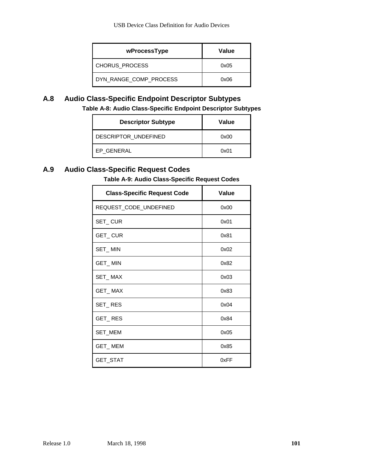| wProcessType           | Value |
|------------------------|-------|
| CHORUS PROCESS         | 0x05  |
| DYN RANGE COMP PROCESS | 0x06  |

# **A.8 Audio Class-Specific Endpoint Descriptor Subtypes**

**Table A-8: Audio Class-Specific Endpoint Descriptor Subtypes**

| <b>Descriptor Subtype</b> | Value |
|---------------------------|-------|
| DESCRIPTOR UNDEFINED      | 0x00  |
| EP GENERAL                | 0x01  |

# **A.9 Audio Class-Specific Request Codes**

### **Table A-9: Audio Class-Specific Request Codes**

| <b>Class-Specific Request Code</b> | Value |
|------------------------------------|-------|
| REQUEST_CODE_UNDEFINED             | 0x00  |
| SET_CUR                            | 0x01  |
| GET_CUR                            | 0x81  |
| SET_MIN                            | 0x02  |
| GET_MIN                            | 0x82  |
| SET_MAX                            | 0x03  |
| GET_MAX                            | 0x83  |
| SET_RES                            | 0x04  |
| <b>GET_RES</b>                     | 0x84  |
| SET_MEM                            | 0x05  |
| GET_MEM                            | 0x85  |
| GET_STAT                           | 0xFF  |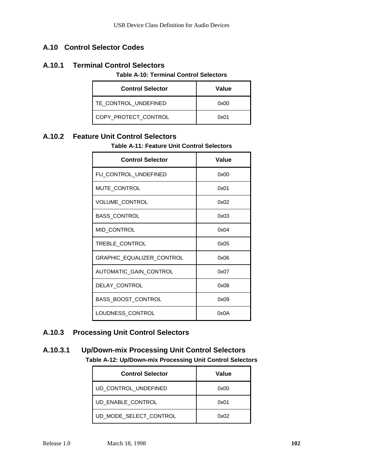# **A.10 Control Selector Codes**

#### **A.10.1 Terminal Control Selectors**

#### **Table A-10: Terminal Control Selectors**

| <b>Control Selector</b> | Value |
|-------------------------|-------|
| TE CONTROL UNDEFINED    | 0x00  |
| COPY PROTECT CONTROL    | 0x01  |

# **A.10.2 Feature Unit Control Selectors**

#### **Table A-11: Feature Unit Control Selectors**

| <b>Control Selector</b>          | Value |
|----------------------------------|-------|
| FU_CONTROL_UNDEFINED             | 0x00  |
| MUTE_CONTROL                     | 0x01  |
| VOLUME_CONTROL                   | 0x02  |
| <b>BASS_CONTROL</b>              | 0x03  |
| MID_CONTROL                      | 0x04  |
| TREBLE_CONTROL                   | 0x05  |
| <b>GRAPHIC EQUALIZER CONTROL</b> | 0x06  |
| AUTOMATIC_GAIN_CONTROL           | 0x07  |
| DELAY_CONTROL                    | 0x08  |
| BASS_BOOST_CONTROL               | 0x09  |
| LOUDNESS CONTROL                 | 0x0A  |

### **A.10.3 Processing Unit Control Selectors**

# **A.10.3.1 Up/Down-mix Processing Unit Control Selectors Table A-12: Up/Down-mix Processing Unit Control Selectors**

| <b>Control Selector</b> | Value |
|-------------------------|-------|
| UD CONTROL UNDEFINED    | 0x00  |
| UD ENABLE CONTROL       | 0x01  |
| UD MODE SELECT CONTROL  | 0x02  |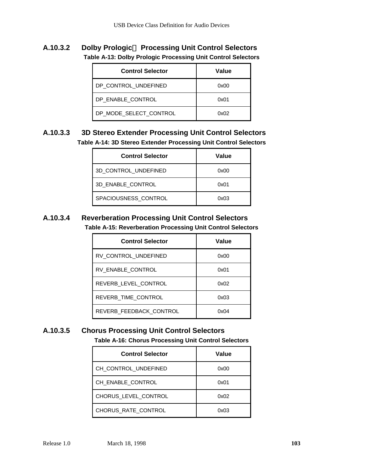**A.10.3.2 Dolby Prologic Processing Unit Control Selectors Table A-13: Dolby Prologic Processing Unit Control Selectors**

| <b>Control Selector</b> | Value |
|-------------------------|-------|
| DP CONTROL UNDEFINED    | 0x00  |
| DP ENABLE CONTROL       | 0x01  |
| DP MODE SELECT CONTROL  | 0x02  |

# **A.10.3.3 3D Stereo Extender Processing Unit Control Selectors Table A-14: 3D Stereo Extender Processing Unit Control Selectors**

| <b>Control Selector</b> | Value |
|-------------------------|-------|
| 3D CONTROL UNDEFINED    | 0x00  |
| 3D_ENABLE_CONTROL       | 0x01  |
| SPACIOUSNESS CONTROL    | 0x03  |

# **A.10.3.4 Reverberation Processing Unit Control Selectors Table A-15: Reverberation Processing Unit Control Selectors**

| <b>Control Selector</b> | Value |
|-------------------------|-------|
| RV CONTROL UNDEFINED    | 0x00  |
| RV ENABLE CONTROL       | 0x01  |
| REVERB LEVEL CONTROL    | 0x02  |
| REVERB_TIME_CONTROL     | 0x03  |
| REVERB FEEDBACK CONTROL | 0x04  |

# **A.10.3.5 Chorus Processing Unit Control Selectors**

**Table A-16: Chorus Processing Unit Control Selectors**

| <b>Control Selector</b> | Value |
|-------------------------|-------|
| CH_CONTROL_UNDEFINED    | 0x00  |
| CH_ENABLE_CONTROL       | 0x01  |
| CHORUS LEVEL CONTROL    | 0x02  |
| CHORUS RATE CONTROL     | 0x03  |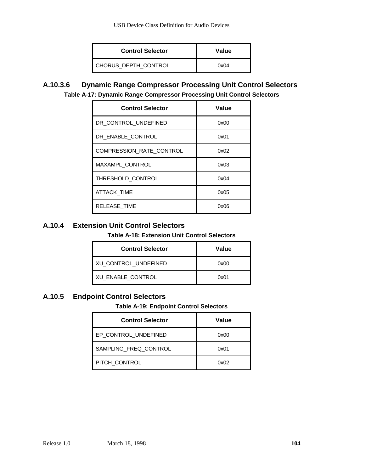| <b>Control Selector</b> | Value |
|-------------------------|-------|
| CHORUS DEPTH CONTROL    | 0x04  |

**A.10.3.6 Dynamic Range Compressor Processing Unit Control Selectors Table A-17: Dynamic Range Compressor Processing Unit Control Selectors**

| <b>Control Selector</b>  | <b>Value</b> |
|--------------------------|--------------|
| DR CONTROL UNDEFINED     | 0x00         |
| DR ENABLE CONTROL        | 0x01         |
| COMPRESSION_RATE_CONTROL | 0x02         |
| <b>MAXAMPL CONTROL</b>   | 0x03         |
| THRESHOLD_CONTROL        | 0x04         |
| <b>ATTACK TIME</b>       | 0x05         |
| <b>RELEASE TIME</b>      | 0x06         |

# **A.10.4 Extension Unit Control Selectors**

#### **Table A-18: Extension Unit Control Selectors**

| <b>Control Selector</b> | Value |
|-------------------------|-------|
| XU CONTROL UNDEFINED    | 0x00  |
| XU ENABLE CONTROL       | 0x01  |

# **A.10.5 Endpoint Control Selectors**

#### **Table A-19: Endpoint Control Selectors**

| <b>Control Selector</b> | Value |
|-------------------------|-------|
| EP CONTROL UNDEFINED    | 0x00  |
| SAMPLING FREQ CONTROL   | 0x01  |
| PITCH CONTROL           | 0x02  |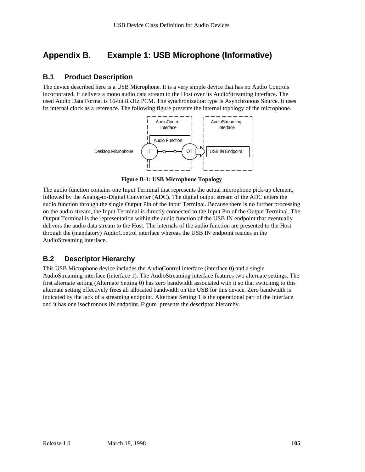# **Appendix B. Example 1: USB Microphone (Informative)**

#### **B.1 Product Description**

The device described here is a USB Microphone. It is a very simple device that has no Audio Controls incorporated. It delivers a mono audio data stream to the Host over its AudioStreaming interface. The used Audio Data Format is 16-bit 8KHz PCM. The synchronization type is Asynchronous Source. It uses its internal clock as a reference. The following figure presents the internal topology of the microphone.



**Figure B-1: USB Microphone Topology**

The audio function contains one Input Terminal that represents the actual microphone pick-up element, followed by the Analog-to-Digital Converter (ADC). The digital output stream of the ADC enters the audio function through the single Output Pin of the Input Terminal. Because there is no further processing on the audio stream, the Input Terminal is directly connected to the Input Pin of the Output Terminal. The Output Terminal is the representation within the audio function of the USB IN endpoint that eventually delivers the audio data stream to the Host. The internals of the audio function are presented to the Host through the (mandatory) AudioControl interface whereas the USB IN endpoint resides in the AudioStreaming interface.

#### **B.2 Descriptor Hierarchy**

This USB Microphone device includes the AudioControl interface (interface 0) and a single AudioStreaming interface (interface 1). The AudioStreaming interface features two alternate settings. The first alternate setting (Alternate Setting 0) has zero bandwidth associated with it so that switching to this alternate setting effectively frees all allocated bandwidth on the USB for this device. Zero bandwidth is indicated by the lack of a streaming endpoint. Alternate Setting 1 is the operational part of the interface and it has one isochronous IN endpoint. Figure presents the descriptor hierarchy.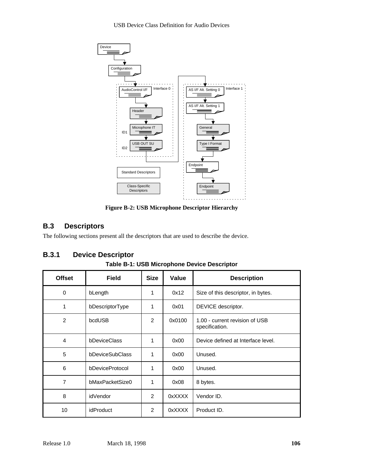

**Figure B-2: USB Microphone Descriptor Hierarchy**

# **B.3 Descriptors**

The following sections present all the descriptors that are used to describe the device.

# **B.3.1 Device Descriptor**

| J.V.I<br>DOVIDO DOSOFINIOI<br>Table B-1: USB Microphone Device Descriptor |                 |             |        |                                                  |  |  |
|---------------------------------------------------------------------------|-----------------|-------------|--------|--------------------------------------------------|--|--|
| <b>Offset</b>                                                             | <b>Field</b>    | <b>Size</b> | Value  | <b>Description</b>                               |  |  |
| 0                                                                         | bLength         | 1           | 0x12   | Size of this descriptor, in bytes.               |  |  |
| 1                                                                         | bDescriptorType | 1           | 0x01   | DEVICE descriptor.                               |  |  |
| $\overline{2}$                                                            | bcdUSB          | 2           | 0x0100 | 1.00 - current revision of USB<br>specification. |  |  |
| 4                                                                         | bDeviceClass    | 1           | 0x00   | Device defined at Interface level.               |  |  |
| 5                                                                         | bDeviceSubClass | 1           | 0x00   | Unused.                                          |  |  |
| 6                                                                         | bDeviceProtocol | 1           | 0x00   | Unused.                                          |  |  |
| 7                                                                         | bMaxPacketSize0 | 1           | 0x08   | 8 bytes.                                         |  |  |
| 8                                                                         | idVendor        | 2           | 0xXXXX | Vendor ID.                                       |  |  |

10 | idProduct | 2 | 0xXXXX | Product ID.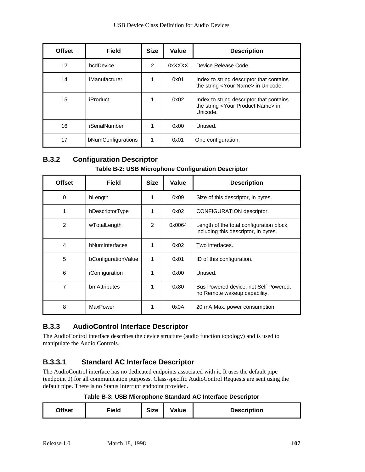| <b>Offset</b> | <b>Field</b>       | <b>Size</b>   | Value  | <b>Description</b>                                                                                      |
|---------------|--------------------|---------------|--------|---------------------------------------------------------------------------------------------------------|
| 12            | bcdDevice          | $\mathcal{P}$ | 0xXXXX | Device Release Code.                                                                                    |
| 14            | iManufacturer      |               | 0x01   | Index to string descriptor that contains<br>the string <your name=""> in Unicode.</your>                |
| 15            | <b>iProduct</b>    | 1             | 0x02   | Index to string descriptor that contains<br>the string <your name="" product=""> in<br/>Unicode.</your> |
| 16            | iSerialNumber      |               | 0x00   | Unused.                                                                                                 |
| 17            | bNumConfigurations | 1             | 0x01   | One configuration.                                                                                      |

# **B.3.2 Configuration Descriptor**

#### **Table B-2: USB Microphone Configuration Descriptor**

| <b>Offset</b>  | <b>Field</b>        | <b>Size</b> | Value  | <b>Description</b>                                                               |
|----------------|---------------------|-------------|--------|----------------------------------------------------------------------------------|
| 0              | bLength             |             | 0x09   | Size of this descriptor, in bytes.                                               |
| 1              | bDescriptorType     |             | 0x02   | CONFIGURATION descriptor.                                                        |
| $\overline{2}$ | wTotalLength        | 2           | 0x0064 | Length of the total configuration block,<br>including this descriptor, in bytes. |
| $\overline{4}$ | bNumInterfaces      |             | 0x02   | Two interfaces.                                                                  |
| 5              | bConfigurationValue | 1           | 0x01   | ID of this configuration.                                                        |
| 6              | iConfiguration      |             | 0x00   | Unused.                                                                          |
| 7              | bmAttributes        |             | 0x80   | Bus Powered device, not Self Powered,<br>no Remote wakeup capability.            |
| 8              | <b>MaxPower</b>     |             | 0x0A   | 20 mA Max. power consumption.                                                    |

# **B.3.3 AudioControl Interface Descriptor**

The AudioControl interface describes the device structure (audio function topology) and is used to manipulate the Audio Controls.

# **B.3.3.1 Standard AC Interface Descriptor**

The AudioControl interface has no dedicated endpoints associated with it. It uses the default pipe (endpoint 0) for all communication purposes. Class-specific AudioControl Requests are sent using the default pipe. There is no Status Interrupt endpoint provided.

#### **Table B-3: USB Microphone Standard AC Interface Descriptor**

| Offset<br>Field | <b>Size</b> | Value | <b>Description</b> |
|-----------------|-------------|-------|--------------------|
|-----------------|-------------|-------|--------------------|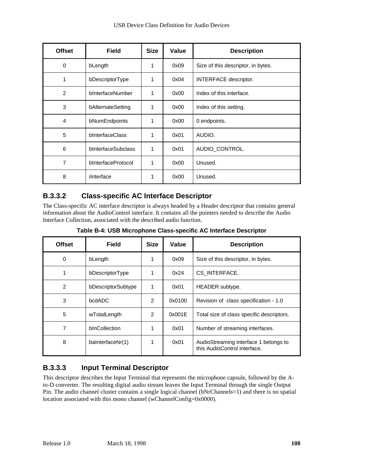| <b>Offset</b>  | <b>Field</b>       | <b>Size</b> | Value | <b>Description</b>                 |
|----------------|--------------------|-------------|-------|------------------------------------|
| 0              | bLength            | 1           | 0x09  | Size of this descriptor, in bytes. |
| 1              | bDescriptorType    | 1           | 0x04  | INTERFACE descriptor.              |
| $\overline{2}$ | bInterfaceNumber   | 1           | 0x00  | Index of this interface.           |
| 3              | bAlternateSetting  | 1           | 0x00  | Index of this setting.             |
| 4              | bNumEndpoints      | 1           | 0x00  | 0 endpoints.                       |
| 5              | bInterfaceClass    | 1           | 0x01  | AUDIO.                             |
| 6              | bInterfaceSubclass | 1           | 0x01  | AUDIO_CONTROL.                     |
| 7              | bInterfaceProtocol | 1           | 0x00  | Unused.                            |
| 8              | ilnterface         | 1           | 0x00  | Unused.                            |

# **B.3.3.2 Class-specific AC Interface Descriptor**

The Class-specific AC interface descriptor is always headed by a Header descriptor that contains general information about the AudioControl interface. It contains all the pointers needed to describe the Audio Interface Collection, associated with the described audio function.

**Table B-4: USB Microphone Class-specific AC Interface Descriptor**

| <b>Offset</b>  | <b>Field</b>       | <b>Size</b> | Value  | <b>Description</b>                                                    |
|----------------|--------------------|-------------|--------|-----------------------------------------------------------------------|
| 0              | bLength            |             | 0x09   | Size of this descriptor, in bytes.                                    |
| 1              | bDescriptorType    |             | 0x24   | CS_INTERFACE.                                                         |
| $\overline{2}$ | bDescriptorSubtype | 1           | 0x01   | HEADER subtype.                                                       |
| 3              | bcdADC             | 2           | 0x0100 | Revision of class specification - 1.0                                 |
| 5              | wTotalLength       | 2           | 0x001E | Total size of class specific descriptors.                             |
| 7              | bInCollection      |             | 0x01   | Number of streaming interfaces.                                       |
| 8              | baInterfaceNr(1)   |             | 0x01   | AudioStreaming interface 1 belongs to<br>this AudioControl interface. |

# **B.3.3.3 Input Terminal Descriptor**

This descriptor describes the Input Terminal that represents the microphone capsule, followed by the Ato-D converter. The resulting digital audio stream leaves the Input Terminal through the single Output Pin. The audio channel cluster contains a single logical channel (bNrChannels=1) and there is no spatial location associated with this mono channel (wChannelConfig=0x0000).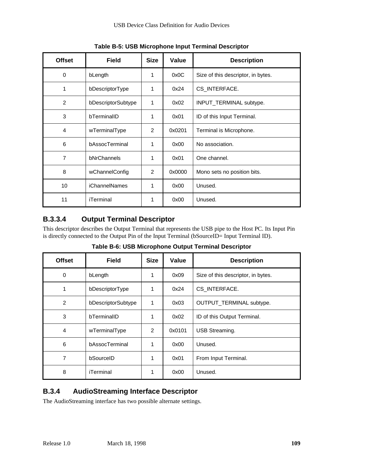| <b>Offset</b>  | <b>Field</b>         | <b>Size</b> | Value  | <b>Description</b>                 |
|----------------|----------------------|-------------|--------|------------------------------------|
| 0              | bLength              | 1           | 0x0C   | Size of this descriptor, in bytes. |
| 1              | bDescriptorType      | 1           | 0x24   | CS_INTERFACE.                      |
| 2              | bDescriptorSubtype   | 1           | 0x02   | INPUT_TERMINAL subtype.            |
| 3              | bTerminalID          | 1           | 0x01   | ID of this Input Terminal.         |
| 4              | wTerminalType        | 2           | 0x0201 | Terminal is Microphone.            |
| 6              | bAssocTerminal       | 1           | 0x00   | No association.                    |
| $\overline{7}$ | bNrChannels          | 1           | 0x01   | One channel.                       |
| 8              | wChannelConfig       | 2           | 0x0000 | Mono sets no position bits.        |
| 10             | <b>iChannelNames</b> | 1           | 0x00   | Unused.                            |
| 11             | iTerminal            | 1           | 0x00   | Unused.                            |

**Table B-5: USB Microphone Input Terminal Descriptor**

# **B.3.3.4 Output Terminal Descriptor**

This descriptor describes the Output Terminal that represents the USB pipe to the Host PC. Its Input Pin is directly connected to the Output Pin of the Input Terminal (bSourceID= Input Terminal ID).

|  |  | Table B-6: USB Microphone Output Terminal Descriptor |  |
|--|--|------------------------------------------------------|--|
|  |  |                                                      |  |

| <b>Offset</b> | <b>Field</b>       | <b>Size</b> | Value  | <b>Description</b>                 |
|---------------|--------------------|-------------|--------|------------------------------------|
| 0             | bLength            |             | 0x09   | Size of this descriptor, in bytes. |
| 1             | bDescriptorType    | 1           | 0x24   | CS_INTERFACE.                      |
| 2             | bDescriptorSubtype | 1           | 0x03   | OUTPUT_TERMINAL subtype.           |
| 3             | bTerminalID        | 1           | 0x02   | ID of this Output Terminal.        |
| 4             | wTerminalType      | 2           | 0x0101 | USB Streaming.                     |
| 6             | bAssocTerminal     | 1           | 0x00   | Unused.                            |
| 7             | bSourceID          | 1           | 0x01   | From Input Terminal.               |
| 8             | iTerminal          |             | 0x00   | Unused.                            |

### **B.3.4 AudioStreaming Interface Descriptor**

The AudioStreaming interface has two possible alternate settings.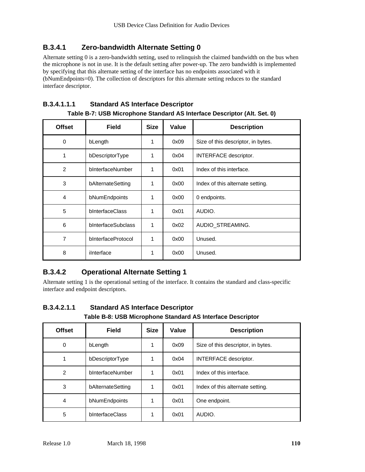### **B.3.4.1 Zero-bandwidth Alternate Setting 0**

Alternate setting 0 is a zero-bandwidth setting, used to relinquish the claimed bandwidth on the bus when the microphone is not in use. It is the default setting after power-up. The zero bandwidth is implemented by specifying that this alternate setting of the interface has no endpoints associated with it (bNumEndpoints=0). The collection of descriptors for this alternate setting reduces to the standard interface descriptor.

#### **B.3.4.1.1.1 Standard AS Interface Descriptor**

| <b>Offset</b>  | <b>Field</b>       | <b>Size</b> | Value | <b>Description</b>                 |
|----------------|--------------------|-------------|-------|------------------------------------|
| 0              | bLength            | 1           | 0x09  | Size of this descriptor, in bytes. |
| 1              | bDescriptorType    | 1           | 0x04  | INTERFACE descriptor.              |
| 2              | bInterfaceNumber   | 1           | 0x01  | Index of this interface.           |
| 3              | bAlternateSetting  | 1           | 0x00  | Index of this alternate setting.   |
| $\overline{4}$ | bNumEndpoints      | 1           | 0x00  | 0 endpoints.                       |
| 5              | bInterfaceClass    | 1           | 0x01  | AUDIO.                             |
| 6              | bInterfaceSubclass | 1           | 0x02  | AUDIO_STREAMING.                   |
| 7              | bInterfaceProtocol | 1           | 0x00  | Unused.                            |
| 8              | ilnterface         |             | 0x00  | Unused.                            |

| Table B-7: USB Microphone Standard AS Interface Descriptor (Alt. Set. 0) |  |  |
|--------------------------------------------------------------------------|--|--|
|--------------------------------------------------------------------------|--|--|

# **B.3.4.2 Operational Alternate Setting 1**

Alternate setting 1 is the operational setting of the interface. It contains the standard and class-specific interface and endpoint descriptors.

| <b>Table D-0. OUD IMIGRAPHONE ORIGINAL AO INIGHAGE DESCRIPTOR</b> |                   |             |       |                                    |  |
|-------------------------------------------------------------------|-------------------|-------------|-------|------------------------------------|--|
| <b>Offset</b>                                                     | <b>Field</b>      | <b>Size</b> | Value | <b>Description</b>                 |  |
| 0                                                                 | bLength           |             | 0x09  | Size of this descriptor, in bytes. |  |
|                                                                   | bDescriptorType   |             | 0x04  | INTERFACE descriptor.              |  |
| $\overline{2}$                                                    | bInterfaceNumber  |             | 0x01  | Index of this interface.           |  |
| 3                                                                 | bAlternateSetting |             | 0x01  | Index of this alternate setting.   |  |
| 4                                                                 | bNumEndpoints     |             | 0x01  | One endpoint.                      |  |
| 5                                                                 | bInterfaceClass   |             | 0x01  | AUDIO.                             |  |

# **B.3.4.2.1.1 Standard AS Interface Descriptor**

**Table B-8: USB Microphone Standard AS Interface Descriptor**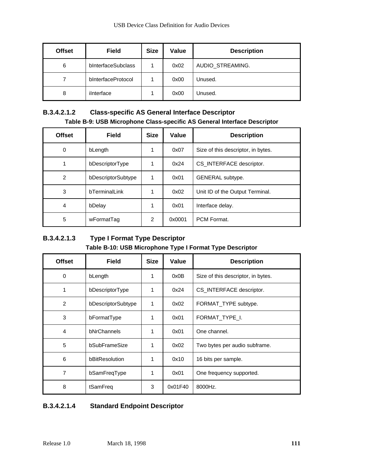| <b>Offset</b> | <b>Field</b>       | <b>Size</b> | Value | <b>Description</b> |
|---------------|--------------------|-------------|-------|--------------------|
| 6             | bInterfaceSubclass |             | 0x02  | AUDIO_STREAMING.   |
|               | bInterfaceProtocol |             | 0x00  | Unused.            |
| 8             | ilnterface         |             | 0x00  | Unused.            |

#### **B.3.4.2.1.2 Class-specific AS General Interface Descriptor Table B-9: USB Microphone Class-specific AS General Interface Descriptor**

| <b>Offset</b>  | <b>Field</b>       | <b>Size</b> | Value  | <b>Description</b>                 |
|----------------|--------------------|-------------|--------|------------------------------------|
| 0              | bLength            |             | 0x07   | Size of this descriptor, in bytes. |
|                | bDescriptorType    | 1           | 0x24   | CS_INTERFACE descriptor.           |
| $\overline{2}$ | bDescriptorSubtype | 1           | 0x01   | GENERAL subtype.                   |
| 3              | bTerminalLink      |             | 0x02   | Unit ID of the Output Terminal.    |
| 4              | bDelay             | 1           | 0x01   | Interface delay.                   |
| 5              | wFormatTag         | 2           | 0x0001 | PCM Format.                        |

## **B.3.4.2.1.3 Type I Format Type Descriptor Table B-10: USB Microphone Type I Format Type Descriptor**

| <b>Offset</b>  | <b>Field</b>       | <b>Size</b> | Value   | <b>Description</b>                 |
|----------------|--------------------|-------------|---------|------------------------------------|
| 0              | bLength            | 1           | 0x0B    | Size of this descriptor, in bytes. |
| 1              | bDescriptorType    | 1           | 0x24    | CS INTERFACE descriptor.           |
| $\overline{2}$ | bDescriptorSubtype | 1           | 0x02    | FORMAT_TYPE subtype.               |
| 3              | bFormatType        | 1           | 0x01    | FORMAT TYPE I.                     |
| $\overline{4}$ | bNrChannels        | 1           | 0x01    | One channel.                       |
| 5              | bSubFrameSize      |             | 0x02    | Two bytes per audio subframe.      |
| 6              | bBitResolution     | 1           | 0x10    | 16 bits per sample.                |
| 7              | bSamFreqType       | 1           | 0x01    | One frequency supported.           |
| 8              | tSamFreq           | 3           | 0x01F40 | 8000Hz.                            |

#### **B.3.4.2.1.4 Standard Endpoint Descriptor**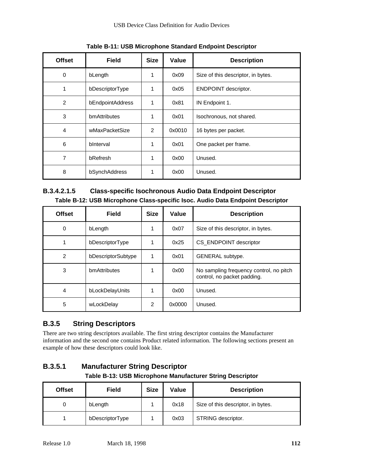| <b>Offset</b>  | <b>Field</b>        | <b>Size</b> | Value  | <b>Description</b>                 |
|----------------|---------------------|-------------|--------|------------------------------------|
| 0              | bLength             | 1           | 0x09   | Size of this descriptor, in bytes. |
| 1              | bDescriptorType     | 1           | 0x05   | ENDPOINT descriptor.               |
| $\overline{2}$ | bEndpointAddress    | 1           | 0x81   | IN Endpoint 1.                     |
| 3              | <b>bmAttributes</b> | 1           | 0x01   | Isochronous, not shared.           |
| 4              | wMaxPacketSize      | 2           | 0x0010 | 16 bytes per packet.               |
| 6              | bInterval           | 1           | 0x01   | One packet per frame.              |
| 7              | bRefresh            | 1           | 0x00   | Unused.                            |
| 8              | bSynchAddress       |             | 0x00   | Unused.                            |

**Table B-11: USB Microphone Standard Endpoint Descriptor**

#### **B.3.4.2.1.5 Class-specific Isochronous Audio Data Endpoint Descriptor Table B-12: USB Microphone Class-specific Isoc. Audio Data Endpoint Descriptor**

| <b>Offset</b>  | <b>Field</b>       | <b>Size</b>   | Value  | <b>Description</b>                                                     |
|----------------|--------------------|---------------|--------|------------------------------------------------------------------------|
| 0              | bLength            |               | 0x07   | Size of this descriptor, in bytes.                                     |
| 1              | bDescriptorType    |               | 0x25   | CS_ENDPOINT descriptor                                                 |
| $\overline{2}$ | bDescriptorSubtype |               | 0x01   | GENERAL subtype.                                                       |
| 3              | bmAttributes       |               | 0x00   | No sampling frequency control, no pitch<br>control, no packet padding. |
| 4              | bLockDelayUnits    |               | 0x00   | Unused.                                                                |
| 5              | wLockDelay         | $\mathcal{P}$ | 0x0000 | Unused.                                                                |

# **B.3.5 String Descriptors**

There are two string descriptors available. The first string descriptor contains the Manufacturer information and the second one contains Product related information. The following sections present an example of how these descriptors could look like.

# **B.3.5.1 Manufacturer String Descriptor**

#### **Table B-13: USB Microphone Manufacturer String Descriptor**

| <b>Offset</b> | <b>Field</b>    | <b>Size</b> | Value | <b>Description</b>                 |
|---------------|-----------------|-------------|-------|------------------------------------|
| 0             | bLength         |             | 0x18  | Size of this descriptor, in bytes. |
|               | bDescriptorType |             | 0x03  | STRING descriptor.                 |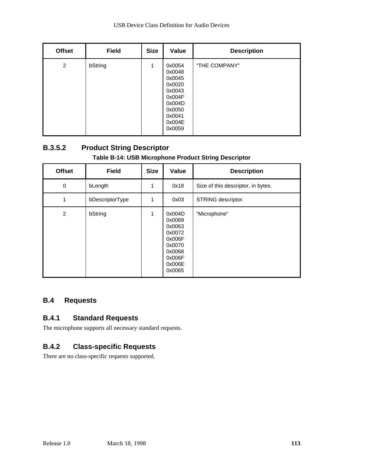| <b>Offset</b>  | <b>Field</b> | <b>Size</b> | <b>Value</b>                                                                                               | <b>Description</b> |
|----------------|--------------|-------------|------------------------------------------------------------------------------------------------------------|--------------------|
| $\overline{2}$ | bString      | 1           | 0x0054<br>0x0048<br>0x0045<br>0x0020<br>0x0043<br>0x004F<br>0x004D<br>0x0050<br>0x0041<br>0x004E<br>0x0059 | "THE COMPANY"      |

# **B.3.5.2 Product String Descriptor**

#### **Table B-14: USB Microphone Product String Descriptor**

| <b>Offset</b> | <b>Field</b>    | <b>Size</b> | <b>Value</b>                                                                                     | <b>Description</b>                 |
|---------------|-----------------|-------------|--------------------------------------------------------------------------------------------------|------------------------------------|
| $\mathbf 0$   | bLength         | 1           | 0x18                                                                                             | Size of this descriptor, in bytes. |
| 1             | bDescriptorType | 1           | 0x03                                                                                             | STRING descriptor.                 |
| 2             | bString         | 1           | 0x004D<br>0x0069<br>0x0063<br>0x0072<br>0x006F<br>0x0070<br>0x0068<br>0x006F<br>0x006E<br>0x0065 | "Microphone"                       |

## **B.4 Requests**

#### **B.4.1 Standard Requests**

The microphone supports all necessary standard requests.

#### **B.4.2 Class-specific Requests**

There are no class-specific requests supported.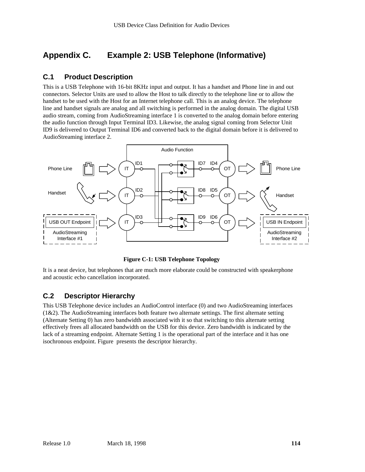# **Appendix C. Example 2: USB Telephone (Informative)**

#### **C.1 Product Description**

This is a USB Telephone with 16-bit 8KHz input and output. It has a handset and Phone line in and out connectors. Selector Units are used to allow the Host to talk directly to the telephone line or to allow the handset to be used with the Host for an Internet telephone call. This is an analog device. The telephone line and handset signals are analog and all switching is performed in the analog domain. The digital USB audio stream, coming from AudioStreaming interface 1 is converted to the analog domain before entering the audio function through Input Terminal ID3. Likewise, the analog signal coming from Selector Unit ID9 is delivered to Output Terminal ID6 and converted back to the digital domain before it is delivered to AudioStreaming interface 2.



**Figure C-1: USB Telephone Topology**

It is a neat device, but telephones that are much more elaborate could be constructed with speakerphone and acoustic echo cancellation incorporated.

#### **C.2 Descriptor Hierarchy**

This USB Telephone device includes an AudioControl interface (0) and two AudioStreaming interfaces  $(1&2)$ . The AudioStreaming interfaces both feature two alternate settings. The first alternate setting (Alternate Setting 0) has zero bandwidth associated with it so that switching to this alternate setting effectively frees all allocated bandwidth on the USB for this device. Zero bandwidth is indicated by the lack of a streaming endpoint. Alternate Setting 1 is the operational part of the interface and it has one isochronous endpoint. Figure presents the descriptor hierarchy.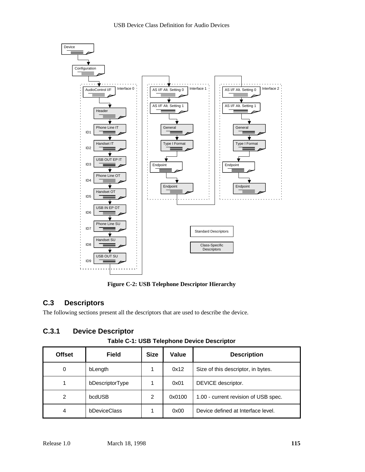



**Figure C-2: USB Telephone Descriptor Hierarchy**

# **C.3 Descriptors**

The following sections present all the descriptors that are used to describe the device.

# **C.3.1 Device Descriptor**

**Table C-1: USB Telephone Device Descriptor**

| <b>Offset</b> | <b>Field</b>        | <b>Size</b> | Value  | <b>Description</b>                   |
|---------------|---------------------|-------------|--------|--------------------------------------|
| 0             | bLength             |             | 0x12   | Size of this descriptor, in bytes.   |
|               | bDescriptorType     |             | 0x01   | DEVICE descriptor.                   |
| 2             | bcdUSB              | 2           | 0x0100 | 1.00 - current revision of USB spec. |
| 4             | <b>bDeviceClass</b> |             | 0x00   | Device defined at Interface level.   |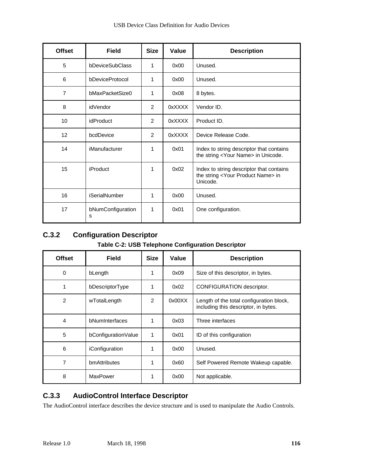| <b>Offset</b>  | <b>Field</b>           | <b>Size</b> | Value  | <b>Description</b>                                                                                      |
|----------------|------------------------|-------------|--------|---------------------------------------------------------------------------------------------------------|
| 5              | bDeviceSubClass        | 1           | 0x00   | Unused.                                                                                                 |
| 6              | bDeviceProtocol        | 1           | 0x00   | Unused.                                                                                                 |
| $\overline{7}$ | bMaxPacketSize0        | 1           | 0x08   | 8 bytes.                                                                                                |
| 8              | idVendor               | 2           | 0xXXXX | Vendor ID.                                                                                              |
| 10             | <i>idProduct</i>       | 2           | 0xXXXX | Product ID.                                                                                             |
| 12             | bcdDevice              | 2           | 0xXXXX | Device Release Code.                                                                                    |
| 14             | iManufacturer          | 1           | 0x01   | Index to string descriptor that contains<br>the string <your name=""> in Unicode.</your>                |
| 15             | <b>iProduct</b>        | 1           | 0x02   | Index to string descriptor that contains<br>the string <your name="" product=""> in<br/>Unicode.</your> |
| 16             | <b>iSerialNumber</b>   | 1           | 0x00   | Unused.                                                                                                 |
| 17             | bNumConfiguration<br>s | 1           | 0x01   | One configuration.                                                                                      |

# **C.3.2 Configuration Descriptor**

#### **Table C-2: USB Telephone Configuration Descriptor**

| <b>Offset</b>  | <b>Field</b>        | <b>Size</b> | Value  | <b>Description</b>                                                               |
|----------------|---------------------|-------------|--------|----------------------------------------------------------------------------------|
| 0              | bLength             |             | 0x09   | Size of this descriptor, in bytes.                                               |
| 1              | bDescriptorType     | 1           | 0x02   | CONFIGURATION descriptor.                                                        |
| 2              | wTotalLength        | 2           | 0x00XX | Length of the total configuration block,<br>including this descriptor, in bytes. |
| $\overline{4}$ | bNumInterfaces      |             | 0x03   | Three interfaces                                                                 |
| 5              | bConfigurationValue | 1           | 0x01   | ID of this configuration                                                         |
| 6              | iConfiguration      |             | 0x00   | Unused.                                                                          |
| 7              | bmAttributes        | 1           | 0x60   | Self Powered Remote Wakeup capable.                                              |
| 8              | MaxPower            | 1           | 0x00   | Not applicable.                                                                  |

# **C.3.3 AudioControl Interface Descriptor**

The AudioControl interface describes the device structure and is used to manipulate the Audio Controls.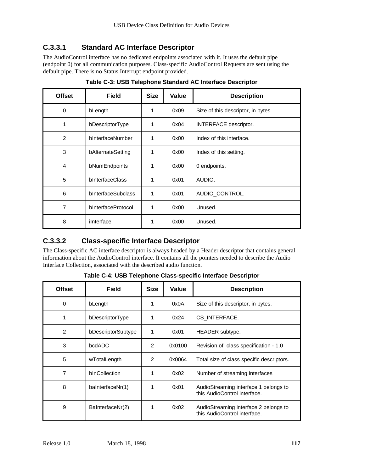### **C.3.3.1 Standard AC Interface Descriptor**

The AudioControl interface has no dedicated endpoints associated with it. It uses the default pipe (endpoint 0) for all communication purposes. Class-specific AudioControl Requests are sent using the default pipe. There is no Status Interrupt endpoint provided.

| <b>Offset</b>  | <b>Field</b>       | <b>Size</b> | Value | <b>Description</b>                 |
|----------------|--------------------|-------------|-------|------------------------------------|
| 0              | bLength            | 1           | 0x09  | Size of this descriptor, in bytes. |
| 1              | bDescriptorType    | 1           | 0x04  | <b>INTERFACE descriptor.</b>       |
| 2              | bInterfaceNumber   | 1           | 0x00  | Index of this interface.           |
| 3              | bAlternateSetting  | 1           | 0x00  | Index of this setting.             |
| $\overline{4}$ | bNumEndpoints      | 1           | 0x00  | 0 endpoints.                       |
| 5              | bInterfaceClass    | 1           | 0x01  | AUDIO.                             |
| 6              | bInterfaceSubclass | 1           | 0x01  | AUDIO_CONTROL.                     |
| 7              | bInterfaceProtocol | 1           | 0x00  | Unused.                            |
| 8              | ilnterface         | 1           | 0x00  | Unused.                            |

**Table C-3: USB Telephone Standard AC Interface Descriptor**

## **C.3.3.2 Class-specific Interface Descriptor**

The Class-specific AC interface descriptor is always headed by a Header descriptor that contains general information about the AudioControl interface. It contains all the pointers needed to describe the Audio Interface Collection, associated with the described audio function.

| <b>Offset</b>  | <b>Field</b>       | <b>Size</b> | Value  | <b>Description</b>                                                    |
|----------------|--------------------|-------------|--------|-----------------------------------------------------------------------|
| 0              | bLength            |             | 0x0A   | Size of this descriptor, in bytes.                                    |
| 1              | bDescriptorType    |             | 0x24   | CS INTERFACE.                                                         |
| $\overline{2}$ | bDescriptorSubtype | 1           | 0x01   | HEADER subtype.                                                       |
| 3              | bcdADC             | 2           | 0x0100 | Revision of class specification - 1.0                                 |
| 5              | wTotalLength       | 2           | 0x0064 | Total size of class specific descriptors.                             |
| $\overline{7}$ | bInCollection      |             | 0x02   | Number of streaming interfaces                                        |
| 8              | baInterfaceNr(1)   |             | 0x01   | AudioStreaming interface 1 belongs to<br>this AudioControl interface. |
| 9              | BaInterfaceNr(2)   |             | 0x02   | AudioStreaming interface 2 belongs to<br>this AudioControl interface. |

**Table C-4: USB Telephone Class-specific Interface Descriptor**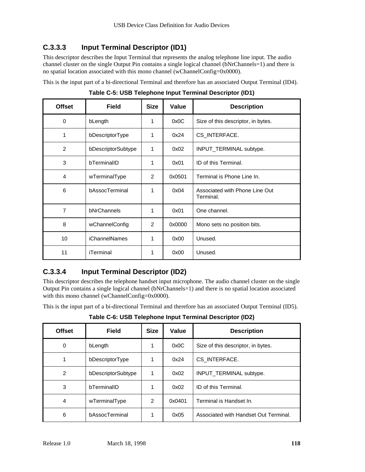# **C.3.3.3 Input Terminal Descriptor (ID1)**

This descriptor describes the Input Terminal that represents the analog telephone line input. The audio channel cluster on the single Output Pin contains a single logical channel (bNrChannels=1) and there is no spatial location associated with this mono channel (wChannelConfig=0x0000).

This is the input part of a bi-directional Terminal and therefore has an associated Output Terminal (ID4).

**Offset Field Size Value Description** 0 bLength 1 0x0C Size of this descriptor, in bytes. 1 bDescriptorType | 1 | 0x24 | CS\_INTERFACE. 2 | bDescriptorSubtype | 1 | 0x02 | INPUT\_TERMINAL subtype. 3 bTerminalID 1 0x01 ID of this Terminal. 4 | wTerminalType | 2 | 0x0501 | Terminal is Phone Line In. 6 bAssocTerminal 1 0x04 Associated with Phone Line Out Terminal. 7 bNrChannels 1 1 0x01 One channel. 8 | wChannelConfig | 2 | 0x0000 | Mono sets no position bits. 10 | iChannelNames | 1 | 0x00 | Unused. 11 | iTerminal 1 | 0x00 Unused.

**Table C-5: USB Telephone Input Terminal Descriptor (ID1)**

# **C.3.3.4 Input Terminal Descriptor (ID2)**

This descriptor describes the telephone handset input microphone. The audio channel cluster on the single Output Pin contains a single logical channel (bNrChannels=1) and there is no spatial location associated with this mono channel (wChannelConfig=0x0000).

This is the input part of a bi-directional Terminal and therefore has an associated Output Terminal (ID5).

**Table C-6: USB Telephone Input Terminal Descriptor (ID2)**

| <b>Offset</b>  | <b>Field</b>       | <b>Size</b> | Value  | <b>Description</b>                    |
|----------------|--------------------|-------------|--------|---------------------------------------|
| 0              | bLength            |             | 0x0C   | Size of this descriptor, in bytes.    |
| 1              | bDescriptorType    | 1           | 0x24   | CS INTERFACE.                         |
| $\overline{2}$ | bDescriptorSubtype | 1           | 0x02   | INPUT_TERMINAL subtype.               |
| 3              | bTerminalID        |             | 0x02   | ID of this Terminal.                  |
| 4              | wTerminalType      | 2           | 0x0401 | Terminal is Handset In.               |
| 6              | bAssocTerminal     |             | 0x05   | Associated with Handset Out Terminal. |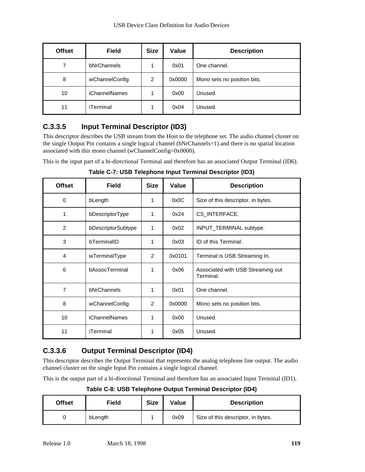| <b>Offset</b> | <b>Field</b>         | <b>Size</b>    | Value  | <b>Description</b>          |
|---------------|----------------------|----------------|--------|-----------------------------|
| 7             | bNrChannels          |                | 0x01   | One channel.                |
| 8             | wChannelConfig       | $\overline{2}$ | 0x0000 | Mono sets no position bits. |
| 10            | <b>iChannelNames</b> |                | 0x00   | Unused.                     |
| 11            | iTerminal            |                | 0x04   | Unused.                     |

# **C.3.3.5 Input Terminal Descriptor (ID3)**

This descriptor describes the USB stream from the Host to the telephone set. The audio channel cluster on the single Output Pin contains a single logical channel (bNrChannels=1) and there is no spatial location associated with this mono channel (wChannelConfig=0x0000).

This is the input part of a bi-directional Terminal and therefore has an associated Output Terminal (ID6).

**Table C-7: USB Telephone Input Terminal Descriptor (ID3)**

| <b>Offset</b>  | <b>Field</b>         | <b>Size</b>   | Value  | <b>Description</b>                             |
|----------------|----------------------|---------------|--------|------------------------------------------------|
| 0              | bLength              | 1             | 0x0C   | Size of this descriptor, in bytes.             |
| 1              | bDescriptorType      | 1             | 0x24   | CS_INTERFACE.                                  |
| 2              | bDescriptorSubtype   | 1             | 0x02   | INPUT_TERMINAL subtype.                        |
| 3              | bTerminalID          | 1             | 0x03   | ID of this Terminal.                           |
| $\overline{4}$ | wTerminalType        | 2             | 0x0101 | Terminal is USB Streaming In.                  |
| 6              | bAssocTerminal       | 1             | 0x06   | Associated with USB Streaming out<br>Terminal. |
| $\overline{7}$ | bNrChannels          | 1             | 0x01   | One channel.                                   |
| 8              | wChannelConfig       | $\mathcal{P}$ | 0x0000 | Mono sets no position bits.                    |
| 10             | <b>iChannelNames</b> | 1             | 0x00   | Unused.                                        |
| 11             | iTerminal            |               | 0x05   | Unused.                                        |

# **C.3.3.6 Output Terminal Descriptor (ID4)**

This descriptor describes the Output Terminal that represents the analog telephone line output. The audio channel cluster on the single Input Pin contains a single logical channel.

This is the output part of a bi-directional Terminal and therefore has an associated Input Terminal (ID1).

**Table C-8: USB Telephone Output Terminal Descriptor (ID4)**

| <b>Offset</b> | Field   | <b>Size</b> | Value | <b>Description</b>                 |
|---------------|---------|-------------|-------|------------------------------------|
|               | bLength |             | 0x09  | Size of this descriptor, in bytes. |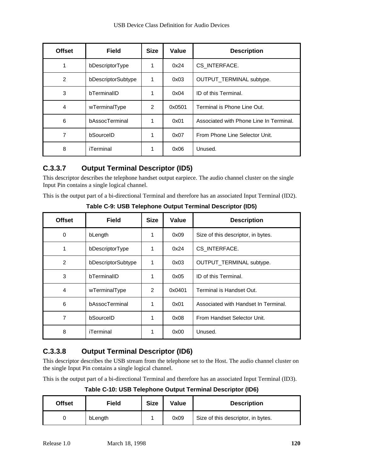| <b>Offset</b>  | <b>Field</b>       | <b>Size</b>    | Value  | <b>Description</b>                      |
|----------------|--------------------|----------------|--------|-----------------------------------------|
| 1              | bDescriptorType    | 1              | 0x24   | CS_INTERFACE.                           |
| $\overline{2}$ | bDescriptorSubtype | 1              | 0x03   | <b>OUTPUT TERMINAL subtype.</b>         |
| 3              | bTerminalID        | 1              | 0x04   | ID of this Terminal.                    |
| $\overline{4}$ | wTerminalType      | $\overline{2}$ | 0x0501 | Terminal is Phone Line Out.             |
| 6              | bAssocTerminal     | 1              | 0x01   | Associated with Phone Line In Terminal. |
| 7              | bSourceID          |                | 0x07   | From Phone Line Selector Unit.          |
| 8              | iTerminal          | 1              | 0x06   | Unused.                                 |

# **C.3.3.7 Output Terminal Descriptor (ID5)**

This descriptor describes the telephone handset output earpiece. The audio channel cluster on the single Input Pin contains a single logical channel.

This is the output part of a bi-directional Terminal and therefore has an associated Input Terminal (ID2).

| <b>Offset</b>  | <b>Field</b>       | <b>Size</b> | Value  | <b>Description</b>                   |
|----------------|--------------------|-------------|--------|--------------------------------------|
| 0              | bLength            | 1           | 0x09   | Size of this descriptor, in bytes.   |
| 1              | bDescriptorType    | 1           | 0x24   | CS INTERFACE.                        |
| $\overline{2}$ | bDescriptorSubtype | 1           | 0x03   | OUTPUT_TERMINAL subtype.             |
| 3              | bTerminalID        | 1           | 0x05   | ID of this Terminal.                 |
| $\overline{4}$ | wTerminalType      | 2           | 0x0401 | Terminal is Handset Out.             |
| 6              | bAssocTerminal     | 1           | 0x01   | Associated with Handset In Terminal. |
| 7              | bSourceID          | 1           | 0x08   | From Handset Selector Unit.          |
| 8              | iTerminal          |             | 0x00   | Unused.                              |

**Table C-9: USB Telephone Output Terminal Descriptor (ID5)**

# **C.3.3.8 Output Terminal Descriptor (ID6)**

This descriptor describes the USB stream from the telephone set to the Host. The audio channel cluster on the single Input Pin contains a single logical channel.

This is the output part of a bi-directional Terminal and therefore has an associated Input Terminal (ID3).

**Table C-10: USB Telephone Output Terminal Descriptor (ID6)**

| <b>Offset</b> | Field   | <b>Size</b> | Value | <b>Description</b>                 |
|---------------|---------|-------------|-------|------------------------------------|
|               | bLength |             | 0x09  | Size of this descriptor, in bytes. |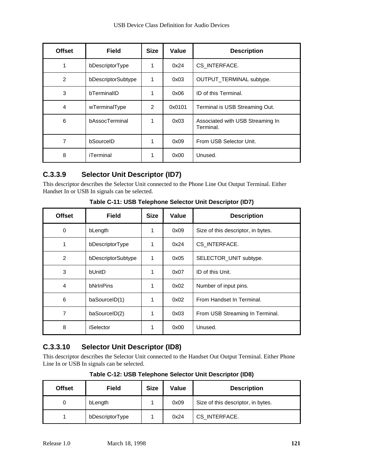| <b>Offset</b> | <b>Field</b>       | <b>Size</b> | Value  | <b>Description</b>                            |
|---------------|--------------------|-------------|--------|-----------------------------------------------|
| 1             | bDescriptorType    |             | 0x24   | CS_INTERFACE.                                 |
| 2             | bDescriptorSubtype | 1           | 0x03   | OUTPUT_TERMINAL subtype.                      |
| 3             | bTerminalID        |             | 0x06   | ID of this Terminal.                          |
| 4             | wTerminalType      | 2           | 0x0101 | Terminal is USB Streaming Out.                |
| 6             | bAssocTerminal     |             | 0x03   | Associated with USB Streaming In<br>Terminal. |
| 7             | bSourceID          | 1           | 0x09   | From USB Selector Unit.                       |
| 8             | iTerminal          |             | 0x00   | Unused.                                       |

# **C.3.3.9 Selector Unit Descriptor (ID7)**

This descriptor describes the Selector Unit connected to the Phone Line Out Output Terminal. Either Handset In or USB In signals can be selected.

| <b>Offset</b>  | <b>Field</b>       | <b>Size</b> | Value | <b>Description</b>                 |
|----------------|--------------------|-------------|-------|------------------------------------|
| 0              | bLength            | 1           | 0x09  | Size of this descriptor, in bytes. |
| 1              | bDescriptorType    | 1           | 0x24  | CS_INTERFACE.                      |
| $\overline{2}$ | bDescriptorSubtype | 1           | 0x05  | SELECTOR_UNIT subtype.             |
| 3              | bUnitD             | 1           | 0x07  | ID of this Unit.                   |
| 4              | bNrInPins          | 1           | 0x02  | Number of input pins.              |
| 6              | baSourceID(1)      | 1           | 0x02  | From Handset In Terminal.          |
| 7              | baSourceID(2)      | 1           | 0x03  | From USB Streaming In Terminal.    |
| 8              | iSelector          | 1           | 0x00  | Unused.                            |

**Table C-11: USB Telephone Selector Unit Descriptor (ID7)**

# **C.3.3.10 Selector Unit Descriptor (ID8)**

This descriptor describes the Selector Unit connected to the Handset Out Output Terminal. Either Phone Line In or USB In signals can be selected.

| <b>Offset</b> | Field           | <b>Size</b> | Value | <b>Description</b>                 |
|---------------|-----------------|-------------|-------|------------------------------------|
| 0             | bLength         |             | 0x09  | Size of this descriptor, in bytes. |
|               | bDescriptorType |             | 0x24  | CS INTERFACE.                      |

**Table C-12: USB Telephone Selector Unit Descriptor (ID8)**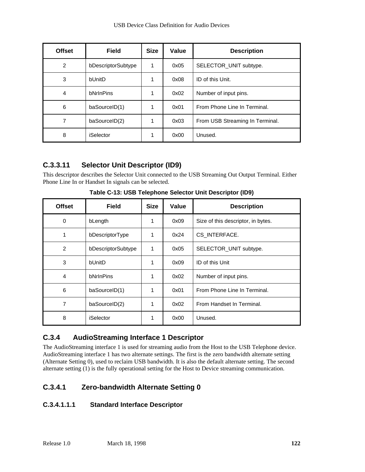| <b>Offset</b>  | <b>Field</b>       | <b>Size</b> | Value | <b>Description</b>              |
|----------------|--------------------|-------------|-------|---------------------------------|
| $\overline{2}$ | bDescriptorSubtype | 1           | 0x05  | SELECTOR_UNIT subtype.          |
| 3              | bUnitD             |             | 0x08  | ID of this Unit.                |
| 4              | bNrInPins          |             | 0x02  | Number of input pins.           |
| 6              | baSourceID(1)      |             | 0x01  | From Phone Line In Terminal.    |
| 7              | baSourceID(2)      |             | 0x03  | From USB Streaming In Terminal. |
| 8              | iSelector          |             | 0x00  | Unused.                         |

# **C.3.3.11 Selector Unit Descriptor (ID9)**

This descriptor describes the Selector Unit connected to the USB Streaming Out Output Terminal. Either Phone Line In or Handset In signals can be selected.

| <b>Offset</b>  | <b>Field</b>       | <b>Size</b> | Value | <b>Description</b>                 |
|----------------|--------------------|-------------|-------|------------------------------------|
| 0              | bLength            |             | 0x09  | Size of this descriptor, in bytes. |
| 1              | bDescriptorType    |             | 0x24  | CS_INTERFACE.                      |
| $\overline{2}$ | bDescriptorSubtype | 1           | 0x05  | SELECTOR_UNIT subtype.             |
| 3              | bUnitD             | 1           | 0x09  | ID of this Unit                    |
| 4              | bNrInPins          |             | 0x02  | Number of input pins.              |
| 6              | baSourceID(1)      |             | 0x01  | From Phone Line In Terminal.       |
| 7              | baSourceID(2)      |             | 0x02  | From Handset In Terminal.          |
| 8              | iSelector          |             | 0x00  | Unused.                            |

**Table C-13: USB Telephone Selector Unit Descriptor (ID9)**

# **C.3.4 AudioStreaming Interface 1 Descriptor**

The AudioStreaming interface 1 is used for streaming audio from the Host to the USB Telephone device. AudioStreaming interface 1 has two alternate settings. The first is the zero bandwidth alternate setting (Alternate Setting 0), used to reclaim USB bandwidth. It is also the default alternate setting. The second alternate setting (1) is the fully operational setting for the Host to Device streaming communication.

#### **C.3.4.1 Zero-bandwidth Alternate Setting 0**

#### **C.3.4.1.1.1 Standard Interface Descriptor**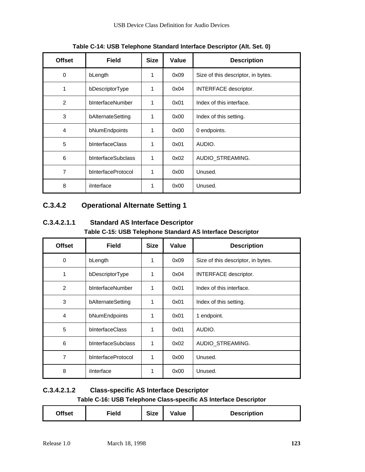| <b>Offset</b>  | <b>Field</b>       | <b>Size</b> | Value | <b>Description</b>                 |
|----------------|--------------------|-------------|-------|------------------------------------|
| 0              | bLength            | 1           | 0x09  | Size of this descriptor, in bytes. |
| 1              | bDescriptorType    | 1           | 0x04  | INTERFACE descriptor.              |
| 2              | bInterfaceNumber   | 1           | 0x01  | Index of this interface.           |
| 3              | bAlternateSetting  | 1           | 0x00  | Index of this setting.             |
| $\overline{4}$ | bNumEndpoints      | 1           | 0x00  | 0 endpoints.                       |
| 5              | bInterfaceClass    | 1           | 0x01  | AUDIO.                             |
| 6              | bInterfaceSubclass | 1           | 0x02  | AUDIO_STREAMING.                   |
| 7              | bInterfaceProtocol | 1           | 0x00  | Unused.                            |
| 8              | ilnterface         | 1           | 0x00  | Unused.                            |

**Table C-14: USB Telephone Standard Interface Descriptor (Alt. Set. 0)**

## **C.3.4.2 Operational Alternate Setting 1**

**C.3.4.2.1.1 Standard AS Interface Descriptor Table C-15: USB Telephone Standard AS Interface Descriptor**

| <b>Offset</b>  | <b>Field</b>       | <b>Size</b> | Value | <b>Description</b>                 |
|----------------|--------------------|-------------|-------|------------------------------------|
| 0              | bLength            | 1           | 0x09  | Size of this descriptor, in bytes. |
| 1              | bDescriptorType    | 1           | 0x04  | <b>INTERFACE descriptor.</b>       |
| 2              | bInterfaceNumber   | 1           | 0x01  | Index of this interface.           |
| 3              | bAlternateSetting  | 1           | 0x01  | Index of this setting.             |
| 4              | bNumEndpoints      | 1           | 0x01  | 1 endpoint.                        |
| 5              | bInterfaceClass    | 1           | 0x01  | AUDIO.                             |
| 6              | bInterfaceSubclass | 1           | 0x02  | AUDIO_STREAMING.                   |
| $\overline{7}$ | bInterfaceProtocol | 1           | 0x00  | Unused.                            |
| 8              | ilnterface         | 1           | 0x00  | Unused.                            |

# **C.3.4.2.1.2 Class-specific AS Interface Descriptor**

**Table C-16: USB Telephone Class-specific AS Interface Descriptor**

| <b>Offset</b> | Field | <b>Size</b> | Value | <b>Description</b> |
|---------------|-------|-------------|-------|--------------------|
|---------------|-------|-------------|-------|--------------------|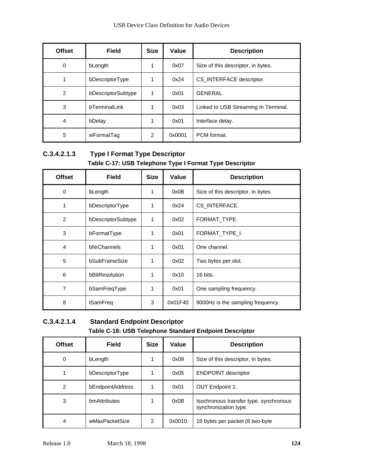| <b>Offset</b>  | <b>Field</b>       | <b>Size</b>   | Value  | <b>Description</b>                   |
|----------------|--------------------|---------------|--------|--------------------------------------|
| 0              | bLength            | 1             | 0x07   | Size of this descriptor, in bytes.   |
|                | bDescriptorType    |               | 0x24   | CS INTERFACE descriptor.             |
| $\overline{2}$ | bDescriptorSubtype |               | 0x01   | GENERAL.                             |
| 3              | bTerminalLink      |               | 0x03   | Linked to USB Streaming In Terminal. |
| 4              | bDelay             | 1             | 0x01   | Interface delay.                     |
| 5              | wFormatTag         | $\mathcal{P}$ | 0x0001 | PCM format.                          |

## **C.3.4.2.1.3 Type I Format Type Descriptor Table C-17: USB Telephone Type I Format Type Descriptor**

| <b>Offset</b>  | <b>Field</b>       | <b>Size</b>  | Value   | <b>Description</b>                 |
|----------------|--------------------|--------------|---------|------------------------------------|
| 0              | bLength            | 1            | 0x0B    | Size of this descriptor, in bytes. |
| 1              | bDescriptorType    | 1            | 0x24    | CS INTERFACE.                      |
| $\overline{2}$ | bDescriptorSubtype | 1            | 0x02    | FORMAT TYPE.                       |
| 3              | bFormatType        | 1            | 0x01    | FORMAT TYPE I.                     |
| 4              | bNrChannels        | 1            | 0x01    | One channel.                       |
| 5              | bSubFrameSize      | 1            | 0x02    | Two bytes per slot.                |
| 6              | bBitResolution     | $\mathbf{1}$ | 0x10    | 16 bits.                           |
| 7              | bSamFreqType       | 1            | 0x01    | One sampling frequency.            |
| 8              | tSamFreq           | 3            | 0x01F40 | 8000Hz is the sampling frequency.  |

## **C.3.4.2.1.4 Standard Endpoint Descriptor Table C-18: USB Telephone Standard Endpoint Descriptor**

| <b>Offset</b>  | <b>Field</b>     | <b>Size</b> | Value  | <b>Description</b>                                              |
|----------------|------------------|-------------|--------|-----------------------------------------------------------------|
| 0              | bLength          |             | 0x09   | Size of this descriptor, in bytes.                              |
|                | bDescriptorType  |             | 0x05   | <b>ENDPOINT descriptor.</b>                                     |
| $\overline{2}$ | bEndpointAddress |             | 0x01   | OUT Endpoint 1.                                                 |
| 3              | bmAttributes     |             | 0x0B   | Isochronous transfer type, synchronous<br>synchronization type. |
| 4              | wMaxPacketSize   | 2           | 0x0010 | 16 bytes per packet (8 two-byte                                 |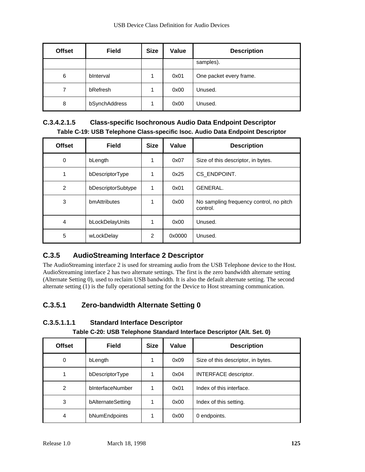| <b>Offset</b> | <b>Field</b>  | <b>Size</b> | Value | <b>Description</b>      |
|---------------|---------------|-------------|-------|-------------------------|
|               |               |             |       | samples).               |
| 6             | binterval     |             | 0x01  | One packet every frame. |
| 7             | bRefresh      |             | 0x00  | Unused.                 |
| 8             | bSynchAddress |             | 0x00  | Unused.                 |

### **C.3.4.2.1.5 Class-specific Isochronous Audio Data Endpoint Descriptor Table C-19: USB Telephone Class-specific Isoc. Audio Data Endpoint Descriptor**

| <b>Offset</b>  | <b>Field</b>       | <b>Size</b>    | Value  | <b>Description</b>                                  |
|----------------|--------------------|----------------|--------|-----------------------------------------------------|
| 0              | bLength            | 1              | 0x07   | Size of this descriptor, in bytes.                  |
|                | bDescriptorType    |                | 0x25   | CS_ENDPOINT.                                        |
| $\overline{2}$ | bDescriptorSubtype | 1              | 0x01   | GENERAL.                                            |
| 3              | bmAttributes       |                | 0x00   | No sampling frequency control, no pitch<br>control. |
| $\overline{4}$ | bLockDelayUnits    |                | 0x00   | Unused.                                             |
| 5              | wLockDelay         | $\overline{2}$ | 0x0000 | Unused.                                             |

# **C.3.5 AudioStreaming Interface 2 Descriptor**

The AudioStreaming interface 2 is used for streaming audio from the USB Telephone device to the Host. AudioStreaming interface 2 has two alternate settings. The first is the zero bandwidth alternate setting (Alternate Setting 0), used to reclaim USB bandwidth. It is also the default alternate setting. The second alternate setting (1) is the fully operational setting for the Device to Host streaming communication.

# **C.3.5.1 Zero-bandwidth Alternate Setting 0**

**C.3.5.1.1.1 Standard Interface Descriptor**

**Table C-20: USB Telephone Standard Interface Descriptor (Alt. Set. 0)**

| <b>Offset</b> | <b>Field</b>      | <b>Size</b> | Value | <b>Description</b>                 |
|---------------|-------------------|-------------|-------|------------------------------------|
| 0             | bLength           |             | 0x09  | Size of this descriptor, in bytes. |
|               | bDescriptorType   |             | 0x04  | INTERFACE descriptor.              |
| 2             | bInterfaceNumber  |             | 0x01  | Index of this interface.           |
| 3             | bAlternateSetting |             | 0x00  | Index of this setting.             |
| 4             | bNumEndpoints     |             | 0x00  | 0 endpoints.                       |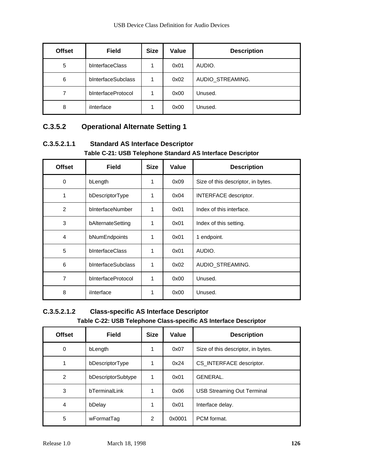| <b>Offset</b> | Field              | <b>Size</b> | <b>Value</b> | <b>Description</b> |
|---------------|--------------------|-------------|--------------|--------------------|
| 5             | bInterfaceClass    |             | 0x01         | AUDIO.             |
| 6             | bInterfaceSubclass |             | 0x02         | AUDIO_STREAMING.   |
| 7             | bInterfaceProtocol |             | 0x00         | Unused.            |
| 8             | ilnterface         |             | 0x00         | Unused.            |

## **C.3.5.2 Operational Alternate Setting 1**

**C.3.5.2.1.1 Standard AS Interface Descriptor Table C-21: USB Telephone Standard AS Interface Descriptor**

| <b>Offset</b>  | <b>Field</b>       | <b>Size</b> | Value | <b>Description</b>                 |
|----------------|--------------------|-------------|-------|------------------------------------|
| 0              | bLength            | 1           | 0x09  | Size of this descriptor, in bytes. |
| 1              | bDescriptorType    | 1           | 0x04  | INTERFACE descriptor.              |
| 2              | bInterfaceNumber   | 1           | 0x01  | Index of this interface.           |
| 3              | bAlternateSetting  | 1           | 0x01  | Index of this setting.             |
| 4              | bNumEndpoints      | 1           | 0x01  | 1 endpoint.                        |
| 5              | bInterfaceClass    | 1           | 0x01  | AUDIO.                             |
| 6              | bInterfaceSubclass | 1           | 0x02  | AUDIO_STREAMING.                   |
| $\overline{7}$ | bInterfaceProtocol | 1           | 0x00  | Unused.                            |
| 8              | ilnterface         | 1           | 0x00  | Unused.                            |

#### **C.3.5.2.1.2 Class-specific AS Interface Descriptor Table C-22: USB Telephone Class-specific AS Interface Descriptor**

| <b>Offset</b> | <b>Field</b>       | <b>Size</b> | Value  | <b>Description</b>                 |
|---------------|--------------------|-------------|--------|------------------------------------|
| 0             | bLength            | 1           | 0x07   | Size of this descriptor, in bytes. |
| 1             | bDescriptorType    | 1           | 0x24   | CS_INTERFACE descriptor.           |
| 2             | bDescriptorSubtype | 1           | 0x01   | GENERAL.                           |
| 3             | bTerminalLink      | 1           | 0x06   | <b>USB Streaming Out Terminal</b>  |
| 4             | bDelay             | 1           | 0x01   | Interface delay.                   |
| 5             | wFormatTag         | 2           | 0x0001 | PCM format.                        |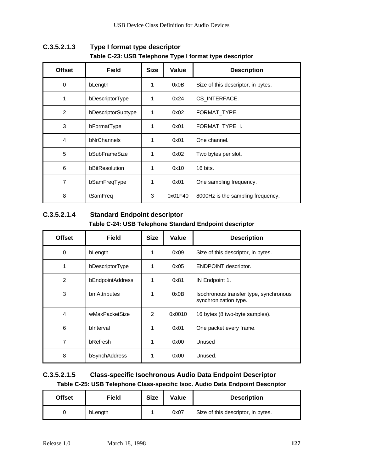| <b>Offset</b>  | <b>Field</b>       | <b>Size</b> | Value   | <b>Description</b>                 |
|----------------|--------------------|-------------|---------|------------------------------------|
| 0              | bLength            | 1           | 0x0B    | Size of this descriptor, in bytes. |
| 1              | bDescriptorType    | 1           | 0x24    | CS_INTERFACE.                      |
| $\overline{2}$ | bDescriptorSubtype | 1           | 0x02    | FORMAT_TYPE.                       |
| 3              | bFormatType        |             | 0x01    | FORMAT_TYPE_I.                     |
| 4              | bNrChannels        | 1           | 0x01    | One channel.                       |
| 5              | bSubFrameSize      | 1           | 0x02    | Two bytes per slot.                |
| 6              | bBitResolution     | 1           | 0x10    | 16 bits.                           |
| 7              | bSamFreqType       | 1           | 0x01    | One sampling frequency.            |
| 8              | tSamFreg           | 3           | 0x01F40 | 8000Hz is the sampling frequency.  |

**C.3.5.2.1.3 Type I format type descriptor Table C-23: USB Telephone Type I format type descriptor**

#### **C.3.5.2.1.4 Standard Endpoint descriptor Table C-24: USB Telephone Standard Endpoint descriptor**

| <b>Offset</b>  | <b>Field</b>     | <b>Size</b> | Value  | <b>Description</b>                                              |
|----------------|------------------|-------------|--------|-----------------------------------------------------------------|
| 0              | bLength          |             | 0x09   | Size of this descriptor, in bytes.                              |
|                | bDescriptorType  | 1           | 0x05   | <b>ENDPOINT descriptor.</b>                                     |
| $\overline{2}$ | bEndpointAddress | 1           | 0x81   | IN Endpoint 1.                                                  |
| 3              | bmAttributes     | 1           | 0x0B   | Isochronous transfer type, synchronous<br>synchronization type. |
| 4              | wMaxPacketSize   | 2           | 0x0010 | 16 bytes (8 two-byte samples).                                  |
| 6              | binterval        | 1           | 0x01   | One packet every frame.                                         |
| 7              | bRefresh         | 1           | 0x00   | Unused                                                          |
| 8              | bSynchAddress    |             | 0x00   | Unused.                                                         |

### **C.3.5.2.1.5 Class-specific Isochronous Audio Data Endpoint Descriptor Table C-25: USB Telephone Class-specific Isoc. Audio Data Endpoint Descriptor**

| <b>Offset</b> | Field   | <b>Size</b> | Value | <b>Description</b>                 |
|---------------|---------|-------------|-------|------------------------------------|
|               | bLength |             | 0x07  | Size of this descriptor, in bytes. |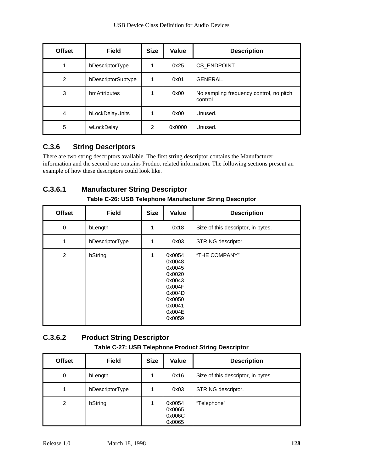| <b>Offset</b>  | <b>Field</b>       | <b>Size</b> | Value  | <b>Description</b>                                  |
|----------------|--------------------|-------------|--------|-----------------------------------------------------|
| 1              | bDescriptorType    |             | 0x25   | CS_ENDPOINT.                                        |
| $\overline{2}$ | bDescriptorSubtype |             | 0x01   | GENERAL.                                            |
| 3              | bmAttributes       |             | 0x00   | No sampling frequency control, no pitch<br>control. |
| 4              | bLockDelayUnits    |             | 0x00   | Unused.                                             |
| 5              | wLockDelay         | 2           | 0x0000 | Unused.                                             |

# **C.3.6 String Descriptors**

There are two string descriptors available. The first string descriptor contains the Manufacturer information and the second one contains Product related information. The following sections present an example of how these descriptors could look like.

# **C.3.6.1 Manufacturer String Descriptor**

| <b>Offset</b> | <b>Field</b>    | <b>Size</b>  | Value                                                                                                      | <b>Description</b>                 |
|---------------|-----------------|--------------|------------------------------------------------------------------------------------------------------------|------------------------------------|
| 0             | bLength         | $\mathbf{1}$ | 0x18                                                                                                       | Size of this descriptor, in bytes. |
| 1             | bDescriptorType | 1            | 0x03                                                                                                       | STRING descriptor.                 |
| 2             | bString         | 1            | 0x0054<br>0x0048<br>0x0045<br>0x0020<br>0x0043<br>0x004F<br>0x004D<br>0x0050<br>0x0041<br>0x004E<br>0x0059 | "THE COMPANY"                      |

**Table C-26: USB Telephone Manufacturer String Descriptor**

## **C.3.6.2 Product String Descriptor Table C-27: USB Telephone Product String Descriptor**

| <b>Offset</b> | <b>Field</b>    | <b>Size</b> | Value                                | <b>Description</b>                 |
|---------------|-----------------|-------------|--------------------------------------|------------------------------------|
| 0             | bLength         |             | 0x16                                 | Size of this descriptor, in bytes. |
| 1             | bDescriptorType |             | 0x03                                 | STRING descriptor.                 |
| 2             | bString         |             | 0x0054<br>0x0065<br>0x006C<br>0x0065 | "Telephone"                        |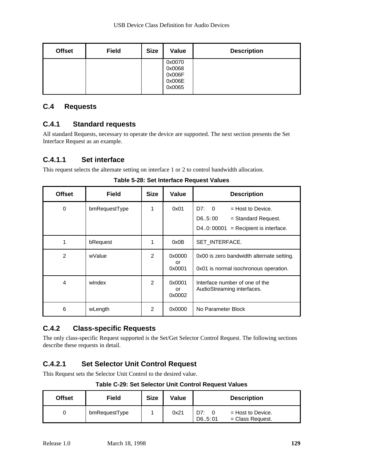| <b>Offset</b> | <b>Field</b> | <b>Size</b> | Value                                          | <b>Description</b> |
|---------------|--------------|-------------|------------------------------------------------|--------------------|
|               |              |             | 0x0070<br>0x0068<br>0x006F<br>0x006E<br>0x0065 |                    |

#### **C.4 Requests**

#### **C.4.1 Standard requests**

All standard Requests, necessary to operate the device are supported. The next section presents the Set Interface Request as an example.

#### **C.4.1.1 Set interface**

This request selects the alternate setting on interface 1 or 2 to control bandwidth allocation.

| <b>Offset</b>  | <b>Field</b>  | <b>Size</b>   | Value                  | <b>Description</b>                                                                                           |
|----------------|---------------|---------------|------------------------|--------------------------------------------------------------------------------------------------------------|
| 0              | bmRequestType | 1             | 0x01                   | D7: 0<br>$=$ Host to Device.<br>D65:00<br>$=$ Standard Request.<br>D40: 00001<br>$=$ Recipient is interface. |
| 1              | bRequest      | 1             | 0x0B                   | SET INTERFACE.                                                                                               |
| $\overline{2}$ | wValue        | $\mathcal{P}$ | 0x0000<br>or<br>0x0001 | 0x00 is zero bandwidth alternate setting.<br>0x01 is normal isochronous operation.                           |
| $\overline{4}$ | windex        | $\mathcal{P}$ | 0x0001<br>or<br>0x0002 | Interface number of one of the<br>AudioStreaming interfaces.                                                 |
| 6              | wLength       | $\mathcal{P}$ | 0x0000                 | No Parameter Block                                                                                           |

**Table 5-28: Set Interface Request Values**

#### **C.4.2 Class-specific Requests**

The only class-specific Request supported is the Set/Get Selector Control Request. The following sections describe these requests in detail.

# **C.4.2.1 Set Selector Unit Control Request**

This Request sets the Selector Unit Control to the desired value.

**Table C-29: Set Selector Unit Control Request Values**

| Offset | Field         | <b>Size</b> | Value | <b>Description</b>                                             |
|--------|---------------|-------------|-------|----------------------------------------------------------------|
|        | bmRequestType |             | 0x21  | D7:<br>$=$ Host to Device.<br>$=$ Class Request.<br>D6., 5: 01 |